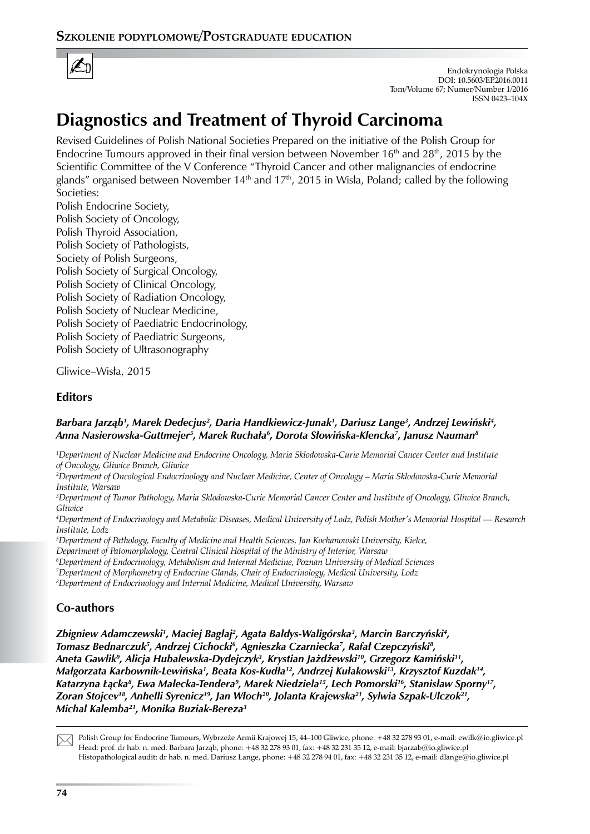

Endokrynologia Polska DOI: 10.5603/EP.2016.0011 Tom/Volume 67; Numer/Number 1/2016 ISSN 0423–104X

# **Diagnostics and Treatment of Thyroid Carcinoma**

Revised Guidelines of Polish National Societies Prepared on the initiative of the Polish Group for Endocrine Tumours approved in their final version between November  $16<sup>th</sup>$  and  $28<sup>th</sup>$ , 2015 by the Scientific Committee of the V Conference "Thyroid Cancer and other malignancies of endocrine glands" organised between November 14<sup>th</sup> and 17<sup>th</sup>, 2015 in Wisla, Poland; called by the following Societies:

Polish Endocrine Society, Polish Society of Oncology, Polish Thyroid Association, Polish Society of Pathologists, Society of Polish Surgeons, Polish Society of Surgical Oncology, Polish Society of Clinical Oncology, Polish Society of Radiation Oncology, Polish Society of Nuclear Medicine, Polish Society of Paediatric Endocrinology, Polish Society of Paediatric Surgeons, Polish Society of Ultrasonography

Gliwice–Wisła, 2015

## **Editors**

## *Barbara Jarząb<sup>1</sup> , Marek Dedecjus2 , Daria Handkiewicz-Junak1 , Dariusz Lange3 , Andrzej Lewiński<sup>4</sup> , Anna Nasierowska-Guttmejer5 , Marek Ruchała<sup>6</sup> , Dorota Słowińska-Klencka<sup>7</sup> , Janusz Nauman8*

*1 Department of Nuclear Medicine and Endocrine Oncology, Maria Sklodowska-Curie Memorial Cancer Center and Institute of Oncology, Gliwice Branch, Gliwice* 

*2 Department of Oncological Endocrinology and Nuclear Medicine, Center of Oncology – Maria Sklodowska-Curie Memorial Institute, Warsaw* 

*3 Department of Tumor Pathology, Maria Sklodowska-Curie Memorial Cancer Center and Institute of Oncology, Gliwice Branch, Gliwice*

*4 Department of Endocrinology and Metabolic Diseases, Medical University of Lodz, Polish Mother's Memorial Hospital — Research Institute, Lodz*

*5 Department of Pathology, Faculty of Medicine and Health Sciences, Jan Kochanowski University, Kielce,* 

*Department of Patomorphology, Central Clinical Hospital of the Ministry of Interior, Warsaw*

*6 Department of Endocrinology, Metabolism and Internal Medicine, Poznan University of Medical Sciences*

*7 Department of Morphometry of Endocrine Glands, Chair of Endocrinology, Medical University, Lodz*

*8 Department of Endocrinology and Internal Medicine, Medical University, Warsaw*

# **Co-authors**

Zbigniew Adamczewski', Maciej Bagłaj<sup>2</sup>, Agata Bałdys-Waligórska<sup>3</sup>, Marcin Barczyński<del>'</del>, *Tomasz Bednarczuk5 , Andrzej Cichocki6 , Agnieszka Czarniecka7 , Rafał Czepczyński<sup>8</sup> , Aneta Gawlik<sup>9</sup> , Alicja Hubalewska-Dydejczyk<sup>3</sup> , Krystian Jażdżewski<sup>10</sup>, Grzegorz Kamiński11, Małgorzata Karbownik-Lewińska<sup>1</sup> , Beata Kos-Kudła<sup>12</sup>, Andrzej Kułakowski<sup>13</sup>, Krzysztof Kuzdak14, Katarzyna Łącka<sup>8</sup> , Ewa Małecka-Tendera<sup>9</sup> , Marek Niedziela15, Lech Pomorski16, Stanisław Sporny17, Zoran Stojcev18, Anhelli Syrenicz<sup>19</sup>, Jan Włoch<sup>20</sup>, Jolanta Krajewska<sup>21</sup>, Sylwia Szpak-Ulczok21, Michal Kalemba21, Monika Buziak-Bereza3*

 $\boxtimes$ 

Polish Group for Endocrine Tumours, Wybrzeże Armii Krajowej 15, 44–100 Gliwice, phone: +48 32 278 93 01, e-mail: ewilk@io.gliwice.pl Head: prof. dr hab. n. med. Barbara Jarząb, phone: +48 32 278 93 01, fax: +48 32 231 35 12, e-mail: bjarzab@io.gliwice.pl Histopathological audit: dr hab. n. med. Dariusz Lange, phone: +48 32 278 94 01, fax: +48 32 231 35 12, e-mail: dlange@io.gliwice.pl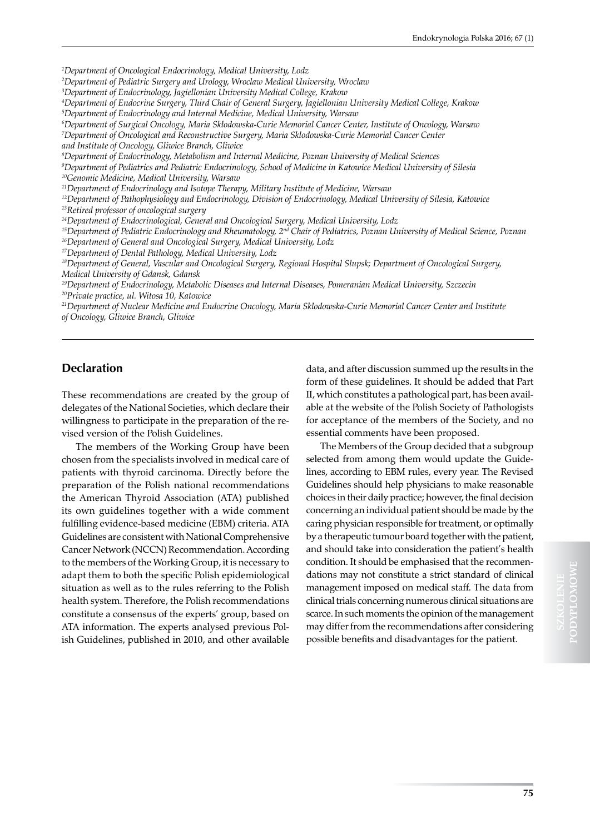*1 Department of Oncological Endocrinology, Medical University, Lodz*

*2 Department of Pediatric Surgery and Urology, Wroclaw Medical University, Wroclaw*

*3 Department of Endocrinology, Jagiellonian University Medical College, Krakow* 

*4 Department of Endocrine Surgery, Third Chair of General Surgery, Jagiellonian University Medical College, Krakow 5 Department of Endocrinology and Internal Medicine, Medical University, Warsaw*

*6 Department of Surgical Oncology, Maria Skłodowska-Curie Memorial Cancer Center, Institute of Oncology, Warsaw*

*7 Department of Oncological and Reconstructive Surgery, Maria Sklodowska-Curie Memorial Cancer Center and Institute of Oncology, Gliwice Branch, Gliwice*

*8 Department of Endocrinology, Metabolism and Internal Medicine, Poznan University of Medical Sciences*

*9 Department of Pediatrics and Pediatric Endocrinology, School of Medicine in Katowice Medical University of Silesia 10Genomic Medicine, Medical University, Warsaw*

*11Department of Endocrinology and Isotope Therapy, Military Institute of Medicine, Warsaw*

*12Department of Pathophysiology and Endocrinology, Division of Endocrinology, Medical University of Silesia, Katowice*

*13Retired professor of oncological surgery*

*14Department of Endocrinological, General and Oncological Surgery, Medical University, Lodz*

*15Department of Pediatric Endocrinology and Rheumatology, 2nd Chair of Pediatrics, Poznan University of Medical Science, Poznan*

*16Department of General and Oncological Surgery, Medical University, Lodz*

*17Department of Dental Pathology, Medical University, Lodz*

*18Department of General, Vascular and Oncological Surgery, Regional Hospital Slupsk; Department of Oncological Surgery, Medical University of Gdansk, Gdansk*

*19Department of Endocrinology, Metabolic Diseases and Internal Diseases, Pomeranian Medical University, Szczecin 20Private practice, ul. Witosa 10, Katowice*

*21Department of Nuclear Medicine and Endocrine Oncology, Maria Sklodowska-Curie Memorial Cancer Center and Institute of Oncology, Gliwice Branch, Gliwice*

## **Declaration**

These recommendations are created by the group of delegates of the National Societies, which declare their willingness to participate in the preparation of the revised version of the Polish Guidelines.

The members of the Working Group have been chosen from the specialists involved in medical care of patients with thyroid carcinoma. Directly before the preparation of the Polish national recommendations the American Thyroid Association (ATA) published its own guidelines together with a wide comment fulfilling evidence-based medicine (EBM) criteria. ATA Guidelines are consistent with National Comprehensive Cancer Network (NCCN) Recommendation. According to the members of the Working Group, it is necessary to adapt them to both the specific Polish epidemiological situation as well as to the rules referring to the Polish health system. Therefore, the Polish recommendations constitute a consensus of the experts' group, based on ATA information. The experts analysed previous Polish Guidelines, published in 2010, and other available

data, and after discussion summed up the results in the form of these guidelines. It should be added that Part II, which constitutes a pathological part, has been available at the website of the Polish Society of Pathologists for acceptance of the members of the Society, and no essential comments have been proposed.

The Members of the Group decided that a subgroup selected from among them would update the Guidelines, according to EBM rules, every year. The Revised Guidelines should help physicians to make reasonable choices in their daily practice; however, the final decision concerning an individual patient should be made by the caring physician responsible for treatment, or optimally by a therapeutic tumour board together with the patient, and should take into consideration the patient's health condition. It should be emphasised that the recommendations may not constitute a strict standard of clinical management imposed on medical staff. The data from clinical trials concerning numerous clinical situations are scarce. In such moments the opinion of the management may differ from the recommendations after considering possible benefits and disadvantages for the patient.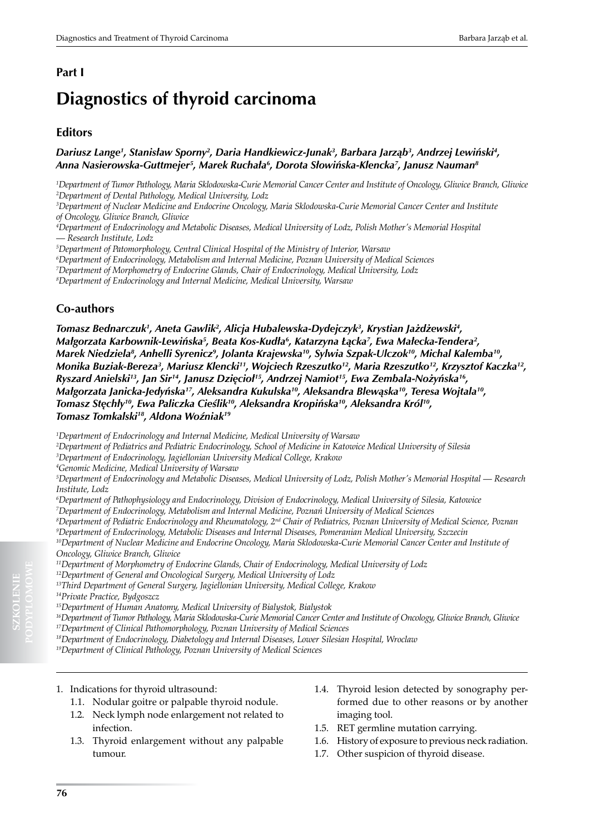## **Part I**

# **Diagnostics of thyroid carcinoma**

## **Editors**

### *Dariusz Lange1 , Stanisław Sporny<sup>2</sup> , Daria Handkiewicz-Junak3 , Barbara Jarząb<sup>3</sup> , Andrzej Lewiński<sup>4</sup> , Anna Nasierowska-Guttmejer5 , Marek Ruchała<sup>6</sup> , Dorota Słowińska-Klencka<sup>7</sup> , Janusz Nauman8*

*1 Department of Tumor Pathology, Maria Sklodowska-Curie Memorial Cancer Center and Institute of Oncology, Gliwice Branch, Gliwice 2 Department of Dental Pathology, Medical University, Lodz*

*3 Department of Nuclear Medicine and Endocrine Oncology, Maria Sklodowska-Curie Memorial Cancer Center and Institute of Oncology, Gliwice Branch, Gliwice*

*4 Department of Endocrinology and Metabolic Diseases, Medical University of Lodz, Polish Mother's Memorial Hospital — Research Institute, Lodz*

*5 Department of Patomorphology, Central Clinical Hospital of the Ministry of Interior, Warsaw*

*6 Department of Endocrinology, Metabolism and Internal Medicine, Poznan University of Medical Sciences*

*7 Department of Morphometry of Endocrine Glands, Chair of Endocrinology, Medical University, Lodz*

*8 Department of Endocrinology and Internal Medicine, Medical University, Warsaw*

## **Co-authors**

*Tomasz Bednarczuk1 , Aneta Gawlik<sup>2</sup> , Alicja Hubalewska-Dydejczyk<sup>3</sup> , Krystian Jażdżewski<sup>4</sup> ,*  Małgorzata Karbownik-Lewińska<sup>5</sup>, Beata Kos-Kudła<sup>6</sup>, Katarzyna Łącka<sup>7</sup>, Ewa Małecka-Tendera<sup>2</sup>, *Marek Niedziela<sup>8</sup> , Anhelli Syrenicz<sup>9</sup> , Jolanta Krajewska<sup>10</sup>, Sylwia Szpak-Ulczok<sup>10</sup>, Michal Kalemba10, Monika Buziak-Bereza3 , Mariusz Klencki<sup>11</sup>, Wojciech Rzeszutko12, Maria Rzeszutko12, Krzysztof Kaczka12, Ryszard Anielski13, Jan Sir14, Janusz Dzięcioł15, Andrzej Namiot15, Ewa Zembala-Nożyńska16, Małgorzata Janicka-Jedyńska<sup>17</sup>, Aleksandra Kukulska<sup>10</sup>, Aleksandra Blewąska<sup>10</sup>, Teresa Wojtala10, Tomasz Stęchły<sup>10</sup>, Ewa Paliczka Cieślik<sup>10</sup>, Aleksandra Kropińska<sup>10</sup>, Aleksandra Król10, Tomasz Tomkalski<sup>18</sup>, Aldona Woźniak<sup>19</sup>*

*1 Department of Endocrinology and Internal Medicine, Medical University of Warsaw*

*2 Department of Pediatrics and Pediatric Endocrinology, School of Medicine in Katowice Medical University of Silesia*

*3 Department of Endocrinology, Jagiellonian University Medical College, Krakow*

*4 Genomic Medicine, Medical University of Warsaw*

*5 Department of Endocrinology and Metabolic Diseases, Medical University of Lodz, Polish Mother's Memorial Hospital — Research Institute, Lodz*

*6 Department of Pathophysiology and Endocrinology, Division of Endocrinology, Medical University of Silesia, Katowice*

*7 Department of Endocrinology, Metabolism and Internal Medicine, Poznań University of Medical Sciences*

*8 Department of Pediatric Endocrinology and Rheumatology, 2nd Chair of Pediatrics, Poznan University of Medical Science, Poznan*

*9 Department of Endocrinology, Metabolic Diseases and Internal Diseases, Pomeranian Medical University, Szczecin* <sup>10</sup>Department of Nuclear Medicine and Endocrine Oncology, Maria Sklodowska-Curie Memorial Cancer Center and Institute of *Oncology, Gliwice Branch, Gliwice*

*11Department of Morphometry of Endocrine Glands, Chair of Endocrinology, Medical University of Lodz*

*12Department of General and Oncological Surgery, Medical University of Lodz*

*13Third Department of General Surgery, Jagiellonian University, Medical College, Krakow* 

*14Private Practice, Bydgoszcz*

*16Department of Tumor Pathology, Maria Sklodowska-Curie Memorial Cancer Center and Institute of Oncology, Gliwice Branch, Gliwice 17Department of Clinical Pathomorphology, Poznan University of Medical Sciences* 

*18Department of Endocrinology, Diabetology and Internal Diseases, Lower Silesian Hospital, Wroclaw*

*19Department of Clinical Pathology, Poznan University of Medical Sciences*

- 1.1. Nodular goitre or palpable thyroid nodule.
- 1.2. Neck lymph node enlargement not related to infection.
- 1.3. Thyroid enlargement without any palpable tumour.
- 1.4. Thyroid lesion detected by sonography performed due to other reasons or by another imaging tool.
- 1.5. RET germline mutation carrying.
- 1.6. History of exposure to previous neck radiation.
- 1.7. Other suspicion of thyroid disease.

**SZKOLENIE**

*<sup>15</sup>Department of Human Anatomy, Medical University of Bialystok, Bialystok*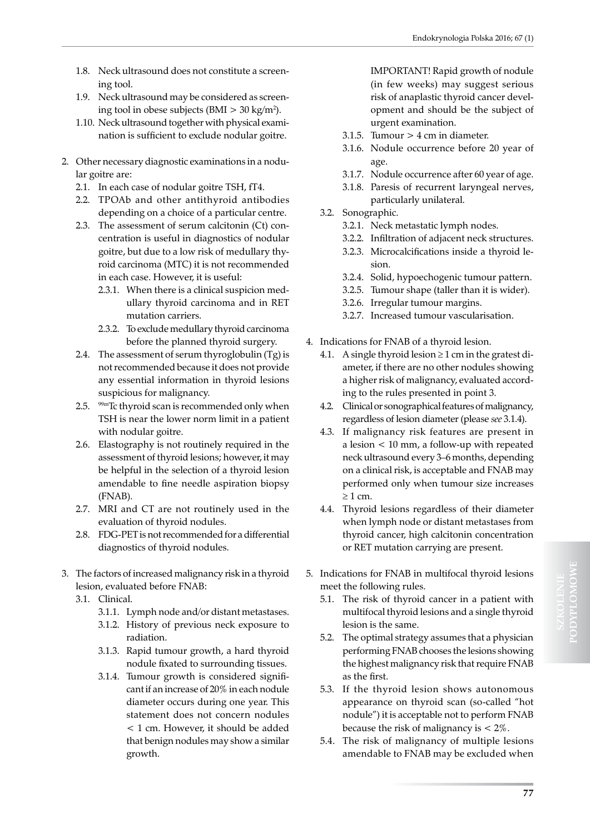- 1.8. Neck ultrasound does not constitute a screening tool.
- 1.9. Neck ultrasound may be considered as screening tool in obese subjects (BMI  $> 30 \text{ kg/m}^2$ ).
- 1.10. Neck ultrasound together with physical examination is sufficient to exclude nodular goitre.
- 2. Other necessary diagnostic examinations in a nodular goitre are:
	- 2.1. In each case of nodular goitre TSH, fT4.
	- 2.2. TPOAb and other antithyroid antibodies depending on a choice of a particular centre.
	- 2.3. The assessment of serum calcitonin (Ct) concentration is useful in diagnostics of nodular goitre, but due to a low risk of medullary thyroid carcinoma (MTC) it is not recommended in each case. However, it is useful:
		- 2.3.1. When there is a clinical suspicion medullary thyroid carcinoma and in RET mutation carriers.
		- 2.3.2. To exclude medullary thyroid carcinoma before the planned thyroid surgery.
	- 2.4. The assessment of serum thyroglobulin (Tg) is not recommended because it does not provide any essential information in thyroid lesions suspicious for malignancy.
	- 2.5. 99mTc thyroid scan is recommended only when TSH is near the lower norm limit in a patient with nodular goitre.
	- 2.6. Elastography is not routinely required in the assessment of thyroid lesions; however, it may be helpful in the selection of a thyroid lesion amendable to fine needle aspiration biopsy (FNAB).
	- 2.7. MRI and CT are not routinely used in the evaluation of thyroid nodules.
	- 2.8. FDG-PET is not recommended for a differential diagnostics of thyroid nodules.
- 3. The factors of increased malignancy risk in a thyroid lesion, evaluated before FNAB:
	- 3.1. Clinical.
		- 3.1.1. Lymph node and/or distant metastases.
		- 3.1.2. History of previous neck exposure to radiation.
		- 3.1.3. Rapid tumour growth, a hard thyroid nodule fixated to surrounding tissues.
		- 3.1.4. Tumour growth is considered significant if an increase of 20% in each nodule diameter occurs during one year. This statement does not concern nodules < 1 cm. However, it should be added that benign nodules may show a similar growth.

IMPORTANT! Rapid growth of nodule (in few weeks) may suggest serious risk of anaplastic thyroid cancer development and should be the subject of urgent examination.

- 3.1.5. Tumour  $> 4$  cm in diameter.
- 3.1.6. Nodule occurrence before 20 year of age.
- 3.1.7. Nodule occurrence after 60 year of age.
- 3.1.8. Paresis of recurrent laryngeal nerves, particularly unilateral.
- 3.2. Sonographic.
	- 3.2.1. Neck metastatic lymph nodes.
	- 3.2.2. Infiltration of adjacent neck structures.
	- 3.2.3. Microcalcifications inside a thyroid lesion.
	- 3.2.4. Solid, hypoechogenic tumour pattern.
	- 3.2.5. Tumour shape (taller than it is wider).
	- 3.2.6. Irregular tumour margins.
	- 3.2.7. Increased tumour vascularisation.
- 4. Indications for FNAB of a thyroid lesion.
	- 4.1. A single thyroid lesion  $\geq 1$  cm in the gratest diameter, if there are no other nodules showing a higher risk of malignancy, evaluated according to the rules presented in point 3.
	- 4.2. Clinical or sonographical features of malignancy, regardless of lesion diameter (please *see* 3.1.4).
	- 4.3. If malignancy risk features are present in a lesion < 10 mm, a follow-up with repeated neck ultrasound every 3–6 months, depending on a clinical risk, is acceptable and FNAB may performed only when tumour size increases ≥ 1 cm.
	- 4.4. Thyroid lesions regardless of their diameter when lymph node or distant metastases from thyroid cancer, high calcitonin concentration or RET mutation carrying are present.
- 5. Indications for FNAB in multifocal thyroid lesions meet the following rules.
	- 5.1. The risk of thyroid cancer in a patient with multifocal thyroid lesions and a single thyroid lesion is the same.
	- 5.2. The optimal strategy assumes that a physician performing FNAB chooses the lesions showing the highest malignancy risk that require FNAB as the first.
	- 5.3. If the thyroid lesion shows autonomous appearance on thyroid scan (so-called "hot nodule") it is acceptable not to perform FNAB because the risk of malignancy is  $\lt 2\%$ .
	- 5.4. The risk of malignancy of multiple lesions amendable to FNAB may be excluded when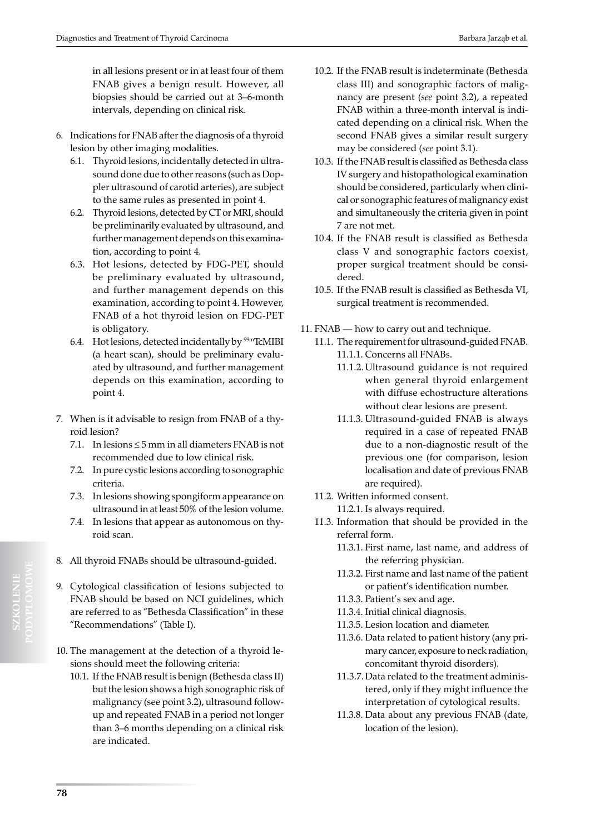in all lesions present or in at least four of them FNAB gives a benign result. However, all biopsies should be carried out at 3–6-month intervals, depending on clinical risk.

- 6. Indications for FNAB after the diagnosis of a thyroid lesion by other imaging modalities.
	- 6.1. Thyroid lesions, incidentally detected in ultrasound done due to other reasons (such as Doppler ultrasound of carotid arteries), are subject to the same rules as presented in point 4.
	- 6.2. Thyroid lesions, detected by CT or MRI, should be preliminarily evaluated by ultrasound, and further management depends on this examination, according to point 4.
	- 6.3. Hot lesions, detected by FDG-PET, should be preliminary evaluated by ultrasound, and further management depends on this examination, according to point 4. However, FNAB of a hot thyroid lesion on FDG-PET is obligatory.
	- 6.4. Hot lesions, detected incidentally by <sup>99m</sup>TcMIBI (a heart scan), should be preliminary evaluated by ultrasound, and further management depends on this examination, according to point 4.
- 7. When is it advisable to resign from FNAB of a thyroid lesion?
	- 7.1. In lesions  $\leq$  5 mm in all diameters FNAB is not recommended due to low clinical risk.
	- 7.2. In pure cystic lesions according to sonographic criteria.
	- 7.3. In lesions showing spongiform appearance on ultrasound in at least 50% of the lesion volume.
	- 7.4. In lesions that appear as autonomous on thyroid scan.
- 8. All thyroid FNABs should be ultrasound-guided.
- 9. Cytological classification of lesions subjected to FNAB should be based on NCI guidelines, which are referred to as "Bethesda Classification" in these "Recommendations" (Table I).
- 10. The management at the detection of a thyroid lesions should meet the following criteria:
	- 10.1. If the FNAB result is benign (Bethesda class II) but the lesion shows a high sonographic risk of malignancy (see point 3.2), ultrasound followup and repeated FNAB in a period not longer than 3–6 months depending on a clinical risk are indicated.
- 10.2. If the FNAB result is indeterminate (Bethesda class III) and sonographic factors of malignancy are present (*see* point 3.2), a repeated FNAB within a three-month interval is indicated depending on a clinical risk. When the second FNAB gives a similar result surgery may be considered (*see* point 3.1).
- 10.3. If the FNAB result is classified as Bethesda class IV surgery and histopathological examination should be considered, particularly when clinical or sonographic features of malignancy exist and simultaneously the criteria given in point 7 are not met.
- 10.4. If the FNAB result is classified as Bethesda class V and sonographic factors coexist, proper surgical treatment should be considered.
- 10.5. If the FNAB result is classified as Bethesda VI, surgical treatment is recommended.
- 11. FNAB how to carry out and technique.
	- 11.1. The requirement for ultrasound-guided FNAB. 11.1.1. Concerns all FNABs.
		- 11.1.2. Ultrasound guidance is not required when general thyroid enlargement with diffuse echostructure alterations without clear lesions are present.
		- 11.1.3. Ultrasound-guided FNAB is always required in a case of repeated FNAB due to a non-diagnostic result of the previous one (for comparison, lesion localisation and date of previous FNAB are required).
	- 11.2. Written informed consent. 11.2.1. Is always required.
	- 11.3. Information that should be provided in the referral form.
		- 11.3.1. First name, last name, and address of the referring physician.
		- 11.3.2. First name and last name of the patient or patient's identification number.
		- 11.3.3. Patient's sex and age.
		- 11.3.4. Initial clinical diagnosis.
		- 11.3.5. Lesion location and diameter.
		- 11.3.6. Data related to patient history (any primary cancer, exposure to neck radiation, concomitant thyroid disorders).
		- 11.3.7.Data related to the treatment administered, only if they might influence the interpretation of cytological results.
		- 11.3.8. Data about any previous FNAB (date, location of the lesion).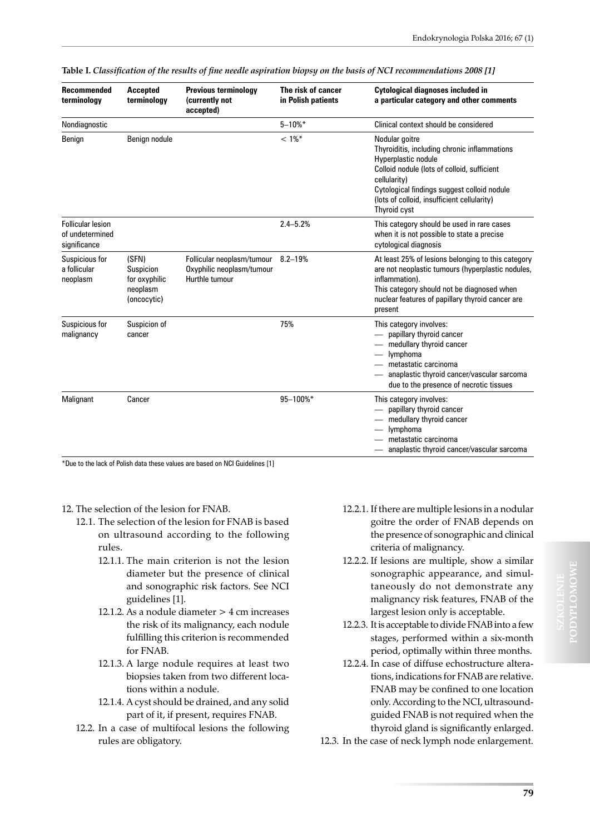| <b>Recommended</b><br>terminology                           | <b>Accepted</b><br>terminology                                 | <b>Previous terminology</b><br>(currently not<br>accepted)                | The risk of cancer<br>in Polish patients | Cytological diagnoses included in<br>a particular category and other comments                                                                                                                                                                                      |
|-------------------------------------------------------------|----------------------------------------------------------------|---------------------------------------------------------------------------|------------------------------------------|--------------------------------------------------------------------------------------------------------------------------------------------------------------------------------------------------------------------------------------------------------------------|
| Nondiagnostic                                               |                                                                |                                                                           | $5 - 10\%$ *                             | Clinical context should be considered                                                                                                                                                                                                                              |
| Benign                                                      | Benign nodule                                                  |                                                                           | $< 1\%$ *                                | Nodular goitre<br>Thyroiditis, including chronic inflammations<br>Hyperplastic nodule<br>Colloid nodule (lots of colloid, sufficient<br>cellularity)<br>Cytological findings suggest colloid nodule<br>(lots of colloid, insufficient cellularity)<br>Thyroid cyst |
| <b>Follicular lesion</b><br>of undetermined<br>significance |                                                                |                                                                           | $2.4 - 5.2%$                             | This category should be used in rare cases<br>when it is not possible to state a precise<br>cytological diagnosis                                                                                                                                                  |
| Suspicious for<br>a follicular<br>neoplasm                  | (SFN)<br>Suspicion<br>for oxyphilic<br>neoplasm<br>(oncocytic) | Follicular neoplasm/tumour<br>Oxyphilic neoplasm/tumour<br>Hurthle tumour | $8.2 - 19%$                              | At least 25% of lesions belonging to this category<br>are not neoplastic tumours (hyperplastic nodules,<br>inflammation).<br>This category should not be diagnosed when<br>nuclear features of papillary thyroid cancer are<br>present                             |
| Suspicious for<br>malignancy                                | Suspicion of<br>cancer                                         |                                                                           | 75%                                      | This category involves:<br>- papillary thyroid cancer<br>- medullary thyroid cancer<br>— lymphoma<br>- metastatic carcinoma<br>- anaplastic thyroid cancer/vascular sarcoma<br>due to the presence of necrotic tissues                                             |
| Malignant                                                   | Cancer                                                         |                                                                           | 95-100%*                                 | This category involves:<br>papillary thyroid cancer<br>- medullary thyroid cancer<br>lymphoma<br>metastatic carcinoma<br>- anaplastic thyroid cancer/vascular sarcoma                                                                                              |

|  |  |  | Table I. Classification of the results of fine needle aspiration biopsy on the basis of NCI recommendations 2008 [1] |  |
|--|--|--|----------------------------------------------------------------------------------------------------------------------|--|
|  |  |  |                                                                                                                      |  |

\*Due to the lack of Polish data these values are based on NCI Guidelines [1]

- 12. The selection of the lesion for FNAB.
	- 12.1. The selection of the lesion for FNAB is based on ultrasound according to the following rules.
		- 12.1.1. The main criterion is not the lesion diameter but the presence of clinical and sonographic risk factors. See NCI guidelines [1].
		- 12.1.2. As a nodule diameter > 4 cm increases the risk of its malignancy, each nodule fulfilling this criterion is recommended for FNAB.
		- 12.1.3. A large nodule requires at least two biopsies taken from two different locations within a nodule.
		- 12.1.4. A cyst should be drained, and any solid part of it, if present, requires FNAB.
	- 12.2. In a case of multifocal lesions the following rules are obligatory.
- 12.2.1. If there are multiple lesions in a nodular goitre the order of FNAB depends on the presence of sonographic and clinical criteria of malignancy.
- 12.2.2. If lesions are multiple, show a similar sonographic appearance, and simultaneously do not demonstrate any malignancy risk features, FNAB of the largest lesion only is acceptable.
- 12.2.3. It is acceptable to divide FNAB into a few stages, performed within a six-month period, optimally within three months.
- 12.2.4. In case of diffuse echostructure alterations, indications for FNAB are relative. FNAB may be confined to one location only. According to the NCI, ultrasoundguided FNAB is not required when the thyroid gland is significantly enlarged.
- 12.3. In the case of neck lymph node enlargement.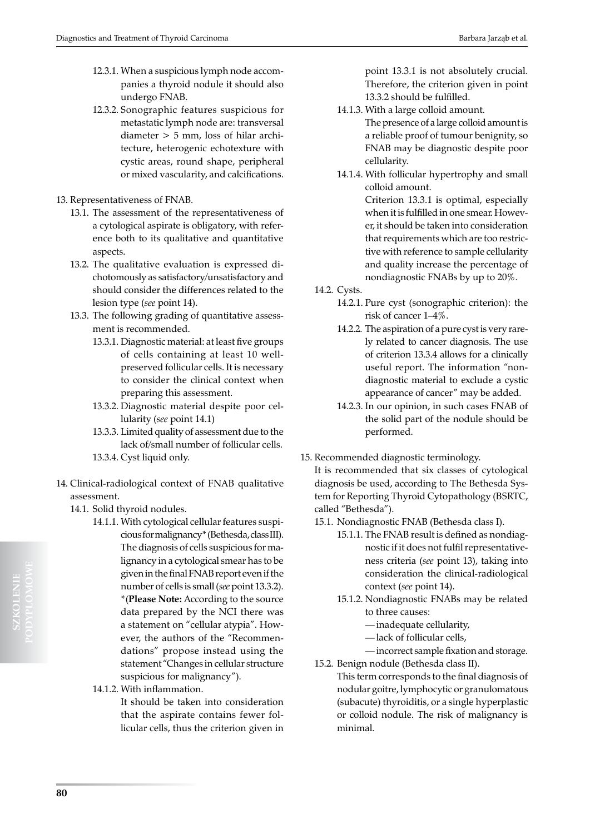- 12.3.1. When a suspicious lymph node accompanies a thyroid nodule it should also undergo FNAB.
- 12.3.2. Sonographic features suspicious for metastatic lymph node are: transversal diameter > 5 mm, loss of hilar architecture, heterogenic echotexture with cystic areas, round shape, peripheral or mixed vascularity, and calcifications.
- 13. Representativeness of FNAB.
	- 13.1. The assessment of the representativeness of a cytological aspirate is obligatory, with reference both to its qualitative and quantitative aspects.
	- 13.2. The qualitative evaluation is expressed dichotomously as satisfactory/unsatisfactory and should consider the differences related to the lesion type (*see* point 14).
	- 13.3. The following grading of quantitative assessment is recommended.
		- 13.3.1. Diagnostic material: at least five groups of cells containing at least 10 wellpreserved follicular cells. It is necessary to consider the clinical context when preparing this assessment.
		- 13.3.2. Diagnostic material despite poor cellularity (*see* point 14.1)
		- 13.3.3. Limited quality of assessment due to the lack of/small number of follicular cells. 13.3.4. Cyst liquid only.
- 14. Clinical-radiological context of FNAB qualitative assessment.
	- 14.1. Solid thyroid nodules.
		- 14.1.1. With cytological cellular features suspicious for malignancy\* (Bethesda, class III). The diagnosis of cells suspicious for malignancy in a cytological smear has to be given in the final FNAB report even if the number of cells is small (*see* point 13.3.2). \*(**Please Note:** According to the source data prepared by the NCI there was a statement on "cellular atypia". However, the authors of the "Recommendations" propose instead using the statement "Changes in cellular structure suspicious for malignancy").
		- 14.1.2. With inflammation.

It should be taken into consideration that the aspirate contains fewer follicular cells, thus the criterion given in point 13.3.1 is not absolutely crucial. Therefore, the criterion given in point 13.3.2 should be fulfilled.

- 14.1.3. With a large colloid amount. The presence of a large colloid amount is a reliable proof of tumour benignity, so FNAB may be diagnostic despite poor cellularity.
- 14.1.4. With follicular hypertrophy and small colloid amount.

Criterion 13.3.1 is optimal, especially when it is fulfilled in one smear. However, it should be taken into consideration that requirements which are too restrictive with reference to sample cellularity and quality increase the percentage of nondiagnostic FNABs by up to 20%.

14.2. Cysts.

- 14.2.1. Pure cyst (sonographic criterion): the risk of cancer 1–4%.
- 14.2.2. The aspiration of a pure cyst is very rarely related to cancer diagnosis. The use of criterion 13.3.4 allows for a clinically useful report. The information "nondiagnostic material to exclude a cystic appearance of cancer" may be added.
- 14.2.3. In our opinion, in such cases FNAB of the solid part of the nodule should be performed.
- 15. Recommended diagnostic terminology.

It is recommended that six classes of cytological diagnosis be used, according to The Bethesda System for Reporting Thyroid Cytopathology (BSRTC, called "Bethesda").

- 15.1. Nondiagnostic FNAB (Bethesda class I).
	- 15.1.1. The FNAB result is defined as nondiagnostic if it does not fulfil representativeness criteria (*see* point 13), taking into consideration the clinical-radiological context (*see* point 14).
	- 15.1.2. Nondiagnostic FNABs may be related to three causes:
		- inadequate cellularity,
		- lack of follicular cells,
		- incorrect sample fixation and storage.
- 15.2. Benign nodule (Bethesda class II). This term corresponds to the final diagnosis of nodular goitre, lymphocytic or granulomatous (subacute) thyroiditis, or a single hyperplastic or colloid nodule. The risk of malignancy is minimal.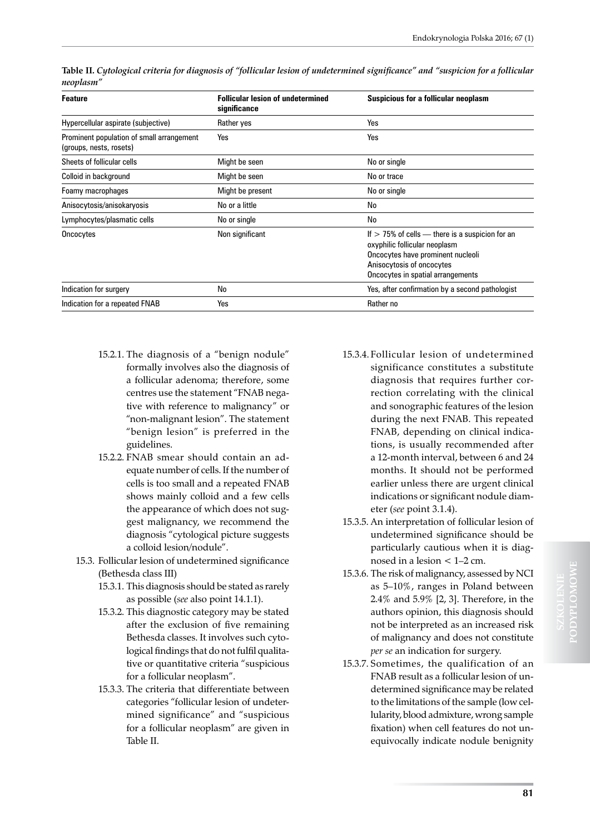| <b>Feature</b>                                                       | <b>Follicular lesion of undetermined</b><br>significance | Suspicious for a follicular neoplasm                                                                                                                                                      |
|----------------------------------------------------------------------|----------------------------------------------------------|-------------------------------------------------------------------------------------------------------------------------------------------------------------------------------------------|
| Hypercellular aspirate (subjective)                                  | Rather yes                                               | Yes                                                                                                                                                                                       |
| Prominent population of small arrangement<br>(groups, nests, rosets) | Yes                                                      | Yes                                                                                                                                                                                       |
| Sheets of follicular cells                                           | Might be seen                                            | No or single                                                                                                                                                                              |
| Colloid in background                                                | Might be seen                                            | No or trace                                                                                                                                                                               |
| Foamy macrophages                                                    | Might be present                                         | No or single                                                                                                                                                                              |
| Anisocytosis/anisokaryosis                                           | No or a little                                           | No                                                                                                                                                                                        |
| Lymphocytes/plasmatic cells                                          | No or single                                             | No                                                                                                                                                                                        |
| Oncocytes                                                            | Non significant                                          | If $>$ 75% of cells — there is a suspicion for an<br>oxyphilic follicular neoplasm<br>Oncocytes have prominent nucleoli<br>Anisocytosis of oncocytes<br>Oncocytes in spatial arrangements |
| Indication for surgery                                               | No                                                       | Yes, after confirmation by a second pathologist                                                                                                                                           |
| Indication for a repeated FNAB                                       | Yes                                                      | Rather no                                                                                                                                                                                 |

**Table II.** *Cytological criteria for diagnosis of "follicular lesion of undetermined significance" and "suspicion for a follicular neoplasm"*

- 15.2.1. The diagnosis of a "benign nodule" formally involves also the diagnosis of a follicular adenoma; therefore, some centres use the statement "FNAB negative with reference to malignancy" or "non-malignant lesion". The statement "benign lesion" is preferred in the guidelines.
- 15.2.2. FNAB smear should contain an adequate number of cells. If the number of cells is too small and a repeated FNAB shows mainly colloid and a few cells the appearance of which does not suggest malignancy, we recommend the diagnosis "cytological picture suggests a colloid lesion/nodule".
- 15.3. Follicular lesion of undetermined significance (Bethesda class III)
	- 15.3.1. This diagnosis should be stated as rarely as possible (*see* also point 14.1.1).
	- 15.3.2. This diagnostic category may be stated after the exclusion of five remaining Bethesda classes. It involves such cytological findings that do not fulfil qualitative or quantitative criteria "suspicious for a follicular neoplasm".
	- 15.3.3. The criteria that differentiate between categories "follicular lesion of undetermined significance" and "suspicious for a follicular neoplasm" are given in Table II.
- 15.3.4. Follicular lesion of undetermined significance constitutes a substitute diagnosis that requires further correction correlating with the clinical and sonographic features of the lesion during the next FNAB. This repeated FNAB, depending on clinical indications, is usually recommended after a 12-month interval, between 6 and 24 months. It should not be performed earlier unless there are urgent clinical indications or significant nodule diameter (*see* point 3.1.4).
- 15.3.5. An interpretation of follicular lesion of undetermined significance should be particularly cautious when it is diagnosed in a lesion < 1–2 cm.
- 15.3.6. The risk of malignancy, assessed by NCI as 5–10%, ranges in Poland between 2.4% and 5.9% [2, 3]. Therefore, in the authors opinion, this diagnosis should not be interpreted as an increased risk of malignancy and does not constitute *per se* an indication for surgery.
- 15.3.7. Sometimes, the qualification of an FNAB result as a follicular lesion of undetermined significance may be related to the limitations of the sample (low cellularity, blood admixture, wrong sample fixation) when cell features do not unequivocally indicate nodule benignity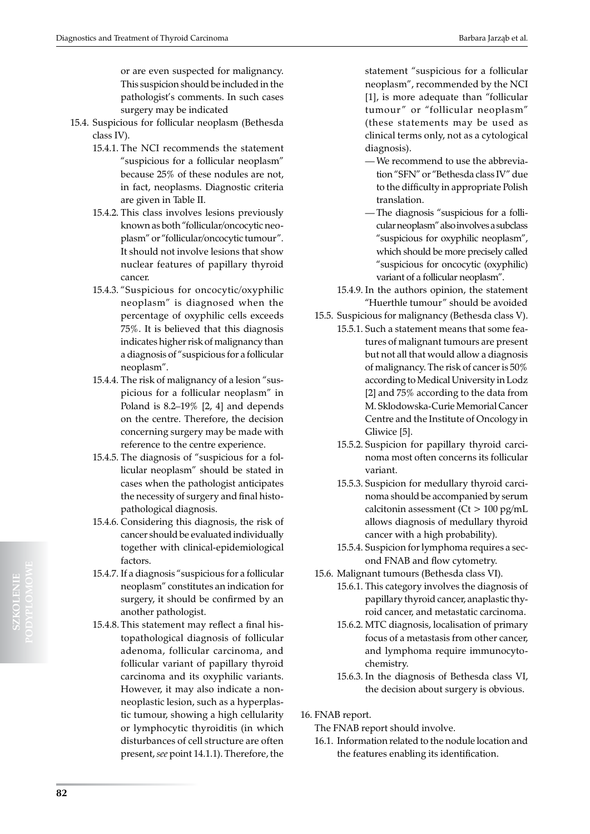or are even suspected for malignancy. This suspicion should be included in the pathologist's comments. In such cases surgery may be indicated

- 15.4. Suspicious for follicular neoplasm (Bethesda class IV).
	- 15.4.1. The NCI recommends the statement "suspicious for a follicular neoplasm" because 25% of these nodules are not, in fact, neoplasms. Diagnostic criteria are given in Table II.
	- 15.4.2. This class involves lesions previously known as both "follicular/oncocytic neoplasm" or "follicular/oncocytic tumour". It should not involve lesions that show nuclear features of papillary thyroid cancer.
	- 15.4.3. "Suspicious for oncocytic/oxyphilic neoplasm" is diagnosed when the percentage of oxyphilic cells exceeds 75%. It is believed that this diagnosis indicates higher risk of malignancy than a diagnosis of "suspicious for a follicular neoplasm".
	- 15.4.4. The risk of malignancy of a lesion "suspicious for a follicular neoplasm" in Poland is 8.2–19% [2, 4] and depends on the centre. Therefore, the decision concerning surgery may be made with reference to the centre experience.
	- 15.4.5. The diagnosis of "suspicious for a follicular neoplasm" should be stated in cases when the pathologist anticipates the necessity of surgery and final histopathological diagnosis.
	- 15.4.6. Considering this diagnosis, the risk of cancer should be evaluated individually together with clinical-epidemiological factors.
	- 15.4.7. If a diagnosis "suspicious for a follicular neoplasm" constitutes an indication for surgery, it should be confirmed by an another pathologist.
	- 15.4.8. This statement may reflect a final histopathological diagnosis of follicular adenoma, follicular carcinoma, and follicular variant of papillary thyroid carcinoma and its oxyphilic variants. However, it may also indicate a nonneoplastic lesion, such as a hyperplastic tumour, showing a high cellularity or lymphocytic thyroiditis (in which disturbances of cell structure are often present, *see* point 14.1.1). Therefore, the

statement "suspicious for a follicular neoplasm", recommended by the NCI [1], is more adequate than "follicular tumour" or "follicular neoplasm" (these statements may be used as clinical terms only, not as a cytological diagnosis).

- We recommend to use the abbreviation "SFN" or "Bethesda class IV" due to the difficulty in appropriate Polish translation.
- The diagnosis "suspicious for a follicular neoplasm" also involves a subclass "suspicious for oxyphilic neoplasm", which should be more precisely called "suspicious for oncocytic (oxyphilic) variant of a follicular neoplasm".
- 15.4.9. In the authors opinion, the statement "Huerthle tumour" should be avoided
- 15.5. Suspicious for malignancy (Bethesda class V).
	- 15.5.1. Such a statement means that some features of malignant tumours are present but not all that would allow a diagnosis of malignancy. The risk of cancer is 50% according to Medical University in Lodz [2] and 75% according to the data from M. Sklodowska-Curie Memorial Cancer Centre and the Institute of Oncology in Gliwice [5].
	- 15.5.2. Suspicion for papillary thyroid carcinoma most often concerns its follicular variant.
	- 15.5.3. Suspicion for medullary thyroid carcinoma should be accompanied by serum calcitonin assessment ( $Ct > 100$  pg/mL allows diagnosis of medullary thyroid cancer with a high probability).
	- 15.5.4. Suspicion for lymphoma requires a second FNAB and flow cytometry.
- 15.6. Malignant tumours (Bethesda class VI).
	- 15.6.1. This category involves the diagnosis of papillary thyroid cancer, anaplastic thyroid cancer, and metastatic carcinoma.
		- 15.6.2. MTC diagnosis, localisation of primary focus of a metastasis from other cancer, and lymphoma require immunocytochemistry.
		- 15.6.3. In the diagnosis of Bethesda class VI, the decision about surgery is obvious.

16. FNAB report.

- The FNAB report should involve.
- 16.1. Information related to the nodule location and the features enabling its identification.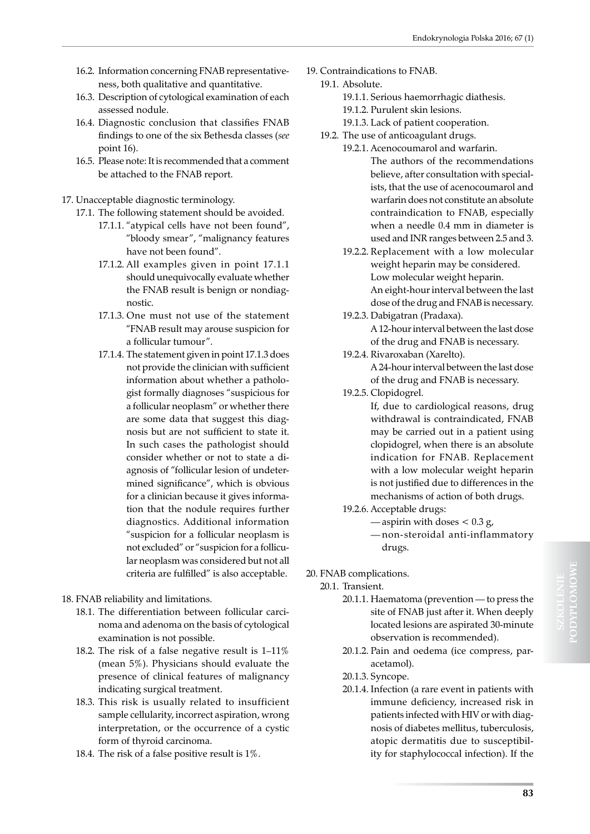- 16.2. Information concerning FNAB representativeness, both qualitative and quantitative.
- 16.3. Description of cytological examination of each assessed nodule.
- 16.4. Diagnostic conclusion that classifies FNAB findings to one of the six Bethesda classes (*see*  point 16).
- 16.5. Please note: It is recommended that a comment be attached to the FNAB report.

17. Unacceptable diagnostic terminology.

- 17.1. The following statement should be avoided.
	- 17.1.1. "atypical cells have not been found", "bloody smear", "malignancy features have not been found".
	- 17.1.2. All examples given in point 17.1.1 should unequivocally evaluate whether the FNAB result is benign or nondiagnostic.
	- 17.1.3. One must not use of the statement "FNAB result may arouse suspicion for a follicular tumour".
	- 17.1.4. The statement given in point 17.1.3 does not provide the clinician with sufficient information about whether a pathologist formally diagnoses "suspicious for a follicular neoplasm" or whether there are some data that suggest this diagnosis but are not sufficient to state it. In such cases the pathologist should consider whether or not to state a diagnosis of "follicular lesion of undetermined significance", which is obvious for a clinician because it gives information that the nodule requires further diagnostics. Additional information "suspicion for a follicular neoplasm is not excluded" or "suspicion for a follicular neoplasm was considered but not all criteria are fulfilled" is also acceptable.
- 18. FNAB reliability and limitations.
	- 18.1. The differentiation between follicular carcinoma and adenoma on the basis of cytological examination is not possible.
	- 18.2. The risk of a false negative result is 1–11% (mean 5%). Physicians should evaluate the presence of clinical features of malignancy indicating surgical treatment.
	- 18.3. This risk is usually related to insufficient sample cellularity, incorrect aspiration, wrong interpretation, or the occurrence of a cystic form of thyroid carcinoma.
	- 18.4. The risk of a false positive result is 1%.
- 19. Contraindications to FNAB.
	- 19.1. Absolute.
		- 19.1.1. Serious haemorrhagic diathesis.
		- 19.1.2. Purulent skin lesions.
		- 19.1.3. Lack of patient cooperation.
		- 19.2. The use of anticoagulant drugs.
			- 19.2.1. Acenocoumarol and warfarin. The authors of the recommendations believe, after consultation with specialists, that the use of acenocoumarol and warfarin does not constitute an absolute contraindication to FNAB, especially when a needle 0.4 mm in diameter is used and INR ranges between 2.5 and 3.
			- 19.2.2. Replacement with a low molecular weight heparin may be considered. Low molecular weight heparin. An eight-hour interval between the last dose of the drug and FNAB is necessary.
			- 19.2.3. Dabigatran (Pradaxa). A 12-hour interval between the last dose of the drug and FNAB is necessary.
			- 19.2.4. Rivaroxaban (Xarelto). A 24-hour interval between the last dose of the drug and FNAB is necessary.
			- 19.2.5. Clopidogrel.

If, due to cardiological reasons, drug withdrawal is contraindicated, FNAB may be carried out in a patient using clopidogrel, when there is an absolute indication for FNAB. Replacement with a low molecular weight heparin is not justified due to differences in the mechanisms of action of both drugs.

- 19.2.6. Acceptable drugs:
	- aspirin with doses  $< 0.3 g$ ,
	- non-steroidal anti-inflammatory drugs.

20. FNAB complications.

- 20.1. Transient.
	- 20.1.1. Haematoma (prevention to press the site of FNAB just after it. When deeply located lesions are aspirated 30-minute observation is recommended).
	- 20.1.2. Pain and oedema (ice compress, paracetamol).
	- 20.1.3. Syncope.
	- 20.1.4. Infection (a rare event in patients with immune deficiency, increased risk in patients infected with HIV or with diagnosis of diabetes mellitus, tuberculosis, atopic dermatitis due to susceptibility for staphylococcal infection). If the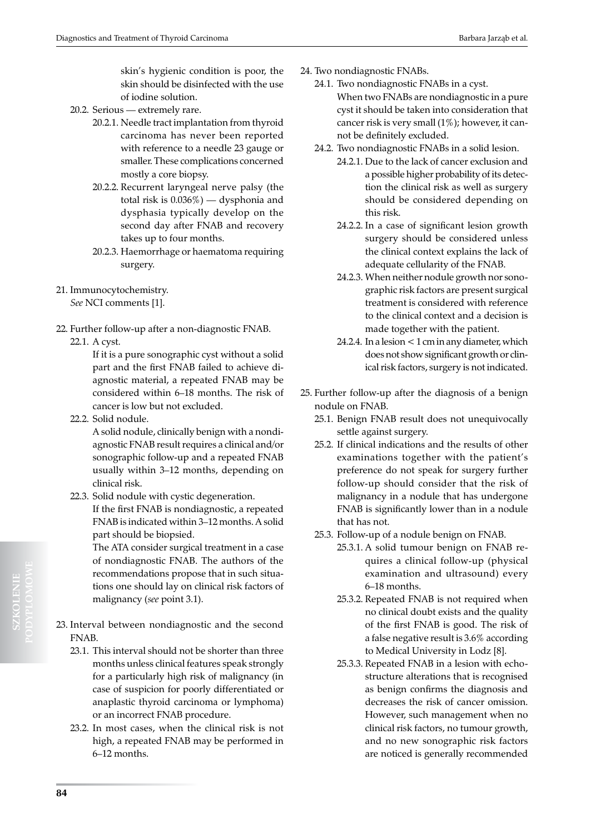skin's hygienic condition is poor, the skin should be disinfected with the use of iodine solution.

- 20.2. Serious extremely rare.
	- 20.2.1. Needle tract implantation from thyroid carcinoma has never been reported with reference to a needle 23 gauge or smaller. These complications concerned mostly a core biopsy.
	- 20.2.2. Recurrent laryngeal nerve palsy (the total risk is 0.036%) — dysphonia and dysphasia typically develop on the second day after FNAB and recovery takes up to four months.
	- 20.2.3. Haemorrhage or haematoma requiring surgery.
- 21. Immunocytochemistry. *See* NCI comments [1].
- 22. Further follow-up after a non-diagnostic FNAB. 22.1. A cyst.

If it is a pure sonographic cyst without a solid part and the first FNAB failed to achieve diagnostic material, a repeated FNAB may be considered within 6–18 months. The risk of cancer is low but not excluded.

22.2. Solid nodule.

A solid nodule, clinically benign with a nondiagnostic FNAB result requires a clinical and/or sonographic follow-up and a repeated FNAB usually within 3–12 months, depending on clinical risk.

22.3. Solid nodule with cystic degeneration. If the first FNAB is nondiagnostic, a repeated FNAB is indicated within 3–12 months. A solid part should be biopsied.

> The ATA consider surgical treatment in a case of nondiagnostic FNAB. The authors of the recommendations propose that in such situations one should lay on clinical risk factors of malignancy (*see* point 3.1).

- 23. Interval between nondiagnostic and the second FNAB.
	- 23.1. This interval should not be shorter than three months unless clinical features speak strongly for a particularly high risk of malignancy (in case of suspicion for poorly differentiated or anaplastic thyroid carcinoma or lymphoma) or an incorrect FNAB procedure.
	- 23.2. In most cases, when the clinical risk is not high, a repeated FNAB may be performed in 6–12 months.
- 24. Two nondiagnostic FNABs.
	- 24.1. Two nondiagnostic FNABs in a cyst. When two FNABs are nondiagnostic in a pure cyst it should be taken into consideration that cancer risk is very small (1%); however, it cannot be definitely excluded.
	- 24.2. Two nondiagnostic FNABs in a solid lesion.
		- 24.2.1. Due to the lack of cancer exclusion and a possible higher probability of its detection the clinical risk as well as surgery should be considered depending on this risk.
		- 24.2.2. In a case of significant lesion growth surgery should be considered unless the clinical context explains the lack of adequate cellularity of the FNAB.
		- 24.2.3. When neither nodule growth nor sonographic risk factors are present surgical treatment is considered with reference to the clinical context and a decision is made together with the patient.
		- 24.2.4. In a lesion < 1 cm in any diameter, which does not show significant growth or clinical risk factors, surgery is not indicated.
- 25. Further follow-up after the diagnosis of a benign nodule on FNAB.
	- 25.1. Benign FNAB result does not unequivocally settle against surgery.
	- 25.2. If clinical indications and the results of other examinations together with the patient's preference do not speak for surgery further follow-up should consider that the risk of malignancy in a nodule that has undergone FNAB is significantly lower than in a nodule that has not.
	- 25.3. Follow-up of a nodule benign on FNAB.
		- 25.3.1. A solid tumour benign on FNAB requires a clinical follow-up (physical examination and ultrasound) every 6–18 months.
		- 25.3.2. Repeated FNAB is not required when no clinical doubt exists and the quality of the first FNAB is good. The risk of a false negative result is 3.6% according to Medical University in Lodz [8].
		- 25.3.3. Repeated FNAB in a lesion with echostructure alterations that is recognised as benign confirms the diagnosis and decreases the risk of cancer omission. However, such management when no clinical risk factors, no tumour growth, and no new sonographic risk factors are noticed is generally recommended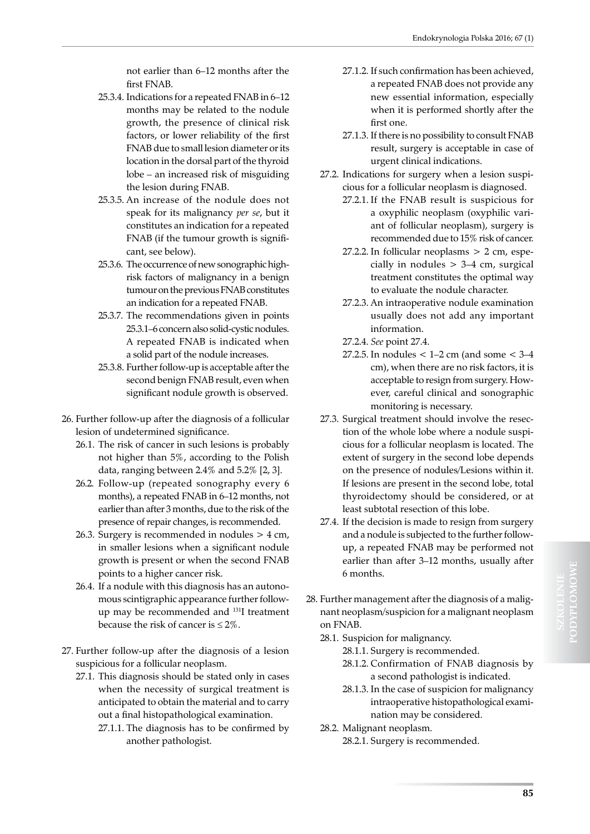not earlier than 6–12 months after the first FNAB.

- 25.3.4. Indications for a repeated FNAB in 6–12 months may be related to the nodule growth, the presence of clinical risk factors, or lower reliability of the first FNAB due to small lesion diameter or its location in the dorsal part of the thyroid lobe – an increased risk of misguiding the lesion during FNAB.
- 25.3.5. An increase of the nodule does not speak for its malignancy *per se*, but it constitutes an indication for a repeated FNAB (if the tumour growth is significant, see below).
- 25.3.6. The occurrence of new sonographic highrisk factors of malignancy in a benign tumour on the previous FNAB constitutes an indication for a repeated FNAB.
- 25.3.7. The recommendations given in points 25.3.1–6 concern also solid-cystic nodules. A repeated FNAB is indicated when a solid part of the nodule increases.
- 25.3.8. Further follow-up is acceptable after the second benign FNAB result, even when significant nodule growth is observed.
- 26. Further follow-up after the diagnosis of a follicular lesion of undetermined significance.
	- 26.1. The risk of cancer in such lesions is probably not higher than 5%, according to the Polish data, ranging between 2.4% and 5.2% [2, 3].
	- 26.2. Follow-up (repeated sonography every 6 months), a repeated FNAB in 6–12 months, not earlier than after 3 months, due to the risk of the presence of repair changes, is recommended.
	- 26.3. Surgery is recommended in nodules > 4 cm, in smaller lesions when a significant nodule growth is present or when the second FNAB points to a higher cancer risk.
	- 26.4. If a nodule with this diagnosis has an autonomous scintigraphic appearance further followup may be recommended and 131I treatment because the risk of cancer is  $\leq 2\%$ .
- 27. Further follow-up after the diagnosis of a lesion suspicious for a follicular neoplasm.
	- 27.1. This diagnosis should be stated only in cases when the necessity of surgical treatment is anticipated to obtain the material and to carry out a final histopathological examination.
		- 27.1.1. The diagnosis has to be confirmed by another pathologist.
- 27.1.2. If such confirmation has been achieved, a repeated FNAB does not provide any new essential information, especially when it is performed shortly after the first one.
- 27.1.3. If there is no possibility to consult FNAB result, surgery is acceptable in case of urgent clinical indications.
- 27.2. Indications for surgery when a lesion suspicious for a follicular neoplasm is diagnosed.
	- 27.2.1. If the FNAB result is suspicious for a oxyphilic neoplasm (oxyphilic variant of follicular neoplasm), surgery is recommended due to 15% risk of cancer.
	- 27.2.2. In follicular neoplasms  $> 2$  cm, especially in nodules > 3–4 cm, surgical treatment constitutes the optimal way to evaluate the nodule character.
	- 27.2.3. An intraoperative nodule examination usually does not add any important information.
	- 27.2.4. *See* point 27.4.
	- 27.2.5. In nodules  $< 1-2$  cm (and some  $< 3-4$ cm), when there are no risk factors, it is acceptable to resign from surgery. However, careful clinical and sonographic monitoring is necessary.
- 27.3. Surgical treatment should involve the resection of the whole lobe where a nodule suspicious for a follicular neoplasm is located. The extent of surgery in the second lobe depends on the presence of nodules/Lesions within it. If lesions are present in the second lobe, total thyroidectomy should be considered, or at least subtotal resection of this lobe.
- 27.4. If the decision is made to resign from surgery and a nodule is subjected to the further followup, a repeated FNAB may be performed not earlier than after 3–12 months, usually after 6 months.
- 28. Further management after the diagnosis of a malignant neoplasm/suspicion for a malignant neoplasm on FNAB.
	- 28.1. Suspicion for malignancy.
		- 28.1.1. Surgery is recommended.
		- 28.1.2. Confirmation of FNAB diagnosis by a second pathologist is indicated.
		- 28.1.3. In the case of suspicion for malignancy intraoperative histopathological examination may be considered.
	- 28.2. Malignant neoplasm.
		- 28.2.1. Surgery is recommended.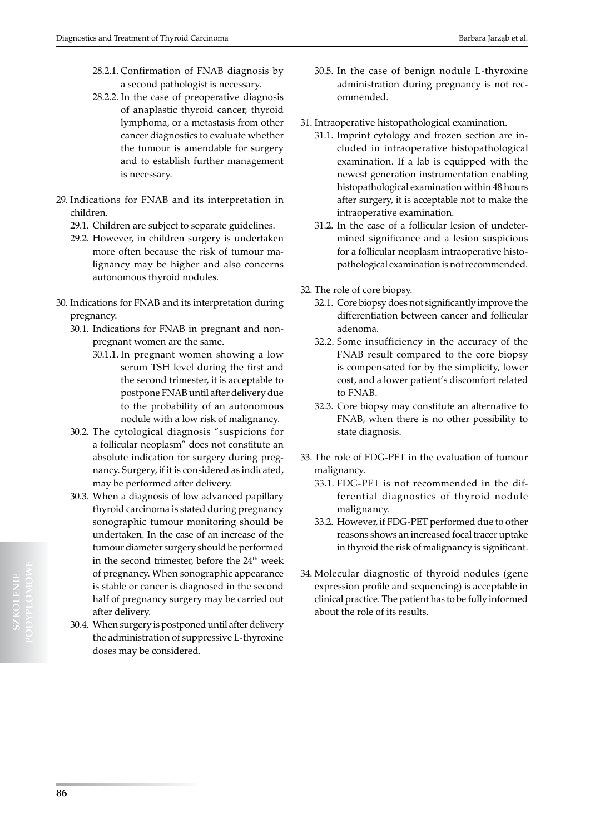- 28.2.1. Confirmation of FNAB diagnosis by a second pathologist is necessary.
- 28.2.2. In the case of preoperative diagnosis of anaplastic thyroid cancer, thyroid lymphoma, or a metastasis from other cancer diagnostics to evaluate whether the tumour is amendable for surgery and to establish further management is necessary.
- 29. Indications for FNAB and its interpretation in children.
	- 29.1. Children are subject to separate guidelines.
	- 29.2. However, in children surgery is undertaken more often because the risk of tumour malignancy may be higher and also concerns autonomous thyroid nodules.
- 30. Indications for FNAB and its interpretation during pregnancy.
	- 30.1. Indications for FNAB in pregnant and nonpregnant women are the same.
		- 30.1.1. In pregnant women showing a low serum TSH level during the first and the second trimester, it is acceptable to postpone FNAB until after delivery due to the probability of an autonomous nodule with a low risk of malignancy.
	- 30.2. The cytological diagnosis "suspicions for a follicular neoplasm" does not constitute an absolute indication for surgery during pregnancy. Surgery, if it is considered as indicated, may be performed after delivery.
	- 30.3. When a diagnosis of low advanced papillary thyroid carcinoma is stated during pregnancy sonographic tumour monitoring should be undertaken. In the case of an increase of the tumour diameter surgery should be performed in the second trimester, before the 24<sup>th</sup> week of pregnancy. When sonographic appearance is stable or cancer is diagnosed in the second half of pregnancy surgery may be carried out after delivery.
	- 30.4. When surgery is postponed until after delivery the administration of suppressive L-thyroxine doses may be considered.
- 30.5. In the case of benign nodule L-thyroxine administration during pregnancy is not recommended.
- 31. Intraoperative histopathological examination.
	- 31.1. Imprint cytology and frozen section are included in intraoperative histopathological examination. If a lab is equipped with the newest generation instrumentation enabling histopathological examination within 48 hours after surgery, it is acceptable not to make the intraoperative examination.
	- 31.2. In the case of a follicular lesion of undetermined significance and a lesion suspicious for a follicular neoplasm intraoperative histopathological examination is not recommended.
- 32. The role of core biopsy.
	- 32.1. Core biopsy does not significantly improve the differentiation between cancer and follicular adenoma.
	- 32.2. Some insufficiency in the accuracy of the FNAB result compared to the core biopsy is compensated for by the simplicity, lower cost, and a lower patient's discomfort related to FNAB.
	- 32.3. Core biopsy may constitute an alternative to FNAB, when there is no other possibility to state diagnosis.
- 33. The role of FDG-PET in the evaluation of tumour malignancy.
	- 33.1. FDG-PET is not recommended in the differential diagnostics of thyroid nodule malignancy.
	- 33.2. However, if FDG-PET performed due to other reasons shows an increased focal tracer uptake in thyroid the risk of malignancy is significant.
- 34. Molecular diagnostic of thyroid nodules (gene expression profile and sequencing) is acceptable in clinical practice. The patient has to be fully informed about the role of its results.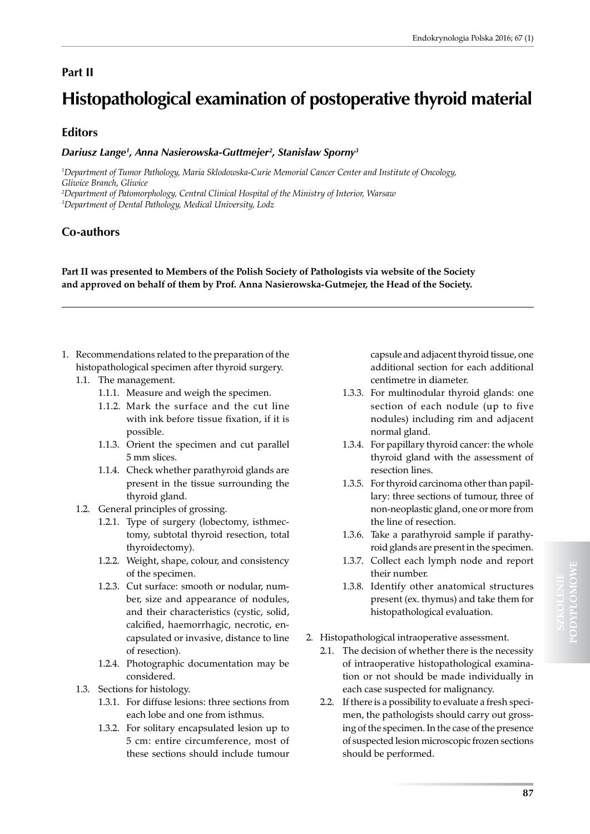# **Part II**

# **Histopathological examination of postoperative thyroid material**

# **Editors**

## *Dariusz Lange1 , Anna Nasierowska-Guttmejer2 , Stanisław Sporny<sup>3</sup>*

*1 Department of Tumor Pathology, Maria Sklodowska-Curie Memorial Cancer Center and Institute of Oncology, Gliwice Branch, Gliwice*

*2 Department of Patomorphology, Central Clinical Hospital of the Ministry of Interior, Warsaw 3 Department of Dental Pathology, Medical University, Lodz*

# **Co-authors**

**Part II was presented to Members of the Polish Society of Pathologists via website of the Society and approved on behalf of them by Prof. Anna Nasierowska-Gutmejer, the Head of the Society.**

- 1. Recommendations related to the preparation of the histopathological specimen after thyroid surgery.
	- 1.1. The management.
		- 1.1.1. Measure and weigh the specimen.
		- 1.1.2. Mark the surface and the cut line with ink before tissue fixation, if it is possible.
		- 1.1.3. Orient the specimen and cut parallel 5 mm slices.
		- 1.1.4. Check whether parathyroid glands are present in the tissue surrounding the thyroid gland.
	- 1.2. General principles of grossing.
		- 1.2.1. Type of surgery (lobectomy, isthmectomy, subtotal thyroid resection, total thyroidectomy).
		- 1.2.2. Weight, shape, colour, and consistency of the specimen.
		- 1.2.3. Cut surface: smooth or nodular, number, size and appearance of nodules, and their characteristics (cystic, solid, calcified, haemorrhagic, necrotic, encapsulated or invasive, distance to line of resection).
		- 1.2.4. Photographic documentation may be considered.
	- 1.3. Sections for histology.
		- 1.3.1. For diffuse lesions: three sections from each lobe and one from isthmus.
		- 1.3.2. For solitary encapsulated lesion up to 5 cm: entire circumference, most of these sections should include tumour

capsule and adjacent thyroid tissue, one additional section for each additional centimetre in diameter.

- 1.3.3. For multinodular thyroid glands: one section of each nodule (up to five nodules) including rim and adjacent normal gland.
- 1.3.4. For papillary thyroid cancer: the whole thyroid gland with the assessment of resection lines.
- 1.3.5. For thyroid carcinoma other than papillary: three sections of tumour, three of non-neoplastic gland, one or more from the line of resection.
- 1.3.6. Take a parathyroid sample if parathyroid glands are present in the specimen.
- 1.3.7. Collect each lymph node and report their number.
- 1.3.8. Identify other anatomical structures present (ex. thymus) and take them for histopathological evaluation.
- 2. Histopathological intraoperative assessment.
	- 2.1. The decision of whether there is the necessity of intraoperative histopathological examination or not should be made individually in each case suspected for malignancy.
	- 2.2. If there is a possibility to evaluate a fresh specimen, the pathologists should carry out grossing of the specimen. In the case of the presence of suspected lesion microscopic frozen sections should be performed.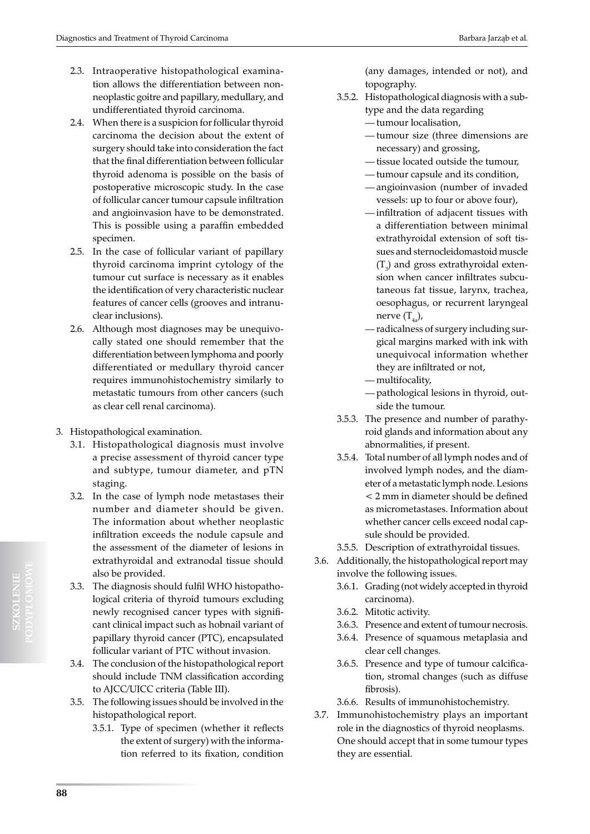- 2.3. Intraoperative histopathological examination allows the differentiation between nonneoplastic goitre and papillary, medullary, and undifferentiated thyroid carcinoma.
- 2.4. When there is a suspicion for follicular thyroid carcinoma the decision about the extent of surgery should take into consideration the fact that the final differentiation between follicular thyroid adenoma is possible on the basis of postoperative microscopic study. In the case of follicular cancer tumour capsule infiltration and angioinvasion have to be demonstrated. This is possible using a paraffin embedded specimen.
- 2.5. In the case of follicular variant of papillary thyroid carcinoma imprint cytology of the tumour cut surface is necessary as it enables the identification of very characteristic nuclear features of cancer cells (grooves and intranuclear inclusions).
- 2.6. Although most diagnoses may be unequivocally stated one should remember that the differentiation between lymphoma and poorly differentiated or medullary thyroid cancer requires immunohistochemistry similarly to metastatic tumours from other cancers (such as clear cell renal carcinoma).
- 3. Histopathological examination.
	- 3.1. Histopathological diagnosis must involve a precise assessment of thyroid cancer type and subtype, tumour diameter, and pTN staging.
	- 3.2. In the case of lymph node metastases their number and diameter should be given. The information about whether neoplastic infiltration exceeds the nodule capsule and the assessment of the diameter of lesions in extrathyroidal and extranodal tissue should also be provided.
	- 3.3. The diagnosis should fulfil WHO histopathological criteria of thyroid tumours excluding newly recognised cancer types with significant clinical impact such as hobnail variant of papillary thyroid cancer (PTC), encapsulated follicular variant of PTC without invasion.
	- 3.4. The conclusion of the histopathological report should include TNM classification according to AJCC/UICC criteria (Table III).
	- 3.5. The following issues should be involved in the histopathological report.
		- 3.5.1. Type of specimen (whether it reflects the extent of surgery) with the information referred to its fixation, condition

(any damages, intended or not), and topography.

- 3.5.2. Histopathological diagnosis with a subtype and the data regarding
	- tumour localisation,
	- tumour size (three dimensions are necessary) and grossing,
	- tissue located outside the tumour,
	- tumour capsule and its condition,
	- angioinvasion (number of invaded vessels: up to four or above four),
	- infiltration of adjacent tissues with a differentiation between minimal extrathyroidal extension of soft tissues and sternocleidomastoid muscle  $(T_3)$  and gross extrathyroidal extension when cancer infiltrates subcutaneous fat tissue, larynx, trachea, oesophagus, or recurrent laryngeal nerve  $(T_{4a})$ ,
	- radicalness of surgery including surgical margins marked with ink with unequivocal information whether they are infiltrated or not,
	- multifocality,
	- pathological lesions in thyroid, outside the tumour.
- 3.5.3. The presence and number of parathyroid glands and information about any abnormalities, if present.
- 3.5.4. Total number of all lymph nodes and of involved lymph nodes, and the diameter of a metastatic lymph node. Lesions < 2 mm in diameter should be defined as micrometastases. Information about whether cancer cells exceed nodal capsule should be provided.
- 3.5.5. Description of extrathyroidal tissues.
- 3.6. Additionally, the histopathological report may involve the following issues.
	- 3.6.1. Grading (not widely accepted in thyroid carcinoma).
	- 3.6.2. Mitotic activity.
	- 3.6.3. Presence and extent of tumour necrosis.
	- 3.6.4. Presence of squamous metaplasia and clear cell changes.
	- 3.6.5. Presence and type of tumour calcification, stromal changes (such as diffuse fibrosis).
	- 3.6.6. Results of immunohistochemistry.
- 3.7. Immunohistochemistry plays an important role in the diagnostics of thyroid neoplasms. One should accept that in some tumour types they are essential.

**88**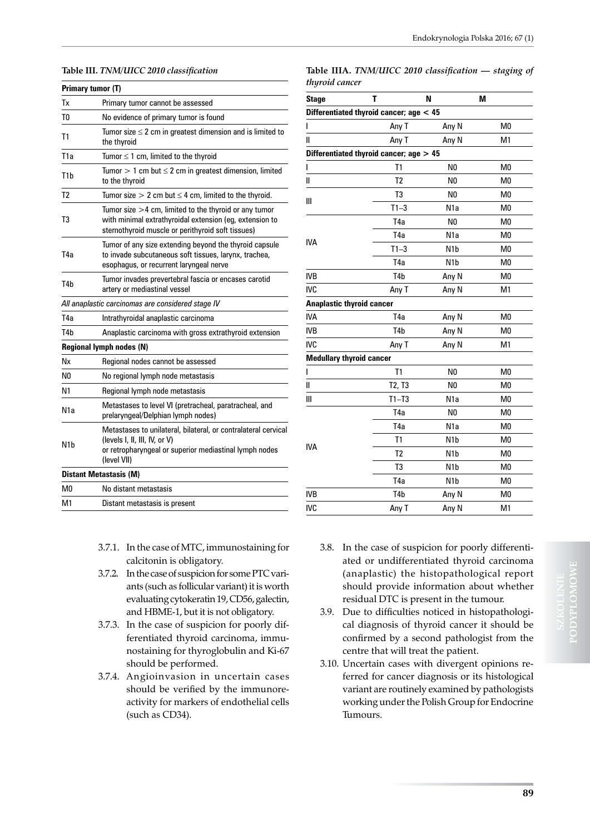#### **Table III.** *TNM/UICC 2010 classification*

|                  | Primary tumor (T)                                                                                                                                                        |
|------------------|--------------------------------------------------------------------------------------------------------------------------------------------------------------------------|
| Tх               | Primary tumor cannot be assessed                                                                                                                                         |
| T0               | No evidence of primary tumor is found                                                                                                                                    |
| T <sub>1</sub>   | Tumor size $\leq 2$ cm in greatest dimension and is limited to<br>the thyroid                                                                                            |
| T1a              | Tumor $\leq 1$ cm, limited to the thyroid                                                                                                                                |
| T <sub>1</sub> b | Tumor $> 1$ cm but $\leq 2$ cm in greatest dimension, limited<br>to the thyroid                                                                                          |
| T <sub>2</sub>   | Tumor size $> 2$ cm but $\leq 4$ cm, limited to the thyroid.                                                                                                             |
| T3               | Tumor size $>4$ cm, limited to the thyroid or any tumor<br>with minimal extrathyroidal extension (eg, extension to<br>sternothyroid muscle or perithyroid soft tissues)  |
| T <sub>4</sub> a | Tumor of any size extending beyond the thyroid capsule<br>to invade subcutaneous soft tissues, larynx, trachea,<br>esophagus, or recurrent laryngeal nerve               |
| T <sub>4</sub> b | Tumor invades prevertebral fascia or encases carotid<br>artery or mediastinal vessel                                                                                     |
|                  | All anaplastic carcinomas are considered stage IV                                                                                                                        |
| T4a              | Intrathyroidal anaplastic carcinoma                                                                                                                                      |
| T4h              | Anaplastic carcinoma with gross extrathyroid extension                                                                                                                   |
|                  | <b>Regional lymph nodes (N)</b>                                                                                                                                          |
| Nx               | Regional nodes cannot be assessed                                                                                                                                        |
| N0               | No regional lymph node metastasis                                                                                                                                        |
| N <sub>1</sub>   | Regional lymph node metastasis                                                                                                                                           |
| N <sub>1</sub> a | Metastases to level VI (pretracheal, paratracheal, and<br>prelaryngeal/Delphian lymph nodes)                                                                             |
| N <sub>1</sub> b | Metastases to unilateral, bilateral, or contralateral cervical<br>(levels I, II, III, IV, or V)<br>or retropharyngeal or superior mediastinal lymph nodes<br>(level VII) |
|                  | <b>Distant Metastasis (M)</b>                                                                                                                                            |
| M0               | No distant metastasis                                                                                                                                                    |
| M1               | Distant metastasis is present                                                                                                                                            |

- 3.7.1. In the case of MTC, immunostaining for calcitonin is obligatory.
- 3.7.2. In the case of suspicion for some PTC variants (such as follicular variant) it is worth evaluating cytokeratin 19, CD56, galectin, and HBME-1, but it is not obligatory.
- 3.7.3. In the case of suspicion for poorly differentiated thyroid carcinoma, immunostaining for thyroglobulin and Ki-67 should be performed.
- 3.7.4. Angioinvasion in uncertain cases should be verified by the immunoreactivity for markers of endothelial cells (such as CD34).

**Table IIIA.** *TNM/UICC 2010 classification — staging of thyroid cancer*

| <b>Stage</b>                     | T                                         | N                | M              |
|----------------------------------|-------------------------------------------|------------------|----------------|
|                                  | Differentiated thyroid cancer; $age < 45$ |                  |                |
| ı                                | Any T                                     | Any N            | M <sub>0</sub> |
| Ш                                | Any T                                     | Any N            | M <sub>1</sub> |
|                                  | Differentiated thyroid cancer; $age > 45$ |                  |                |
| I                                | T1                                        | N <sub>0</sub>   | M <sub>0</sub> |
| Ш                                | T <sub>2</sub>                            | N <sub>0</sub>   | M <sub>0</sub> |
|                                  | T <sub>3</sub>                            | N <sub>0</sub>   | M <sub>0</sub> |
| Ш                                | $T1-3$                                    | N <sub>1</sub> a | M <sub>0</sub> |
|                                  | T <sub>4</sub> a                          | N <sub>0</sub>   | M <sub>0</sub> |
|                                  | T <sub>4</sub> a                          | N1a              | M <sub>0</sub> |
| <b>IVA</b>                       | $T1-3$                                    | N <sub>1</sub> b | M <sub>0</sub> |
|                                  | T <sub>4</sub> a                          | N <sub>1</sub> b | M <sub>0</sub> |
| <b>IVB</b>                       | T <sub>4</sub> b                          | Any N            | M <sub>0</sub> |
| <b>IVC</b>                       | Any T                                     | Any N            | M1             |
| <b>Anaplastic thyroid cancer</b> |                                           |                  |                |
| <b>IVA</b>                       | T <sub>4</sub> a                          | Any N            | M <sub>0</sub> |
| <b>IVB</b>                       | T <sub>4</sub> b                          | Any N            | M <sub>0</sub> |
| <b>IVC</b>                       | Any T                                     | Any N            | M1             |
| <b>Medullary thyroid cancer</b>  |                                           |                  |                |
| L                                | T1                                        | N <sub>0</sub>   | M <sub>0</sub> |
| Ш                                | T2, T3                                    | N <sub>0</sub>   | M <sub>0</sub> |
| Ш                                | $T1 - T3$                                 | N <sub>1</sub> a | M <sub>0</sub> |
|                                  | T <sub>4</sub> a                          | N <sub>0</sub>   | M <sub>0</sub> |
|                                  | T <sub>4</sub> a                          | N <sub>1</sub> a | M <sub>0</sub> |
|                                  | T1                                        | N <sub>1</sub> b | M <sub>0</sub> |
| <b>IVA</b>                       | T <sub>2</sub>                            | N <sub>1</sub> b | M <sub>0</sub> |
|                                  | T <sub>3</sub>                            | N <sub>1</sub> b | M <sub>0</sub> |
|                                  | T <sub>4</sub> a                          | N <sub>1</sub> b | M <sub>0</sub> |
| <b>IVB</b>                       | T <sub>4</sub> b                          | Any N            | M <sub>0</sub> |
| <b>IVC</b>                       | Any T                                     | Any N            | M <sub>1</sub> |

- 3.8. In the case of suspicion for poorly differentiated or undifferentiated thyroid carcinoma (anaplastic) the histopathological report should provide information about whether residual DTC is present in the tumour.
- 3.9. Due to difficulties noticed in histopathological diagnosis of thyroid cancer it should be confirmed by a second pathologist from the centre that will treat the patient.
- 3.10. Uncertain cases with divergent opinions referred for cancer diagnosis or its histological variant are routinely examined by pathologists working under the Polish Group for Endocrine Tumours.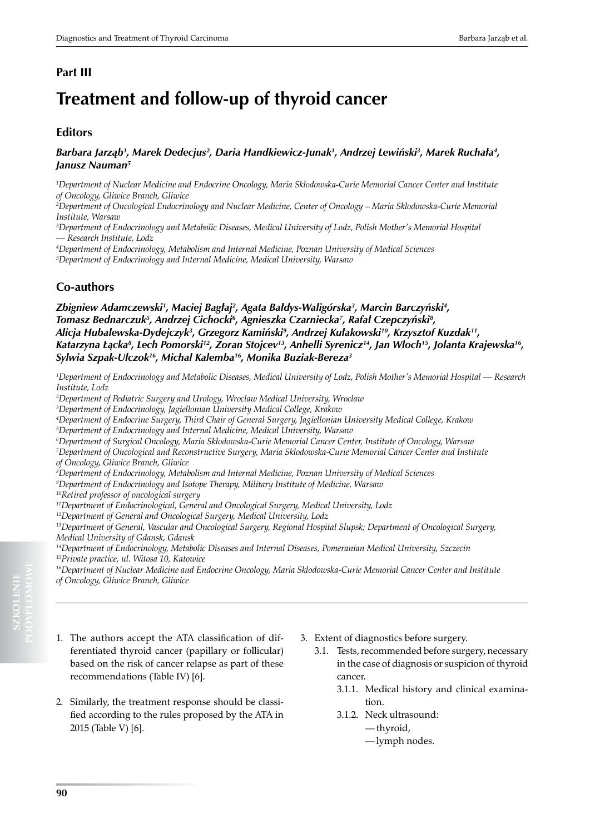# **Treatment and follow-up of thyroid cancer**

## **Editors**

## *Barbara Jarząb<sup>1</sup> , Marek Dedecjus2 , Daria Handkiewicz-Junak1 , Andrzej Lewiński<sup>3</sup> , Marek Ruchała<sup>4</sup> , Janusz Nauman5*

*1 Department of Nuclear Medicine and Endocrine Oncology, Maria Sklodowska-Curie Memorial Cancer Center and Institute of Oncology, Gliwice Branch, Gliwice*

*2 Department of Oncological Endocrinology and Nuclear Medicine, Center of Oncology – Maria Sklodowska-Curie Memorial Institute, Warsaw*

<sup>3</sup>Department of Endocrinology and Metabolic Diseases, Medical University of Lodz, Polish Mother's Memorial Hospital *— Research Institute, Lodz*

*4 Department of Endocrinology, Metabolism and Internal Medicine, Poznan University of Medical Sciences*

*5 Department of Endocrinology and Internal Medicine, Medical University, Warsaw*

# **Co-authors**

Zbigniew Adamczewski', Maciej Bagłaj<sup>2</sup>, Agata Bałdys-Waligórska<sup>3</sup>, Marcin Barczyński<del>'</del>, *Tomasz Bednarczuk5 , Andrzej Cichocki6 , Agnieszka Czarniecka7 , Rafał Czepczyński<sup>8</sup> , Alicja Hubalewska-Dydejczyk<sup>3</sup> , Grzegorz Kamiński<sup>9</sup> , Andrzej Kułakowski<sup>10</sup>, Krzysztof Kuzdak11, Katarzyna Łącka<sup>8</sup> , Lech Pomorski12, Zoran Stojcev13, Anhelli Syrenicz<sup>14</sup>, Jan Włoch<sup>15</sup>, Jolanta Krajewska16, Sylwia Szpak-Ulczok<sup>16</sup>, Michal Kalemba16, Monika Buziak-Bereza3*

*1 Department of Endocrinology and Metabolic Diseases, Medical University of Lodz, Polish Mother's Memorial Hospital — Research Institute, Lodz*

*2 Department of Pediatric Surgery and Urology, Wroclaw Medical University, Wroclaw*

*3 Department of Endocrinology, Jagiellonian University Medical College, Krakow* 

*4 Department of Endocrine Surgery, Third Chair of General Surgery, Jagiellonian University Medical College, Krakow*

- *5 Department of Endocrinology and Internal Medicine, Medical University, Warsaw*
- *6 Department of Surgical Oncology, Maria Skłodowska-Curie Memorial Cancer Center, Institute of Oncology, Warsaw*

*7 Department of Oncological and Reconstructive Surgery, Maria Sklodowska-Curie Memorial Cancer Center and Institute of Oncology, Gliwice Branch, Gliwice*

*8 Department of Endocrinology, Metabolism and Internal Medicine, Poznan University of Medical Sciences*

*9 Department of Endocrinology and Isotope Therapy, Military Institute of Medicine, Warsaw*

*10Retired professor of oncological surgery*

*11Department of Endocrinological, General and Oncological Surgery, Medical University, Lodz*

*12Department of General and Oncological Surgery, Medical University, Lodz* 

*13Department of General, Vascular and Oncological Surgery, Regional Hospital Slupsk; Department of Oncological Surgery, Medical University of Gdansk, Gdansk*

*14Department of Endocrinology, Metabolic Diseases and Internal Diseases, Pomeranian Medical University, Szczecin 15Private practice, ul. Witosa 10, Katowice*

*16Department of Nuclear Medicine and Endocrine Oncology, Maria Sklodowska-Curie Memorial Cancer Center and Institute of Oncology, Gliwice Branch, Gliwice*

- 1. The authors accept the ATA classification of differentiated thyroid cancer (papillary or follicular) based on the risk of cancer relapse as part of these recommendations (Table IV) [6].
- 2. Similarly, the treatment response should be classified according to the rules proposed by the ATA in 2015 (Table V) [6].
- 3. Extent of diagnostics before surgery.
	- 3.1. Tests, recommended before surgery, necessary in the case of diagnosis or suspicion of thyroid cancer.
		- 3.1.1. Medical history and clinical examination.
		- 3.1.2. Neck ultrasound:
			- thyroid,
			- lymph nodes.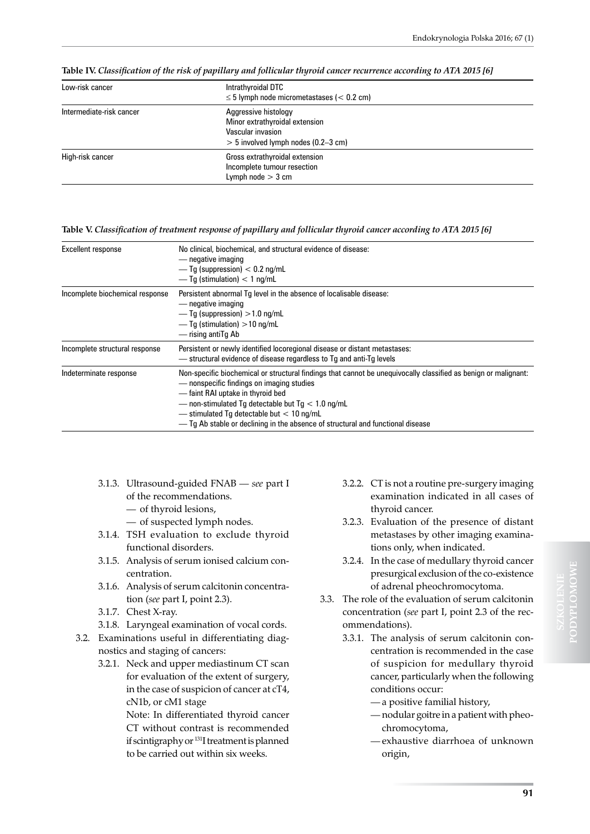| Low-risk cancer          | Intrathyroidal DTC<br>$\leq$ 5 lymph node micrometastases ( $<$ 0.2 cm)                                              |
|--------------------------|----------------------------------------------------------------------------------------------------------------------|
| Intermediate-risk cancer | Aggressive histology<br>Minor extrathyroidal extension<br>Vascular invasion<br>$> 5$ involved lymph nodes (0.2-3 cm) |
| High-risk cancer         | Gross extrathyroidal extension<br>Incomplete tumour resection<br>Lymph node $>$ 3 cm                                 |

**Table IV.** *Classification of the risk of papillary and follicular thyroid cancer recurrence according to ATA 2015 [6]*

**Table V.** *Classification of treatment response of papillary and follicular thyroid cancer according to ATA 2015 [6]*

| Excellent response              | No clinical, biochemical, and structural evidence of disease:<br>— negative imaging<br>— $Tg$ (suppression) $< 0.2$ ng/mL<br>$-$ Tq (stimulation) < 1 ng/mL                                                                                                                                                                                                                                 |
|---------------------------------|---------------------------------------------------------------------------------------------------------------------------------------------------------------------------------------------------------------------------------------------------------------------------------------------------------------------------------------------------------------------------------------------|
| Incomplete biochemical response | Persistent abnormal Tg level in the absence of localisable disease:<br>— negative imaging<br>— Tq (suppression) $>1.0$ ng/mL<br>$-$ Tq (stimulation) $>$ 10 ng/mL<br>— rising antiTg Ab                                                                                                                                                                                                     |
| Incomplete structural response  | Persistent or newly identified locoregional disease or distant metastases:<br>- structural evidence of disease regardless to Tg and anti-Tg levels                                                                                                                                                                                                                                          |
| Indeterminate response          | Non-specific biochemical or structural findings that cannot be unequivocally classified as benign or malignant:<br>— nonspecific findings on imaging studies<br>-faint RAI uptake in thyroid bed<br>- non-stimulated Tq detectable but $Tq < 1.0$ nq/mL<br>$-$ stimulated Tq detectable but $< 10$ ng/mL<br>- Tg Ab stable or declining in the absence of structural and functional disease |

- 3.1.3. Ultrasound-guided FNAB *see* part I of the recommendations.
	- of thyroid lesions,
	- of suspected lymph nodes.
- 3.1.4. TSH evaluation to exclude thyroid functional disorders.
- 3.1.5. Analysis of serum ionised calcium concentration.
- 3.1.6. Analysis of serum calcitonin concentration (*see* part I, point 2.3).
- 3.1.7. Chest X-ray.
- 3.1.8. Laryngeal examination of vocal cords.
- 3.2. Examinations useful in differentiating diagnostics and staging of cancers:
	- 3.2.1. Neck and upper mediastinum CT scan for evaluation of the extent of surgery, in the case of suspicion of cancer at cT4, cN1b, or cM1 stage

Note: In differentiated thyroid cancer CT without contrast is recommended if scintigraphy or <sup>131</sup>I treatment is planned to be carried out within six weeks.

- 3.2.2. CT is not a routine pre-surgery imaging examination indicated in all cases of thyroid cancer.
- 3.2.3. Evaluation of the presence of distant metastases by other imaging examinations only, when indicated.
- 3.2.4. In the case of medullary thyroid cancer presurgical exclusion of the co-existence of adrenal pheochromocytoma.
- 3.3. The role of the evaluation of serum calcitonin concentration (*see* part I, point 2.3 of the recommendations).
	- 3.3.1. The analysis of serum calcitonin concentration is recommended in the case of suspicion for medullary thyroid cancer, particularly when the following conditions occur:
		- a positive familial history,
		- nodular goitre in a patient with pheochromocytoma,
		- exhaustive diarrhoea of unknown origin,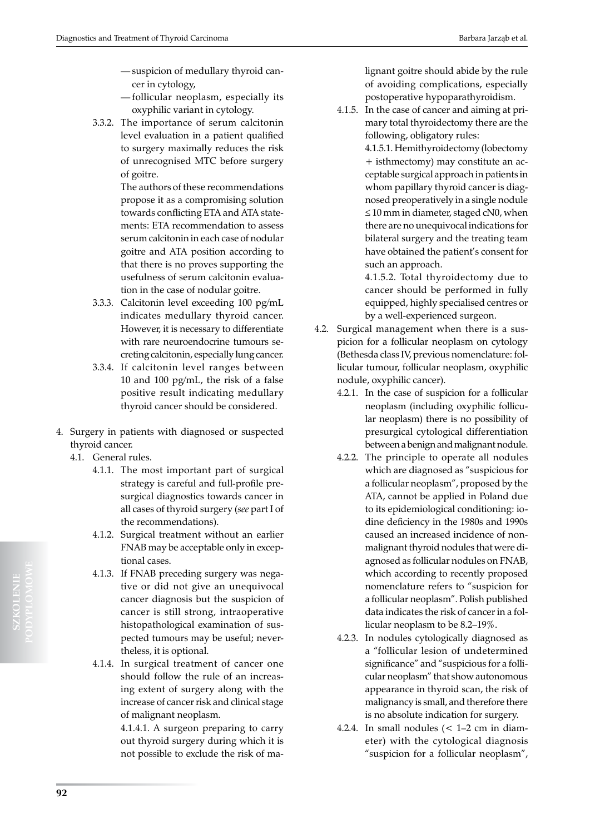- suspicion of medullary thyroid cancer in cytology,
- follicular neoplasm, especially its oxyphilic variant in cytology.
- 3.3.2. The importance of serum calcitonin level evaluation in a patient qualified to surgery maximally reduces the risk of unrecognised MTC before surgery of goitre.

The authors of these recommendations propose it as a compromising solution towards conflicting ETA and ATA statements: ETA recommendation to assess serum calcitonin in each case of nodular goitre and ATA position according to that there is no proves supporting the usefulness of serum calcitonin evaluation in the case of nodular goitre.

- 3.3.3. Calcitonin level exceeding 100 pg/mL indicates medullary thyroid cancer. However, it is necessary to differentiate with rare neuroendocrine tumours secreting calcitonin, especially lung cancer.
- 3.3.4. If calcitonin level ranges between 10 and 100 pg/mL, the risk of a false positive result indicating medullary thyroid cancer should be considered.
- 4. Surgery in patients with diagnosed or suspected thyroid cancer.
	- 4.1. General rules.
		- 4.1.1. The most important part of surgical strategy is careful and full-profile presurgical diagnostics towards cancer in all cases of thyroid surgery (*see* part I of the recommendations).
		- 4.1.2. Surgical treatment without an earlier FNAB may be acceptable only in exceptional cases.
		- 4.1.3. If FNAB preceding surgery was negative or did not give an unequivocal cancer diagnosis but the suspicion of cancer is still strong, intraoperative histopathological examination of suspected tumours may be useful; nevertheless, it is optional.
		- 4.1.4. In surgical treatment of cancer one should follow the rule of an increasing extent of surgery along with the increase of cancer risk and clinical stage of malignant neoplasm.

4.1.4.1. A surgeon preparing to carry out thyroid surgery during which it is not possible to exclude the risk of malignant goitre should abide by the rule of avoiding complications, especially postoperative hypoparathyroidism.

4.1.5. In the case of cancer and aiming at primary total thyroidectomy there are the following, obligatory rules:

> 4.1.5.1. Hemithyroidectomy (lobectomy + isthmectomy) may constitute an acceptable surgical approach in patients in whom papillary thyroid cancer is diagnosed preoperatively in a single nodule ≤ 10 mm in diameter, staged cN0, when there are no unequivocal indications for bilateral surgery and the treating team have obtained the patient's consent for such an approach.

> 4.1.5.2. Total thyroidectomy due to cancer should be performed in fully equipped, highly specialised centres or by a well-experienced surgeon.

- 4.2. Surgical management when there is a suspicion for a follicular neoplasm on cytology (Bethesda class IV, previous nomenclature: follicular tumour, follicular neoplasm, oxyphilic nodule, oxyphilic cancer).
	- 4.2.1. In the case of suspicion for a follicular neoplasm (including oxyphilic follicular neoplasm) there is no possibility of presurgical cytological differentiation between a benign and malignant nodule.
	- 4.2.2. The principle to operate all nodules which are diagnosed as "suspicious for a follicular neoplasm", proposed by the ATA, cannot be applied in Poland due to its epidemiological conditioning: iodine deficiency in the 1980s and 1990s caused an increased incidence of nonmalignant thyroid nodules that were diagnosed as follicular nodules on FNAB, which according to recently proposed nomenclature refers to "suspicion for a follicular neoplasm". Polish published data indicates the risk of cancer in a follicular neoplasm to be 8.2–19%.
	- 4.2.3. In nodules cytologically diagnosed as a "follicular lesion of undetermined significance" and "suspicious for a follicular neoplasm" that show autonomous appearance in thyroid scan, the risk of malignancy is small, and therefore there is no absolute indication for surgery.
	- 4.2.4. In small nodules (< 1–2 cm in diameter) with the cytological diagnosis "suspicion for a follicular neoplasm",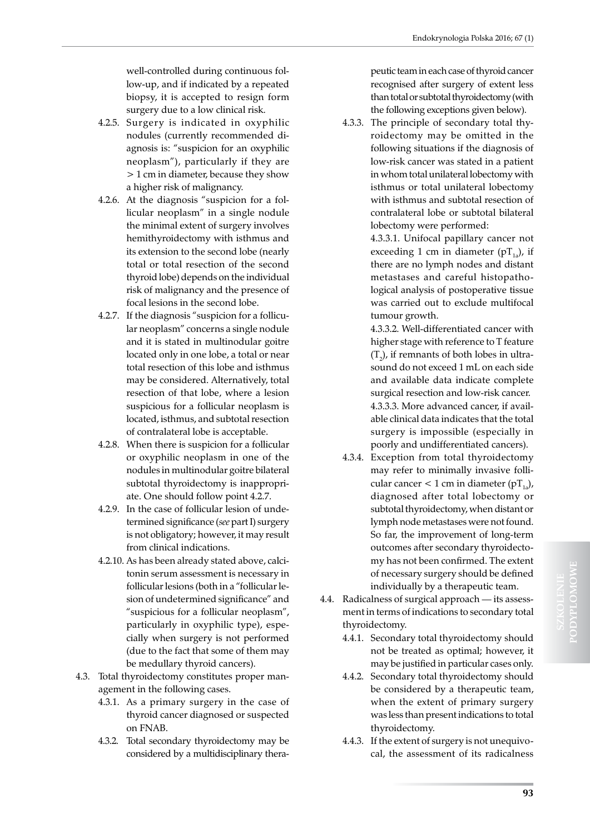well-controlled during continuous follow-up, and if indicated by a repeated biopsy, it is accepted to resign form surgery due to a low clinical risk.

- 4.2.5. Surgery is indicated in oxyphilic nodules (currently recommended diagnosis is: "suspicion for an oxyphilic neoplasm"), particularly if they are > 1 cm in diameter, because they show a higher risk of malignancy.
- 4.2.6. At the diagnosis "suspicion for a follicular neoplasm" in a single nodule the minimal extent of surgery involves hemithyroidectomy with isthmus and its extension to the second lobe (nearly total or total resection of the second thyroid lobe) depends on the individual risk of malignancy and the presence of focal lesions in the second lobe.
- 4.2.7. If the diagnosis "suspicion for a follicular neoplasm" concerns a single nodule and it is stated in multinodular goitre located only in one lobe, a total or near total resection of this lobe and isthmus may be considered. Alternatively, total resection of that lobe, where a lesion suspicious for a follicular neoplasm is located, isthmus, and subtotal resection of contralateral lobe is acceptable.
- 4.2.8. When there is suspicion for a follicular or oxyphilic neoplasm in one of the nodules in multinodular goitre bilateral subtotal thyroidectomy is inappropriate. One should follow point 4.2.7.
- 4.2.9. In the case of follicular lesion of undetermined significance (*see* part I) surgery is not obligatory; however, it may result from clinical indications.
- 4.2.10. As has been already stated above, calcitonin serum assessment is necessary in follicular lesions (both in a "follicular lesion of undetermined significance" and "suspicious for a follicular neoplasm", particularly in oxyphilic type), especially when surgery is not performed (due to the fact that some of them may be medullary thyroid cancers).
- 4.3. Total thyroidectomy constitutes proper management in the following cases.
	- 4.3.1. As a primary surgery in the case of thyroid cancer diagnosed or suspected on FNAB.
	- 4.3.2. Total secondary thyroidectomy may be considered by a multidisciplinary thera-

peutic team in each case of thyroid cancer recognised after surgery of extent less than total or subtotal thyroidectomy (with the following exceptions given below).

4.3.3. The principle of secondary total thyroidectomy may be omitted in the following situations if the diagnosis of low-risk cancer was stated in a patient in whom total unilateral lobectomy with isthmus or total unilateral lobectomy with isthmus and subtotal resection of contralateral lobe or subtotal bilateral lobectomy were performed:

4.3.3.1. Unifocal papillary cancer not exceeding 1 cm in diameter ( $pT_{1a}$ ), if there are no lymph nodes and distant metastases and careful histopathological analysis of postoperative tissue was carried out to exclude multifocal tumour growth.

4.3.3.2. Well-differentiated cancer with higher stage with reference to T feature  $(T_2)$ , if remnants of both lobes in ultrasound do not exceed 1 mL on each side and available data indicate complete surgical resection and low-risk cancer. 4.3.3.3. More advanced cancer, if available clinical data indicates that the total surgery is impossible (especially in poorly and undifferentiated cancers).

- 4.3.4. Exception from total thyroidectomy may refer to minimally invasive follicular cancer < 1 cm in diameter  $(pT_{1})$ , diagnosed after total lobectomy or subtotal thyroidectomy, when distant or lymph node metastases were not found. So far, the improvement of long-term outcomes after secondary thyroidectomy has not been confirmed. The extent of necessary surgery should be defined individually by a therapeutic team.
- 4.4. Radicalness of surgical approach its assessment in terms of indications to secondary total thyroidectomy.
	- 4.4.1. Secondary total thyroidectomy should not be treated as optimal; however, it may be justified in particular cases only.
	- 4.4.2. Secondary total thyroidectomy should be considered by a therapeutic team, when the extent of primary surgery was less than present indications to total thyroidectomy.
	- 4.4.3. If the extent of surgery is not unequivocal, the assessment of its radicalness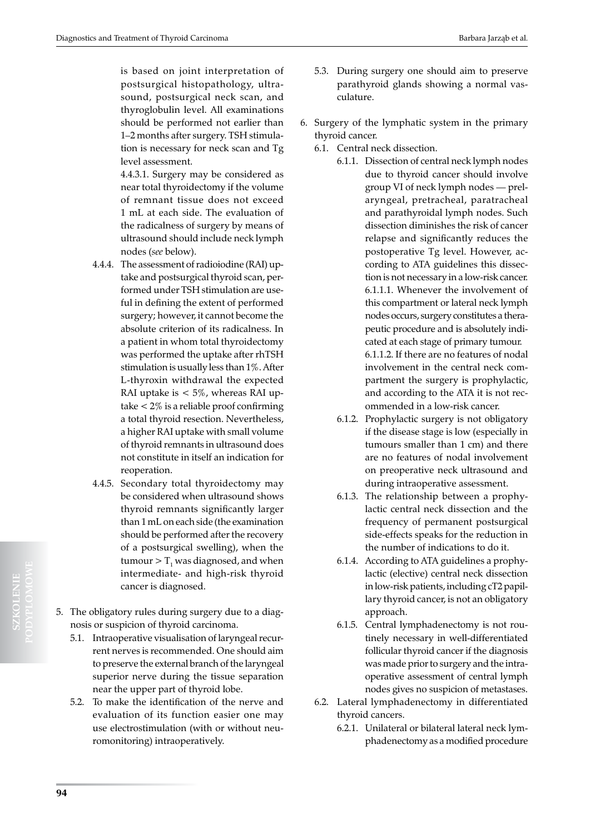4.4.3.1. Surgery may be considered as near total thyroidectomy if the volume of remnant tissue does not exceed 1 mL at each side. The evaluation of the radicalness of surgery by means of ultrasound should include neck lymph nodes (*see* below).

- 4.4.4. The assessment of radioiodine (RAI) uptake and postsurgical thyroid scan, performed under TSH stimulation are useful in defining the extent of performed surgery; however, it cannot become the absolute criterion of its radicalness. In a patient in whom total thyroidectomy was performed the uptake after rhTSH stimulation is usually less than 1%. After L-thyroxin withdrawal the expected RAI uptake is  $< 5\%$ , whereas RAI uptake < 2% is a reliable proof confirming a total thyroid resection. Nevertheless, a higher RAI uptake with small volume of thyroid remnants in ultrasound does not constitute in itself an indication for reoperation.
- 4.4.5. Secondary total thyroidectomy may be considered when ultrasound shows thyroid remnants significantly larger than 1 mL on each side (the examination should be performed after the recovery of a postsurgical swelling), when the tumour  $>$  T<sub>1</sub> was diagnosed, and when intermediate- and high-risk thyroid cancer is diagnosed.
- 5. The obligatory rules during surgery due to a diagnosis or suspicion of thyroid carcinoma.
	- 5.1. Intraoperative visualisation of laryngeal recurrent nerves is recommended. One should aim to preserve the external branch of the laryngeal superior nerve during the tissue separation near the upper part of thyroid lobe.
	- 5.2. To make the identification of the nerve and evaluation of its function easier one may use electrostimulation (with or without neuromonitoring) intraoperatively.
- 5.3. During surgery one should aim to preserve parathyroid glands showing a normal vasculature.
- 6. Surgery of the lymphatic system in the primary thyroid cancer.
	- 6.1. Central neck dissection.
		- 6.1.1. Dissection of central neck lymph nodes due to thyroid cancer should involve group VI of neck lymph nodes — prelaryngeal, pretracheal, paratracheal and parathyroidal lymph nodes. Such dissection diminishes the risk of cancer relapse and significantly reduces the postoperative Tg level. However, according to ATA guidelines this dissection is not necessary in a low-risk cancer. 6.1.1.1. Whenever the involvement of this compartment or lateral neck lymph nodes occurs, surgery constitutes a therapeutic procedure and is absolutely indicated at each stage of primary tumour. 6.1.1.2. If there are no features of nodal involvement in the central neck compartment the surgery is prophylactic, and according to the ATA it is not recommended in a low-risk cancer.
		- 6.1.2. Prophylactic surgery is not obligatory if the disease stage is low (especially in tumours smaller than 1 cm) and there are no features of nodal involvement on preoperative neck ultrasound and during intraoperative assessment.
		- 6.1.3. The relationship between a prophylactic central neck dissection and the frequency of permanent postsurgical side-effects speaks for the reduction in the number of indications to do it.
		- 6.1.4. According to ATA guidelines a prophylactic (elective) central neck dissection in low-risk patients, including cT2 papillary thyroid cancer, is not an obligatory approach.
		- 6.1.5. Central lymphadenectomy is not routinely necessary in well-differentiated follicular thyroid cancer if the diagnosis was made prior to surgery and the intraoperative assessment of central lymph nodes gives no suspicion of metastases.
	- 6.2. Lateral lymphadenectomy in differentiated thyroid cancers.
		- 6.2.1. Unilateral or bilateral lateral neck lymphadenectomy as a modified procedure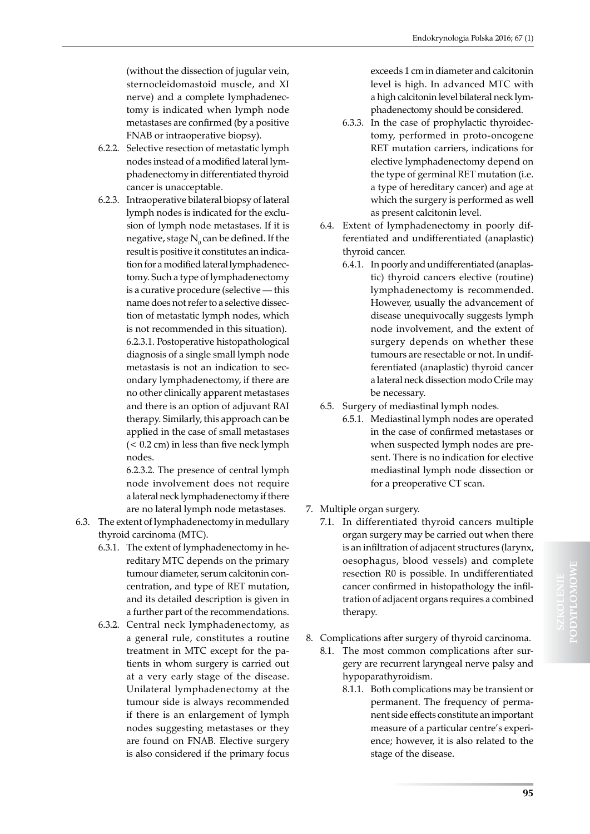(without the dissection of jugular vein, sternocleidomastoid muscle, and XI nerve) and a complete lymphadenectomy is indicated when lymph node metastases are confirmed (by a positive FNAB or intraoperative biopsy).

- 6.2.2. Selective resection of metastatic lymph nodes instead of a modified lateral lymphadenectomy in differentiated thyroid cancer is unacceptable.
- 6.2.3. Intraoperative bilateral biopsy of lateral lymph nodes is indicated for the exclusion of lymph node metastases. If it is negative, stage  $\rm N_{_0}$  can be defined. If the result is positive it constitutes an indication for a modified lateral lymphadenectomy. Such a type of lymphadenectomy is a curative procedure (selective — this name does not refer to a selective dissection of metastatic lymph nodes, which is not recommended in this situation). 6.2.3.1. Postoperative histopathological diagnosis of a single small lymph node metastasis is not an indication to secondary lymphadenectomy, if there are no other clinically apparent metastases and there is an option of adjuvant RAI therapy. Similarly, this approach can be applied in the case of small metastases (< 0.2 cm) in less than five neck lymph nodes.

6.2.3.2. The presence of central lymph node involvement does not require a lateral neck lymphadenectomy if there are no lateral lymph node metastases.

- 6.3. The extent of lymphadenectomy in medullary thyroid carcinoma (MTC).
	- 6.3.1. The extent of lymphadenectomy in hereditary MTC depends on the primary tumour diameter, serum calcitonin concentration, and type of RET mutation, and its detailed description is given in a further part of the recommendations.
	- 6.3.2. Central neck lymphadenectomy, as a general rule, constitutes a routine treatment in MTC except for the patients in whom surgery is carried out at a very early stage of the disease. Unilateral lymphadenectomy at the tumour side is always recommended if there is an enlargement of lymph nodes suggesting metastases or they are found on FNAB. Elective surgery is also considered if the primary focus

exceeds 1 cm in diameter and calcitonin level is high. In advanced MTC with a high calcitonin level bilateral neck lymphadenectomy should be considered.

- 6.3.3. In the case of prophylactic thyroidectomy, performed in proto-oncogene RET mutation carriers, indications for elective lymphadenectomy depend on the type of germinal RET mutation (i.e. a type of hereditary cancer) and age at which the surgery is performed as well as present calcitonin level.
- 6.4. Extent of lymphadenectomy in poorly differentiated and undifferentiated (anaplastic) thyroid cancer.
	- 6.4.1. In poorly and undifferentiated (anaplastic) thyroid cancers elective (routine) lymphadenectomy is recommended. However, usually the advancement of disease unequivocally suggests lymph node involvement, and the extent of surgery depends on whether these tumours are resectable or not. In undifferentiated (anaplastic) thyroid cancer a lateral neck dissection modo Crile may be necessary.
- 6.5. Surgery of mediastinal lymph nodes.
	- 6.5.1. Mediastinal lymph nodes are operated in the case of confirmed metastases or when suspected lymph nodes are present. There is no indication for elective mediastinal lymph node dissection or for a preoperative CT scan.
- 7. Multiple organ surgery.
	- 7.1. In differentiated thyroid cancers multiple organ surgery may be carried out when there is an infiltration of adjacent structures (larynx, oesophagus, blood vessels) and complete resection R0 is possible. In undifferentiated cancer confirmed in histopathology the infiltration of adjacent organs requires a combined therapy.
- 8. Complications after surgery of thyroid carcinoma.
	- 8.1. The most common complications after surgery are recurrent laryngeal nerve palsy and hypoparathyroidism.
		- 8.1.1. Both complications may be transient or permanent. The frequency of permanent side effects constitute an important measure of a particular centre's experience; however, it is also related to the stage of the disease.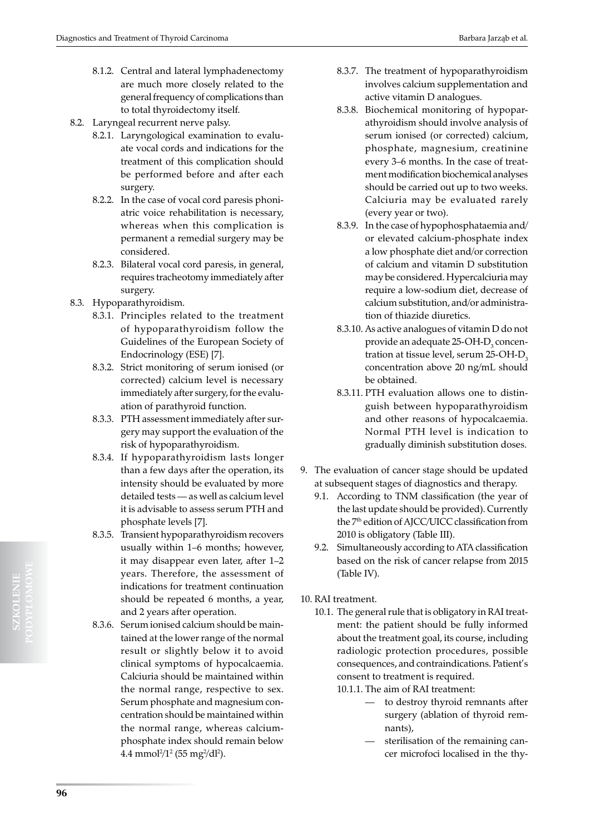- 8.1.2. Central and lateral lymphadenectomy are much more closely related to the general frequency of complications than to total thyroidectomy itself.
- 8.2. Laryngeal recurrent nerve palsy.
	- 8.2.1. Laryngological examination to evaluate vocal cords and indications for the treatment of this complication should be performed before and after each surgery.
	- 8.2.2. In the case of vocal cord paresis phoniatric voice rehabilitation is necessary, whereas when this complication is permanent a remedial surgery may be considered.
	- 8.2.3. Bilateral vocal cord paresis, in general, requires tracheotomy immediately after surgery.
- 8.3. Hypoparathyroidism.
	- 8.3.1. Principles related to the treatment of hypoparathyroidism follow the Guidelines of the European Society of Endocrinology (ESE) [7].
	- 8.3.2. Strict monitoring of serum ionised (or corrected) calcium level is necessary immediately after surgery, for the evaluation of parathyroid function.
	- 8.3.3. PTH assessment immediately after surgery may support the evaluation of the risk of hypoparathyroidism.
	- 8.3.4. If hypoparathyroidism lasts longer than a few days after the operation, its intensity should be evaluated by more detailed tests — as well as calcium level it is advisable to assess serum PTH and phosphate levels [7].
	- 8.3.5. Transient hypoparathyroidism recovers usually within 1–6 months; however, it may disappear even later, after 1–2 years. Therefore, the assessment of indications for treatment continuation should be repeated 6 months, a year, and 2 years after operation.
	- 8.3.6. Serum ionised calcium should be maintained at the lower range of the normal result or slightly below it to avoid clinical symptoms of hypocalcaemia. Calciuria should be maintained within the normal range, respective to sex. Serum phosphate and magnesium concentration should be maintained within the normal range, whereas calciumphosphate index should remain below  $4.4 \text{ mmol}^2/1^2$  (55 mg $^2$ /dl $^2$ ).
- 8.3.7. The treatment of hypoparathyroidism involves calcium supplementation and active vitamin D analogues.
- 8.3.8. Biochemical monitoring of hypoparathyroidism should involve analysis of serum ionised (or corrected) calcium, phosphate, magnesium, creatinine every 3–6 months. In the case of treatment modification biochemical analyses should be carried out up to two weeks. Calciuria may be evaluated rarely (every year or two).
- 8.3.9. In the case of hypophosphataemia and/ or elevated calcium-phosphate index a low phosphate diet and/or correction of calcium and vitamin D substitution may be considered. Hypercalciuria may require a low-sodium diet, decrease of calcium substitution, and/or administration of thiazide diuretics.
- 8.3.10. As active analogues of vitamin D do not provide an adequate  $25$ -OH- $D_3$  concentration at tissue level, serum 25-OH-D<sub>3</sub> concentration above 20 ng/mL should be obtained.
- 8.3.11. PTH evaluation allows one to distinguish between hypoparathyroidism and other reasons of hypocalcaemia. Normal PTH level is indication to gradually diminish substitution doses.
- 9. The evaluation of cancer stage should be updated at subsequent stages of diagnostics and therapy.
	- 9.1. According to TNM classification (the year of the last update should be provided). Currently the 7<sup>th</sup> edition of AJCC/UICC classification from 2010 is obligatory (Table III).
	- 9.2. Simultaneously according to ATA classification based on the risk of cancer relapse from 2015 (Table IV).
- 10. RAI treatment.
	- 10.1. The general rule that is obligatory in RAI treatment: the patient should be fully informed about the treatment goal, its course, including radiologic protection procedures, possible consequences, and contraindications. Patient's consent to treatment is required.
		- 10.1.1. The aim of RAI treatment:
			- to destroy thyroid remnants after surgery (ablation of thyroid remnants),
			- sterilisation of the remaining cancer microfoci localised in the thy-

**SZKOLENIE**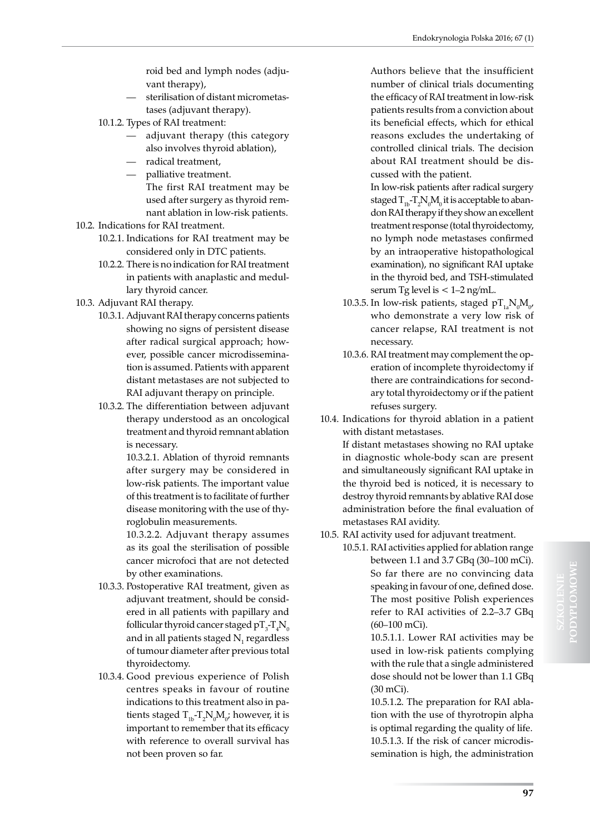roid bed and lymph nodes (adjuvant therapy),

- sterilisation of distant micrometastases (adjuvant therapy).
- 10.1.2. Types of RAI treatment:
	- adjuvant therapy (this category also involves thyroid ablation),
	- radical treatment,
	- palliative treatment.
		- The first RAI treatment may be used after surgery as thyroid remnant ablation in low-risk patients.
- 10.2. Indications for RAI treatment.
	- 10.2.1. Indications for RAI treatment may be considered only in DTC patients.
	- 10.2.2. There is no indication for RAI treatment in patients with anaplastic and medullary thyroid cancer.
- 10.3. Adjuvant RAI therapy.
	- 10.3.1. Adjuvant RAI therapy concerns patients showing no signs of persistent disease after radical surgical approach; however, possible cancer microdissemination is assumed. Patients with apparent distant metastases are not subjected to RAI adjuvant therapy on principle.
	- 10.3.2. The differentiation between adjuvant therapy understood as an oncological treatment and thyroid remnant ablation is necessary.

10.3.2.1. Ablation of thyroid remnants after surgery may be considered in low-risk patients. The important value of this treatment is to facilitate of further disease monitoring with the use of thyroglobulin measurements.

10.3.2.2. Adjuvant therapy assumes as its goal the sterilisation of possible cancer microfoci that are not detected by other examinations.

- 10.3.3. Postoperative RAI treatment, given as adjuvant treatment, should be considered in all patients with papillary and follicular thyroid cancer staged  $\rm pT_{3}$ - $\rm T_{4}N_{0}$ and in all patients staged  $\mathrm{N}_\mathrm{1}$  regardless of tumour diameter after previous total thyroidectomy.
- 10.3.4. Good previous experience of Polish centres speaks in favour of routine indications to this treatment also in patients staged  $T_{1b} - T_2 N_0 M_0$ ; however, it is important to remember that its efficacy with reference to overall survival has not been proven so far.

Authors believe that the insufficient number of clinical trials documenting the efficacy of RAI treatment in low-risk patients results from a conviction about its beneficial effects, which for ethical reasons excludes the undertaking of controlled clinical trials. The decision about RAI treatment should be discussed with the patient.

- In low-risk patients after radical surgery staged  $T_{1b}$ - $T_2N_0M_0$  it is acceptable to abandon RAI therapy if they show an excellent treatment response (total thyroidectomy, no lymph node metastases confirmed by an intraoperative histopathological examination), no significant RAI uptake in the thyroid bed, and TSH-stimulated serum Tg level is  $< 1-2$  ng/mL.
- 10.3.5. In low-risk patients, staged  $pT_{1a}N_0M_{0'}$ who demonstrate a very low risk of cancer relapse, RAI treatment is not necessary.
- 10.3.6. RAI treatment may complement the operation of incomplete thyroidectomy if there are contraindications for secondary total thyroidectomy or if the patient refuses surgery.
- 10.4. Indications for thyroid ablation in a patient with distant metastases.

If distant metastases showing no RAI uptake in diagnostic whole-body scan are present and simultaneously significant RAI uptake in the thyroid bed is noticed, it is necessary to destroy thyroid remnants by ablative RAI dose administration before the final evaluation of metastases RAI avidity.

10.5. RAI activity used for adjuvant treatment.

10.5.1. RAI activities applied for ablation range between 1.1 and 3.7 GBq (30–100 mCi). So far there are no convincing data speaking in favour of one, defined dose. The most positive Polish experiences refer to RAI activities of 2.2–3.7 GBq (60–100 mCi).

> 10.5.1.1. Lower RAI activities may be used in low-risk patients complying with the rule that a single administered dose should not be lower than 1.1 GBq (30 mCi).

> 10.5.1.2. The preparation for RAI ablation with the use of thyrotropin alpha is optimal regarding the quality of life. 10.5.1.3. If the risk of cancer microdissemination is high, the administration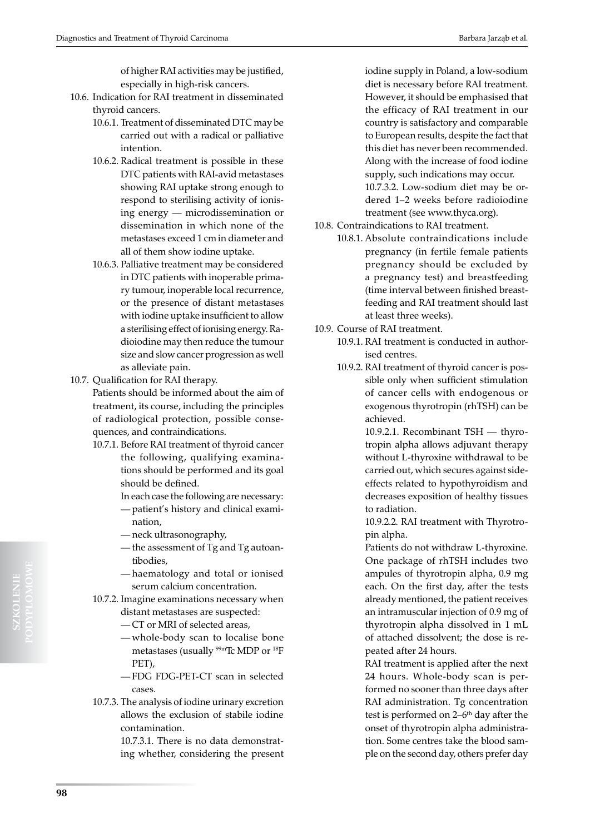of higher RAI activities may be justified, especially in high-risk cancers.

- 10.6. Indication for RAI treatment in disseminated thyroid cancers.
	- 10.6.1. Treatment of disseminated DTC may be carried out with a radical or palliative intention.
	- 10.6.2. Radical treatment is possible in these DTC patients with RAI-avid metastases showing RAI uptake strong enough to respond to sterilising activity of ionising energy — microdissemination or dissemination in which none of the metastases exceed 1 cm in diameter and all of them show iodine uptake.
	- 10.6.3. Palliative treatment may be considered in DTC patients with inoperable primary tumour, inoperable local recurrence, or the presence of distant metastases with iodine uptake insufficient to allow a sterilising effect of ionising energy. Radioiodine may then reduce the tumour size and slow cancer progression as well as alleviate pain.
- 10.7. Qualification for RAI therapy.

Patients should be informed about the aim of treatment, its course, including the principles of radiological protection, possible consequences, and contraindications.

- 10.7.1. Before RAI treatment of thyroid cancer the following, qualifying examinations should be performed and its goal should be defined.
	- In each case the following are necessary:
	- patient's history and clinical exami-
	- nation, — neck ultrasonography,
	- the assessment of Tg and Tg autoantibodies,
	- haematology and total or ionised serum calcium concentration.
- 10.7.2. Imagine examinations necessary when distant metastases are suspected:
	- CT or MRI of selected areas,
	- whole-body scan to localise bone metastases (usually 99mTc MDP or 18F PET),
	- FDG FDG-PET-CT scan in selected cases.
- 10.7.3. The analysis of iodine urinary excretion allows the exclusion of stabile iodine contamination.

10.7.3.1. There is no data demonstrating whether, considering the present iodine supply in Poland, a low-sodium diet is necessary before RAI treatment. However, it should be emphasised that the efficacy of RAI treatment in our country is satisfactory and comparable to European results, despite the fact that this diet has never been recommended. Along with the increase of food iodine supply, such indications may occur. 10.7.3.2. Low-sodium diet may be ordered 1–2 weeks before radioiodine treatment (see www.thyca.org).

- 10.8. Contraindications to RAI treatment.
	- 10.8.1. Absolute contraindications include pregnancy (in fertile female patients pregnancy should be excluded by a pregnancy test) and breastfeeding (time interval between finished breastfeeding and RAI treatment should last at least three weeks).
- 10.9. Course of RAI treatment.
	- 10.9.1. RAI treatment is conducted in authorised centres.
	- 10.9.2. RAI treatment of thyroid cancer is possible only when sufficient stimulation of cancer cells with endogenous or exogenous thyrotropin (rhTSH) can be achieved.

10.9.2.1. Recombinant TSH — thyrotropin alpha allows adjuvant therapy without L-thyroxine withdrawal to be carried out, which secures against sideeffects related to hypothyroidism and decreases exposition of healthy tissues to radiation.

10.9.2.2. RAI treatment with Thyrotropin alpha.

Patients do not withdraw L-thyroxine. One package of rhTSH includes two ampules of thyrotropin alpha, 0.9 mg each. On the first day, after the tests already mentioned, the patient receives an intramuscular injection of 0.9 mg of thyrotropin alpha dissolved in 1 mL of attached dissolvent; the dose is repeated after 24 hours.

RAI treatment is applied after the next 24 hours. Whole-body scan is performed no sooner than three days after RAI administration. Tg concentration test is performed on  $2-6$ <sup>th</sup> day after the onset of thyrotropin alpha administration. Some centres take the blood sample on the second day, others prefer day

**SZKOLENIE**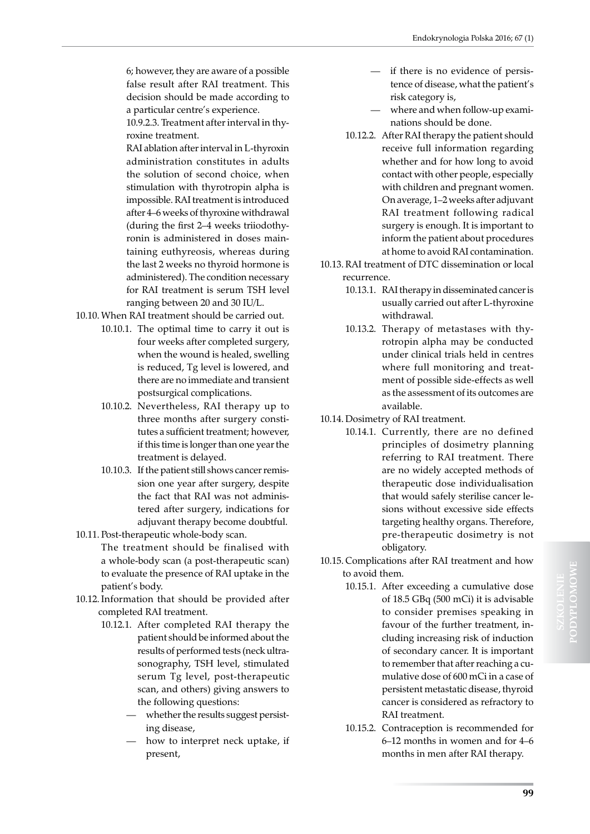6; however, they are aware of a possible false result after RAI treatment. This decision should be made according to a particular centre's experience.

10.9.2.3. Treatment after interval in thyroxine treatment.

RAI ablation after interval in L-thyroxin administration constitutes in adults the solution of second choice, when stimulation with thyrotropin alpha is impossible. RAI treatment is introduced after 4–6 weeks of thyroxine withdrawal (during the first 2–4 weeks triiodothyronin is administered in doses maintaining euthyreosis, whereas during the last 2 weeks no thyroid hormone is administered). The condition necessary for RAI treatment is serum TSH level ranging between 20 and 30 IU/L.

10.10. When RAI treatment should be carried out.

- 10.10.1. The optimal time to carry it out is four weeks after completed surgery, when the wound is healed, swelling is reduced, Tg level is lowered, and there are no immediate and transient postsurgical complications.
	- 10.10.2. Nevertheless, RAI therapy up to three months after surgery constitutes a sufficient treatment; however, if this time is longer than one year the treatment is delayed.
	- 10.10.3. If the patient still shows cancer remission one year after surgery, despite the fact that RAI was not administered after surgery, indications for adjuvant therapy become doubtful.
- 10.11. Post-therapeutic whole-body scan. The treatment should be finalised with a whole-body scan (a post-therapeutic scan) to evaluate the presence of RAI uptake in the patient's body.
- 10.12. Information that should be provided after completed RAI treatment.
	- 10.12.1. After completed RAI therapy the patient should be informed about the results of performed tests (neck ultrasonography, TSH level, stimulated serum Tg level, post-therapeutic scan, and others) giving answers to the following questions:
		- whether the results suggest persisting disease,
		- how to interpret neck uptake, if present,
- if there is no evidence of persistence of disease, what the patient's risk category is,
- where and when follow-up examinations should be done.
- 10.12.2. After RAI therapy the patient should receive full information regarding whether and for how long to avoid contact with other people, especially with children and pregnant women. On average, 1–2 weeks after adjuvant RAI treatment following radical surgery is enough. It is important to inform the patient about procedures at home to avoid RAI contamination.
- 10.13. RAI treatment of DTC dissemination or local recurrence.
	- 10.13.1. RAI therapy in disseminated cancer is usually carried out after L-thyroxine withdrawal.
	- 10.13.2. Therapy of metastases with thyrotropin alpha may be conducted under clinical trials held in centres where full monitoring and treatment of possible side-effects as well as the assessment of its outcomes are available.
- 10.14. Dosimetry of RAI treatment.
	- 10.14.1. Currently, there are no defined principles of dosimetry planning referring to RAI treatment. There are no widely accepted methods of therapeutic dose individualisation that would safely sterilise cancer lesions without excessive side effects targeting healthy organs. Therefore, pre-therapeutic dosimetry is not obligatory.
- 10.15. Complications after RAI treatment and how to avoid them.
	- 10.15.1. After exceeding a cumulative dose of 18.5 GBq (500 mCi) it is advisable to consider premises speaking in favour of the further treatment, including increasing risk of induction of secondary cancer. It is important to remember that after reaching a cumulative dose of 600 mCi in a case of persistent metastatic disease, thyroid cancer is considered as refractory to RAI treatment.
	- 10.15.2. Contraception is recommended for 6–12 months in women and for 4–6 months in men after RAI therapy.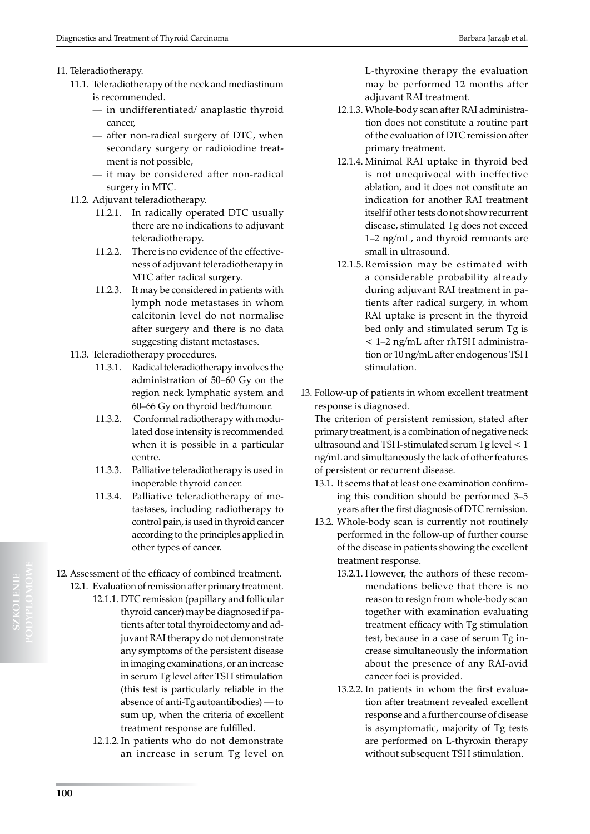### 11. Teleradiotherapy.

- 11.1. Teleradiotherapy of the neck and mediastinum is recommended.
	- in undifferentiated/ anaplastic thyroid cancer,
	- after non-radical surgery of DTC, when secondary surgery or radioiodine treatment is not possible,
	- it may be considered after non-radical surgery in MTC.
- 11.2. Adjuvant teleradiotherapy.
	- 11.2.1. In radically operated DTC usually there are no indications to adjuvant teleradiotherapy.
	- 11.2.2. There is no evidence of the effectiveness of adjuvant teleradiotherapy in MTC after radical surgery.
	- 11.2.3. It may be considered in patients with lymph node metastases in whom calcitonin level do not normalise after surgery and there is no data suggesting distant metastases.
- 11.3. Teleradiotherapy procedures.
	- 11.3.1. Radical teleradiotherapy involves the administration of 50–60 Gy on the region neck lymphatic system and 60–66 Gy on thyroid bed/tumour.
	- 11.3.2. Conformal radiotherapy with modulated dose intensity is recommended when it is possible in a particular centre.
	- 11.3.3. Palliative teleradiotherapy is used in inoperable thyroid cancer.
	- 11.3.4. Palliative teleradiotherapy of metastases, including radiotherapy to control pain, is used in thyroid cancer according to the principles applied in other types of cancer.
- 12. Assessment of the efficacy of combined treatment. 12.1. Evaluation of remission after primary treatment.
	- 12.1.1. DTC remission (papillary and follicular thyroid cancer) may be diagnosed if patients after total thyroidectomy and adjuvant RAI therapy do not demonstrate any symptoms of the persistent disease in imaging examinations, or an increase in serum Tg level after TSH stimulation (this test is particularly reliable in the absence of anti-Tg autoantibodies) — to sum up, when the criteria of excellent treatment response are fulfilled.
		- 12.1.2.In patients who do not demonstrate an increase in serum Tg level on

L-thyroxine therapy the evaluation may be performed 12 months after adjuvant RAI treatment.

- 12.1.3. Whole-body scan after RAI administration does not constitute a routine part of the evaluation of DTC remission after primary treatment.
- 12.1.4. Minimal RAI uptake in thyroid bed is not unequivocal with ineffective ablation, and it does not constitute an indication for another RAI treatment itself if other tests do not show recurrent disease, stimulated Tg does not exceed 1–2 ng/mL, and thyroid remnants are small in ultrasound.
- 12.1.5.Remission may be estimated with a considerable probability already during adjuvant RAI treatment in patients after radical surgery, in whom RAI uptake is present in the thyroid bed only and stimulated serum Tg is < 1–2 ng/mL after rhTSH administration or 10 ng/mL after endogenous TSH stimulation.
- 13. Follow-up of patients in whom excellent treatment response is diagnosed.

The criterion of persistent remission, stated after primary treatment, is a combination of negative neck ultrasound and TSH-stimulated serum Tg level < 1 ng/mL and simultaneously the lack of other features of persistent or recurrent disease.

- 13.1. It seems that at least one examination confirming this condition should be performed 3–5 years after the first diagnosis of DTC remission.
- 13.2. Whole-body scan is currently not routinely performed in the follow-up of further course of the disease in patients showing the excellent treatment response.
	- 13.2.1. However, the authors of these recommendations believe that there is no reason to resign from whole-body scan together with examination evaluating treatment efficacy with Tg stimulation test, because in a case of serum Tg increase simultaneously the information about the presence of any RAI-avid cancer foci is provided.
	- 13.2.2. In patients in whom the first evaluation after treatment revealed excellent response and a further course of disease is asymptomatic, majority of Tg tests are performed on L-thyroxin therapy without subsequent TSH stimulation.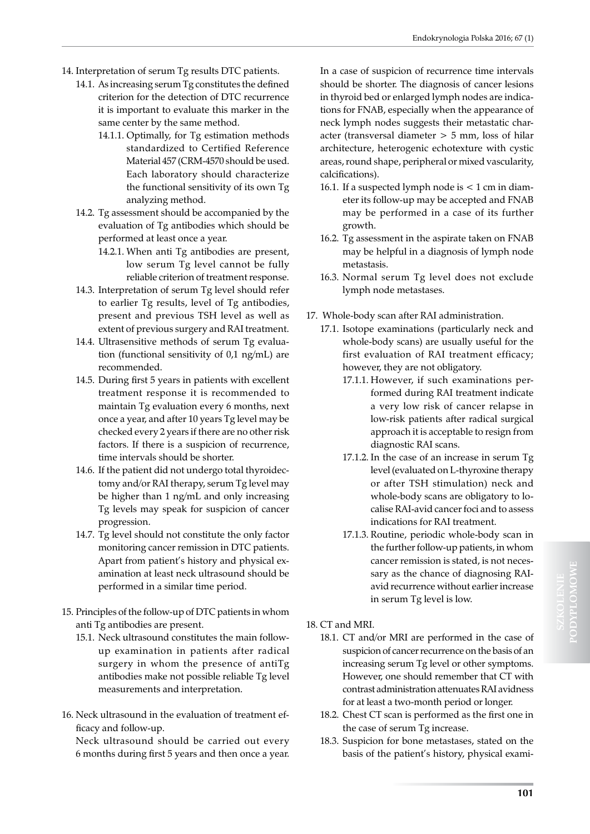- 14. Interpretation of serum Tg results DTC patients.
	- 14.1. As increasing serum Tg constitutes the defined criterion for the detection of DTC recurrence it is important to evaluate this marker in the same center by the same method.
		- 14.1.1. Optimally, for Tg estimation methods standardized to Certified Reference Material 457 (CRM-4570 should be used. Each laboratory should characterize the functional sensitivity of its own Tg analyzing method.
	- 14.2. Tg assessment should be accompanied by the evaluation of Tg antibodies which should be performed at least once a year.
		- 14.2.1. When anti Tg antibodies are present, low serum Tg level cannot be fully reliable criterion of treatment response.
	- 14.3. Interpretation of serum Tg level should refer to earlier Tg results, level of Tg antibodies, present and previous TSH level as well as extent of previous surgery and RAI treatment.
	- 14.4. Ultrasensitive methods of serum Tg evaluation (functional sensitivity of 0,1 ng/mL) are recommended.
	- 14.5. During first 5 years in patients with excellent treatment response it is recommended to maintain Tg evaluation every 6 months, next once a year, and after 10 years Tg level may be checked every 2 years if there are no other risk factors. If there is a suspicion of recurrence, time intervals should be shorter.
	- 14.6. If the patient did not undergo total thyroidectomy and/or RAI therapy, serum Tg level may be higher than 1 ng/mL and only increasing Tg levels may speak for suspicion of cancer progression.
	- 14.7. Tg level should not constitute the only factor monitoring cancer remission in DTC patients. Apart from patient's history and physical examination at least neck ultrasound should be performed in a similar time period.
- 15. Principles of the follow-up of DTC patients in whom anti Tg antibodies are present.
	- 15.1. Neck ultrasound constitutes the main followup examination in patients after radical surgery in whom the presence of antiTg antibodies make not possible reliable Tg level measurements and interpretation.
- 16. Neck ultrasound in the evaluation of treatment efficacy and follow-up.

Neck ultrasound should be carried out every 6 months during first 5 years and then once a year.

In a case of suspicion of recurrence time intervals should be shorter. The diagnosis of cancer lesions in thyroid bed or enlarged lymph nodes are indications for FNAB, especially when the appearance of neck lymph nodes suggests their metastatic character (transversal diameter > 5 mm, loss of hilar architecture, heterogenic echotexture with cystic areas, round shape, peripheral or mixed vascularity, calcifications).

- 16.1. If a suspected lymph node is < 1 cm in diameter its follow-up may be accepted and FNAB may be performed in a case of its further growth.
- 16.2. Tg assessment in the aspirate taken on FNAB may be helpful in a diagnosis of lymph node metastasis.
- 16.3. Normal serum Tg level does not exclude lymph node metastases.
- 17. Whole-body scan after RAI administration.
	- 17.1. Isotope examinations (particularly neck and whole-body scans) are usually useful for the first evaluation of RAI treatment efficacy; however, they are not obligatory.
		- 17.1.1. However, if such examinations performed during RAI treatment indicate a very low risk of cancer relapse in low-risk patients after radical surgical approach it is acceptable to resign from diagnostic RAI scans.
		- 17.1.2. In the case of an increase in serum Tg level (evaluated on L-thyroxine therapy or after TSH stimulation) neck and whole-body scans are obligatory to localise RAI-avid cancer foci and to assess indications for RAI treatment.
		- 17.1.3. Routine, periodic whole-body scan in the further follow-up patients, in whom cancer remission is stated, is not necessary as the chance of diagnosing RAIavid recurrence without earlier increase in serum Tg level is low.
- 18. CT and MRI.
	- 18.1. CT and/or MRI are performed in the case of suspicion of cancer recurrence on the basis of an increasing serum Tg level or other symptoms. However, one should remember that CT with contrast administration attenuates RAI avidness for at least a two-month period or longer.
	- 18.2. Chest CT scan is performed as the first one in the case of serum Tg increase.
	- 18.3. Suspicion for bone metastases, stated on the basis of the patient's history, physical exami-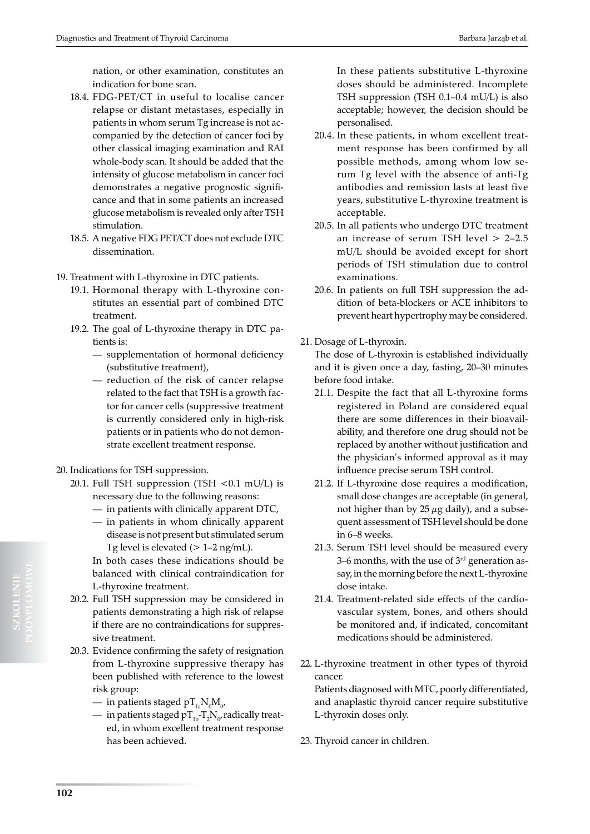nation, or other examination, constitutes an indication for bone scan.

- 18.4. FDG-PET/CT in useful to localise cancer relapse or distant metastases, especially in patients in whom serum Tg increase is not accompanied by the detection of cancer foci by other classical imaging examination and RAI whole-body scan. It should be added that the intensity of glucose metabolism in cancer foci demonstrates a negative prognostic significance and that in some patients an increased glucose metabolism is revealed only after TSH stimulation.
- 18.5. A negative FDG PET/CT does not exclude DTC dissemination.
- 19. Treatment with L-thyroxine in DTC patients.
	- 19.1. Hormonal therapy with L-thyroxine constitutes an essential part of combined DTC treatment.
	- 19.2. The goal of L-thyroxine therapy in DTC patients is:
		- supplementation of hormonal deficiency (substitutive treatment),
		- reduction of the risk of cancer relapse related to the fact that TSH is a growth factor for cancer cells (suppressive treatment is currently considered only in high-risk patients or in patients who do not demonstrate excellent treatment response.
- 20. Indications for TSH suppression.
	- 20.1. Full TSH suppression (TSH  $< 0.1$  mU/L) is necessary due to the following reasons:
		- in patients with clinically apparent DTC,
		- in patients in whom clinically apparent disease is not present but stimulated serum Tg level is elevated  $(> 1-2 \text{ ng/mL})$ .
		- In both cases these indications should be balanced with clinical contraindication for L-thyroxine treatment.
	- 20.2. Full TSH suppression may be considered in patients demonstrating a high risk of relapse if there are no contraindications for suppressive treatment.
	- 20.3. Evidence confirming the safety of resignation from L-thyroxine suppressive therapy has been published with reference to the lowest risk group:
		- in patients staged  $\rm pT_{1a}N_{0}M_{0^{\prime}}$
		- in patients staged p $\mathrm{T_{1b}}\mathrm{-} \mathrm{T_{2}}\mathrm{N_{0^{\prime}}}$ radically treated, in whom excellent treatment response has been achieved.

In these patients substitutive L-thyroxine doses should be administered. Incomplete TSH suppression (TSH 0.1–0.4 mU/L) is also acceptable; however, the decision should be personalised.

- 20.4. In these patients, in whom excellent treatment response has been confirmed by all possible methods, among whom low serum Tg level with the absence of anti-Tg antibodies and remission lasts at least five years, substitutive L-thyroxine treatment is acceptable.
- 20.5. In all patients who undergo DTC treatment an increase of serum TSH level > 2–2.5 mU/L should be avoided except for short periods of TSH stimulation due to control examinations.
- 20.6. In patients on full TSH suppression the addition of beta-blockers or ACE inhibitors to prevent heart hypertrophy may be considered.
- 21. Dosage of L-thyroxin.

The dose of L-thyroxin is established individually and it is given once a day, fasting, 20–30 minutes before food intake.

- 21.1. Despite the fact that all L-thyroxine forms registered in Poland are considered equal there are some differences in their bioavailability, and therefore one drug should not be replaced by another without justification and the physician's informed approval as it may influence precise serum TSH control.
- 21.2. If L-thyroxine dose requires a modification, small dose changes are acceptable (in general, not higher than by  $25 \mu$ g daily), and a subsequent assessment of TSH level should be done in 6–8 weeks.
- 21.3. Serum TSH level should be measured every 3–6 months, with the use of  $3<sup>rd</sup>$  generation assay, in the morning before the next L-thyroxine dose intake.
- 21.4. Treatment-related side effects of the cardiovascular system, bones, and others should be monitored and, if indicated, concomitant medications should be administered.
- 22. L-thyroxine treatment in other types of thyroid cancer.

Patients diagnosed with MTC, poorly differentiated, and anaplastic thyroid cancer require substitutive L-thyroxin doses only.

23. Thyroid cancer in children.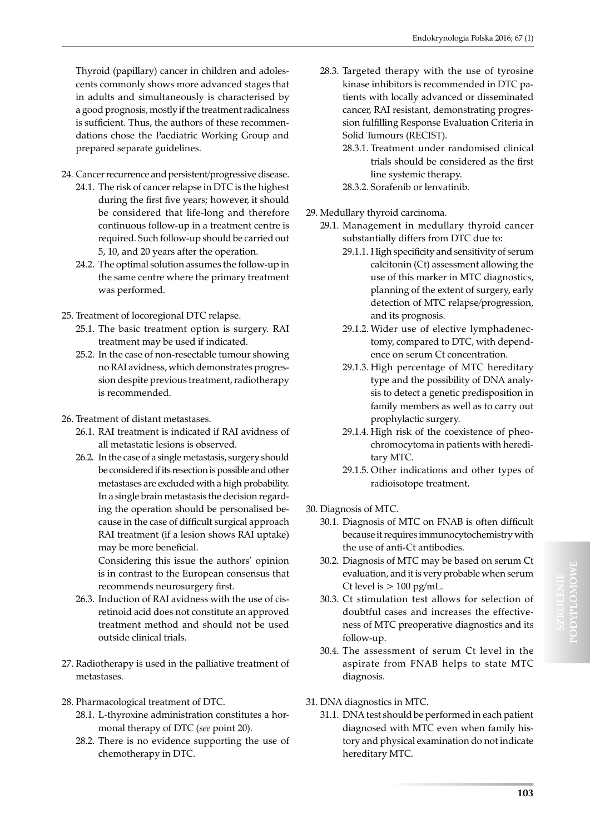Thyroid (papillary) cancer in children and adolescents commonly shows more advanced stages that in adults and simultaneously is characterised by a good prognosis, mostly if the treatment radicalness is sufficient. Thus, the authors of these recommendations chose the Paediatric Working Group and prepared separate guidelines.

- 24. Cancer recurrence and persistent/progressive disease.
	- 24.1. The risk of cancer relapse in DTC is the highest during the first five years; however, it should be considered that life-long and therefore continuous follow-up in a treatment centre is required. Such follow-up should be carried out 5, 10, and 20 years after the operation.
	- 24.2. The optimal solution assumes the follow-up in the same centre where the primary treatment was performed.
- 25. Treatment of locoregional DTC relapse.
	- 25.1. The basic treatment option is surgery. RAI treatment may be used if indicated.
	- 25.2. In the case of non-resectable tumour showing no RAI avidness, which demonstrates progression despite previous treatment, radiotherapy is recommended.
- 26. Treatment of distant metastases.
	- 26.1. RAI treatment is indicated if RAI avidness of all metastatic lesions is observed.
	- 26.2. In the case of a single metastasis, surgery should be considered if its resection is possible and other metastases are excluded with a high probability. In a single brain metastasis the decision regarding the operation should be personalised because in the case of difficult surgical approach RAI treatment (if a lesion shows RAI uptake) may be more beneficial.

Considering this issue the authors' opinion is in contrast to the European consensus that recommends neurosurgery first.

- 26.3. Induction of RAI avidness with the use of cisretinoid acid does not constitute an approved treatment method and should not be used outside clinical trials.
- 27. Radiotherapy is used in the palliative treatment of metastases.
- 28. Pharmacological treatment of DTC.
	- 28.1. L-thyroxine administration constitutes a hormonal therapy of DTC (*see* point 20).
	- 28.2. There is no evidence supporting the use of chemotherapy in DTC.
- 28.3. Targeted therapy with the use of tyrosine kinase inhibitors is recommended in DTC patients with locally advanced or disseminated cancer, RAI resistant, demonstrating progression fulfilling Response Evaluation Criteria in Solid Tumours (RECIST).
	- 28.3.1. Treatment under randomised clinical trials should be considered as the first line systemic therapy.
	- 28.3.2. Sorafenib or lenvatinib.
- 29. Medullary thyroid carcinoma.
	- 29.1. Management in medullary thyroid cancer substantially differs from DTC due to:
		- 29.1.1. High specificity and sensitivity of serum calcitonin (Ct) assessment allowing the use of this marker in MTC diagnostics, planning of the extent of surgery, early detection of MTC relapse/progression, and its prognosis.
		- 29.1.2. Wider use of elective lymphadenectomy, compared to DTC, with dependence on serum Ct concentration.
		- 29.1.3. High percentage of MTC hereditary type and the possibility of DNA analysis to detect a genetic predisposition in family members as well as to carry out prophylactic surgery.
		- 29.1.4. High risk of the coexistence of pheochromocytoma in patients with hereditary MTC.
		- 29.1.5. Other indications and other types of radioisotope treatment.
- 30. Diagnosis of MTC.
	- 30.1. Diagnosis of MTC on FNAB is often difficult because it requires immunocytochemistry with the use of anti-Ct antibodies.
	- 30.2. Diagnosis of MTC may be based on serum Ct evaluation, and it is very probable when serum Ct level is  $> 100$  pg/mL.
	- 30.3. Ct stimulation test allows for selection of doubtful cases and increases the effectiveness of MTC preoperative diagnostics and its follow-up.
	- 30.4. The assessment of serum Ct level in the aspirate from FNAB helps to state MTC diagnosis.
- 31. DNA diagnostics in MTC.
	- 31.1. DNA test should be performed in each patient diagnosed with MTC even when family history and physical examination do not indicate hereditary MTC.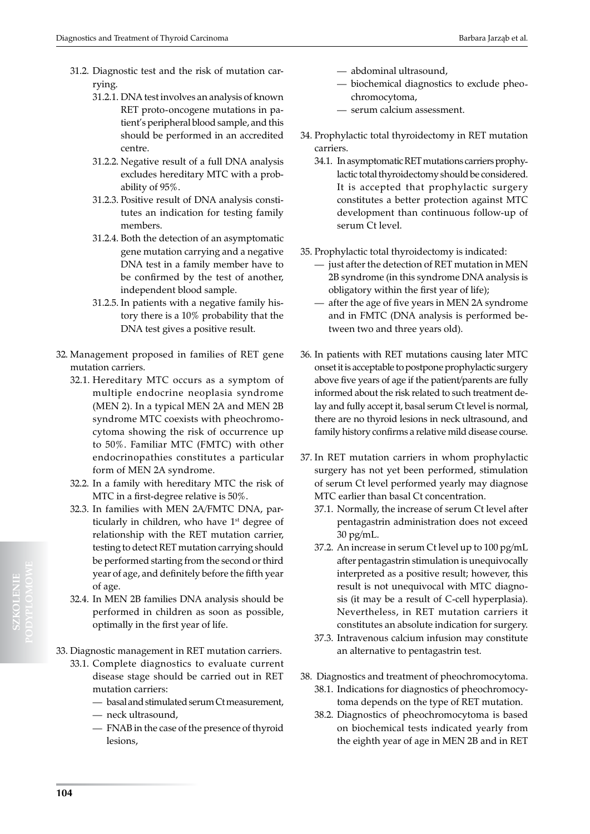- 31.2. Diagnostic test and the risk of mutation carrying.
	- 31.2.1. DNA test involves an analysis of known RET proto-oncogene mutations in patient's peripheral blood sample, and this should be performed in an accredited centre.
	- 31.2.2. Negative result of a full DNA analysis excludes hereditary MTC with a probability of 95%.
	- 31.2.3. Positive result of DNA analysis constitutes an indication for testing family members.
	- 31.2.4. Both the detection of an asymptomatic gene mutation carrying and a negative DNA test in a family member have to be confirmed by the test of another, independent blood sample.
	- 31.2.5. In patients with a negative family history there is a 10% probability that the DNA test gives a positive result.
- 32. Management proposed in families of RET gene mutation carriers.
	- 32.1. Hereditary MTC occurs as a symptom of multiple endocrine neoplasia syndrome (MEN 2). In a typical MEN 2A and MEN 2B syndrome MTC coexists with pheochromocytoma showing the risk of occurrence up to 50%. Familiar MTC (FMTC) with other endocrinopathies constitutes a particular form of MEN 2A syndrome.
	- 32.2. In a family with hereditary MTC the risk of MTC in a first-degree relative is 50%.
	- 32.3. In families with MEN 2A/FMTC DNA, particularly in children, who have  $1<sup>st</sup>$  degree of relationship with the RET mutation carrier, testing to detect RET mutation carrying should be performed starting from the second or third year of age, and definitely before the fifth year of age.
	- 32.4. In MEN 2B families DNA analysis should be performed in children as soon as possible, optimally in the first year of life.
- 33. Diagnostic management in RET mutation carriers.
	- 33.1. Complete diagnostics to evaluate current disease stage should be carried out in RET mutation carriers:
		- basal and stimulated serum Ct measurement, — neck ultrasound,
		- FNAB in the case of the presence of thyroid lesions,
- abdominal ultrasound,
- biochemical diagnostics to exclude pheochromocytoma,
- serum calcium assessment.
- 34. Prophylactic total thyroidectomy in RET mutation carriers.
	- 34.1. In asymptomatic RET mutations carriers prophylactic total thyroidectomy should be considered. It is accepted that prophylactic surgery constitutes a better protection against MTC development than continuous follow-up of serum Ct level.
- 35. Prophylactic total thyroidectomy is indicated:
	- just after the detection of RET mutation in MEN 2B syndrome (in this syndrome DNA analysis is obligatory within the first year of life);
	- after the age of five years in MEN 2A syndrome and in FMTC (DNA analysis is performed between two and three years old).
- 36. In patients with RET mutations causing later MTC onset it is acceptable to postpone prophylactic surgery above five years of age if the patient/parents are fully informed about the risk related to such treatment delay and fully accept it, basal serum Ct level is normal, there are no thyroid lesions in neck ultrasound, and family history confirms a relative mild disease course.
- 37. In RET mutation carriers in whom prophylactic surgery has not yet been performed, stimulation of serum Ct level performed yearly may diagnose MTC earlier than basal Ct concentration.
	- 37.1. Normally, the increase of serum Ct level after pentagastrin administration does not exceed 30 pg/mL.
	- 37.2. An increase in serum Ct level up to 100 pg/mL after pentagastrin stimulation is unequivocally interpreted as a positive result; however, this result is not unequivocal with MTC diagnosis (it may be a result of C-cell hyperplasia). Nevertheless, in RET mutation carriers it constitutes an absolute indication for surgery.
	- 37.3. Intravenous calcium infusion may constitute an alternative to pentagastrin test.
- 38. Diagnostics and treatment of pheochromocytoma.
	- 38.1. Indications for diagnostics of pheochromocytoma depends on the type of RET mutation.
	- 38.2. Diagnostics of pheochromocytoma is based on biochemical tests indicated yearly from the eighth year of age in MEN 2B and in RET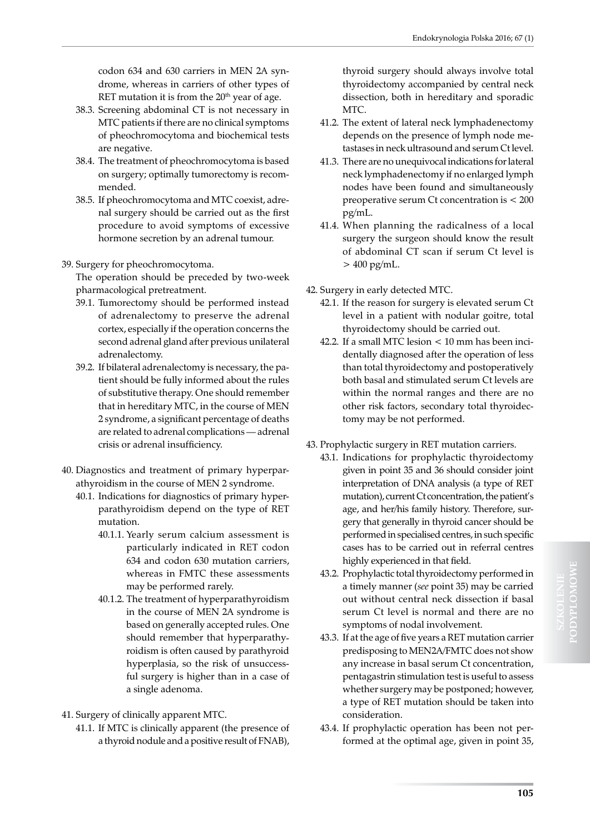codon 634 and 630 carriers in MEN 2A syndrome, whereas in carriers of other types of RET mutation it is from the  $20<sup>th</sup>$  year of age.

- 38.3. Screening abdominal CT is not necessary in MTC patients if there are no clinical symptoms of pheochromocytoma and biochemical tests are negative.
- 38.4. The treatment of pheochromocytoma is based on surgery; optimally tumorectomy is recommended.
- 38.5. If pheochromocytoma and MTC coexist, adrenal surgery should be carried out as the first procedure to avoid symptoms of excessive hormone secretion by an adrenal tumour.

## 39. Surgery for pheochromocytoma.

The operation should be preceded by two-week pharmacological pretreatment.

- 39.1. Tumorectomy should be performed instead of adrenalectomy to preserve the adrenal cortex, especially if the operation concerns the second adrenal gland after previous unilateral adrenalectomy.
- 39.2. If bilateral adrenalectomy is necessary, the patient should be fully informed about the rules of substitutive therapy. One should remember that in hereditary MTC, in the course of MEN 2 syndrome, a significant percentage of deaths are related to adrenal complications — adrenal crisis or adrenal insufficiency.
- 40. Diagnostics and treatment of primary hyperparathyroidism in the course of MEN 2 syndrome.
	- 40.1. Indications for diagnostics of primary hyperparathyroidism depend on the type of RET mutation.
		- 40.1.1. Yearly serum calcium assessment is particularly indicated in RET codon 634 and codon 630 mutation carriers, whereas in FMTC these assessments may be performed rarely.
		- 40.1.2. The treatment of hyperparathyroidism in the course of MEN 2A syndrome is based on generally accepted rules. One should remember that hyperparathyroidism is often caused by parathyroid hyperplasia, so the risk of unsuccessful surgery is higher than in a case of a single adenoma.
- 41. Surgery of clinically apparent MTC.
	- 41.1. If MTC is clinically apparent (the presence of a thyroid nodule and a positive result of FNAB),

thyroid surgery should always involve total thyroidectomy accompanied by central neck dissection, both in hereditary and sporadic MTC.

- 41.2. The extent of lateral neck lymphadenectomy depends on the presence of lymph node metastases in neck ultrasound and serum Ct level.
- 41.3. There are no unequivocal indications for lateral neck lymphadenectomy if no enlarged lymph nodes have been found and simultaneously preoperative serum Ct concentration is < 200 pg/mL.
- 41.4. When planning the radicalness of a local surgery the surgeon should know the result of abdominal CT scan if serum Ct level is  $> 400$  pg/mL.
- 42. Surgery in early detected MTC.
	- 42.1. If the reason for surgery is elevated serum Ct level in a patient with nodular goitre, total thyroidectomy should be carried out.
	- 42.2. If a small MTC lesion < 10 mm has been incidentally diagnosed after the operation of less than total thyroidectomy and postoperatively both basal and stimulated serum Ct levels are within the normal ranges and there are no other risk factors, secondary total thyroidectomy may be not performed.
- 43. Prophylactic surgery in RET mutation carriers.
	- 43.1. Indications for prophylactic thyroidectomy given in point 35 and 36 should consider joint interpretation of DNA analysis (a type of RET mutation), current Ct concentration, the patient's age, and her/his family history. Therefore, surgery that generally in thyroid cancer should be performed in specialised centres, in such specific cases has to be carried out in referral centres highly experienced in that field.
	- 43.2. Prophylactic total thyroidectomy performed in a timely manner (*see* point 35) may be carried out without central neck dissection if basal serum Ct level is normal and there are no symptoms of nodal involvement.
	- 43.3. If at the age of five years a RET mutation carrier predisposing to MEN2A/FMTC does not show any increase in basal serum Ct concentration, pentagastrin stimulation test is useful to assess whether surgery may be postponed; however, a type of RET mutation should be taken into consideration.
	- 43.4. If prophylactic operation has been not performed at the optimal age, given in point 35,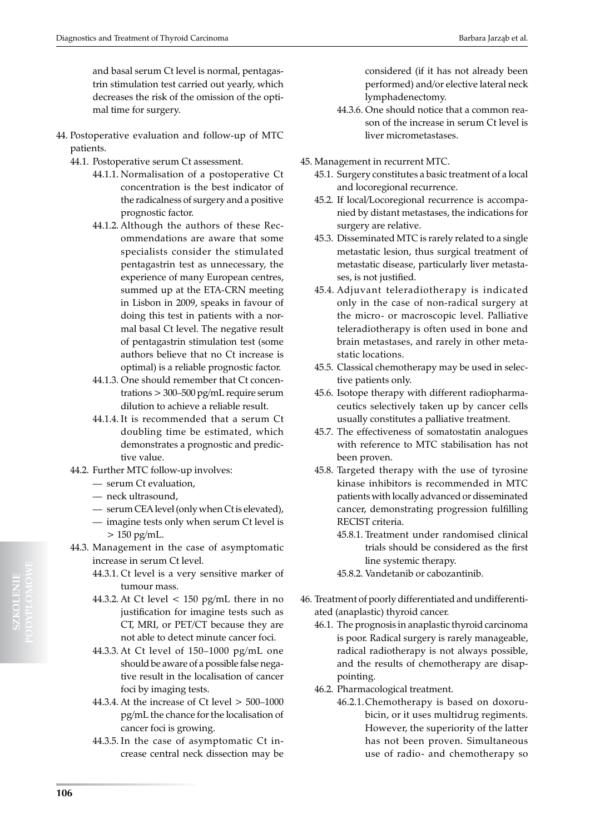and basal serum Ct level is normal, pentagastrin stimulation test carried out yearly, which decreases the risk of the omission of the optimal time for surgery.

- 44. Postoperative evaluation and follow-up of MTC patients.
	- 44.1. Postoperative serum Ct assessment.
		- 44.1.1. Normalisation of a postoperative Ct concentration is the best indicator of the radicalness of surgery and a positive prognostic factor.
		- 44.1.2. Although the authors of these Recommendations are aware that some specialists consider the stimulated pentagastrin test as unnecessary, the experience of many European centres, summed up at the ETA-CRN meeting in Lisbon in 2009, speaks in favour of doing this test in patients with a normal basal Ct level. The negative result of pentagastrin stimulation test (some authors believe that no Ct increase is optimal) is a reliable prognostic factor.
		- 44.1.3. One should remember that Ct concentrations > 300–500 pg/mL require serum dilution to achieve a reliable result.
		- 44.1.4. It is recommended that a serum Ct doubling time be estimated, which demonstrates a prognostic and predictive value.
	- 44.2. Further MTC follow-up involves:
		- serum Ct evaluation,
		- neck ultrasound,
		- serum CEA level (only when Ct is elevated),
		- imagine tests only when serum Ct level is  $> 150$  pg/mL.
	- 44.3. Management in the case of asymptomatic increase in serum Ct level.
		- 44.3.1. Ct level is a very sensitive marker of tumour mass.
		- 44.3.2. At Ct level  $\lt$  150 pg/mL there in no justification for imagine tests such as CT, MRI, or PET/CT because they are not able to detect minute cancer foci.
		- 44.3.3. At Ct level of 150–1000 pg/mL one should be aware of a possible false negative result in the localisation of cancer foci by imaging tests.
		- 44.3.4. At the increase of Ct level > 500–1000 pg/mL the chance for the localisation of cancer foci is growing.
		- 44.3.5. In the case of asymptomatic Ct increase central neck dissection may be

considered (if it has not already been performed) and/or elective lateral neck lymphadenectomy.

- 44.3.6. One should notice that a common reason of the increase in serum Ct level is liver micrometastases.
- 45. Management in recurrent MTC.
	- 45.1. Surgery constitutes a basic treatment of a local and locoregional recurrence.
	- 45.2. If local/Locoregional recurrence is accompanied by distant metastases, the indications for surgery are relative.
	- 45.3. Disseminated MTC is rarely related to a single metastatic lesion, thus surgical treatment of metastatic disease, particularly liver metastases, is not justified.
	- 45.4. Adjuvant teleradiotherapy is indicated only in the case of non-radical surgery at the micro- or macroscopic level. Palliative teleradiotherapy is often used in bone and brain metastases, and rarely in other metastatic locations.
	- 45.5. Classical chemotherapy may be used in selective patients only.
	- 45.6. Isotope therapy with different radiopharmaceutics selectively taken up by cancer cells usually constitutes a palliative treatment.
	- 45.7. The effectiveness of somatostatin analogues with reference to MTC stabilisation has not been proven.
	- 45.8. Targeted therapy with the use of tyrosine kinase inhibitors is recommended in MTC patients with locally advanced or disseminated cancer, demonstrating progression fulfilling RECIST criteria.
		- 45.8.1. Treatment under randomised clinical trials should be considered as the first line systemic therapy.
		- 45.8.2. Vandetanib or cabozantinib.
- 46. Treatment of poorly differentiated and undifferentiated (anaplastic) thyroid cancer.
	- 46.1. The prognosis in anaplastic thyroid carcinoma is poor. Radical surgery is rarely manageable, radical radiotherapy is not always possible, and the results of chemotherapy are disappointing.
	- 46.2. Pharmacological treatment.
		- 46.2.1.Chemotherapy is based on doxorubicin, or it uses multidrug regiments. However, the superiority of the latter has not been proven. Simultaneous use of radio- and chemotherapy so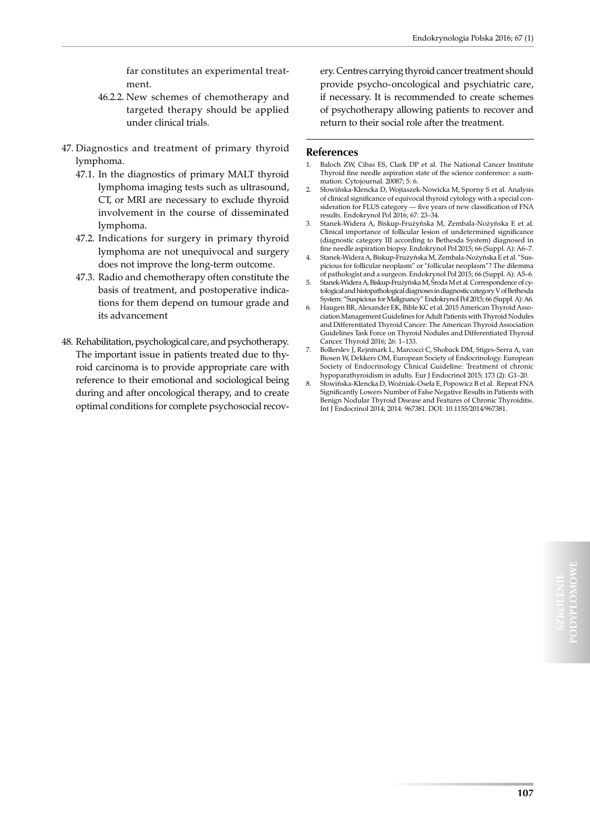far constitutes an experimental treatment.

- 46.2.2. New schemes of chemotherapy and targeted therapy should be applied under clinical trials.
- 47. Diagnostics and treatment of primary thyroid lymphoma.
	- 47.1. In the diagnostics of primary MALT thyroid lymphoma imaging tests such as ultrasound, CT, or MRI are necessary to exclude thyroid involvement in the course of disseminated lymphoma.
	- 47.2. Indications for surgery in primary thyroid lymphoma are not unequivocal and surgery does not improve the long-term outcome.
	- 47.3. Radio and chemotherapy often constitute the basis of treatment, and postoperative indications for them depend on tumour grade and its advancement
- 48. Rehabilitation, psychological care, and psychotherapy. The important issue in patients treated due to thyroid carcinoma is to provide appropriate care with reference to their emotional and sociological being during and after oncological therapy, and to create optimal conditions for complete psychosocial recov-

ery. Centres carrying thyroid cancer treatment should provide psycho-oncological and psychiatric care, if necessary. It is recommended to create schemes of psychotherapy allowing patients to recover and return to their social role after the treatment.

#### **References**

- 1. Baloch ZW, Cibas ES, Clark DP et al. The National Cancer Institute Thyroid fine needle aspiration state of the science conference: a summation. Cytojournal. 20087; 5: 6.
- 2. Słowińska-Klencka D, Wojtaszek-Nowicka M, Sporny S et al. Analysis of clinical significance of equivocal thyroid cytology with a special consideration for FLUS category — five years of new classification of FNA results. Endokrynol Pol 2016; 67: 23–34.
- 3. Stanek-Widera A, Biskup-Frużyńska M, Zembala-Nożyńska E et al. Clinical importance of follicular lesion of undetermined significance (diagnostic category III according to Bethesda System) diagnosed in fine needle aspiration biopsy. Endokrynol Pol 2015; 66 (Suppl. A): A6–7.
- 4. Stanek-Widera A, Biskup-Frużyńska M, Zembala-Nożyńska E et al. "Suspicious for follicular neoplasm" or "follicular neoplasm"? The dilemma of pathologist and a surgeon. Endokrynol Pol 2015; 66 (Suppl. A): A5–6.
- 5. Stanek-Widera A, Biskup-Frużyńska M, Środa M et al. Correspondence of cytological and histopathological diagnoses in diagnostic category V of Bethesda System: "Suspicious for Malignancy" Endokrynol Pol 2015; 66 (Suppl. A): A6.
- Haugen BR, Alexander EK, Bible KC et al. 2015 American Thyroid Association Management Guidelines for Adult Patients with Thyroid Nodules and Differentiated Thyroid Cancer: The American Thyroid Association Guidelines Task Force on Thyroid Nodules and Differentiated Thyroid Cancer. Thyroid 2016; 26: 1–133.
- 7. Bollerslev J, Rejnmark L, Marcocci C, Shoback DM, Stiges-Serra A, van Biosen W, Dekkers OM, European Society of Endocrinology. European Society of Endocrinology Clinical Guideline: Treatment of chronic hypoparathyroidism in adults. Eur J Endocrinol 2015; 173 (2): G1–20.
- 8. Słowińska-Klencka D, Woźniak-Oseła E, Popowicz B et al. Repeat FNA Significantly Lowers Number of False Negative Results in Patients with Benign Nodular Thyroid Disease and Features of Chronic Thyroiditis. Int J Endocrinol 2014; 2014: 967381. DOI: 10.1155/2014/967381.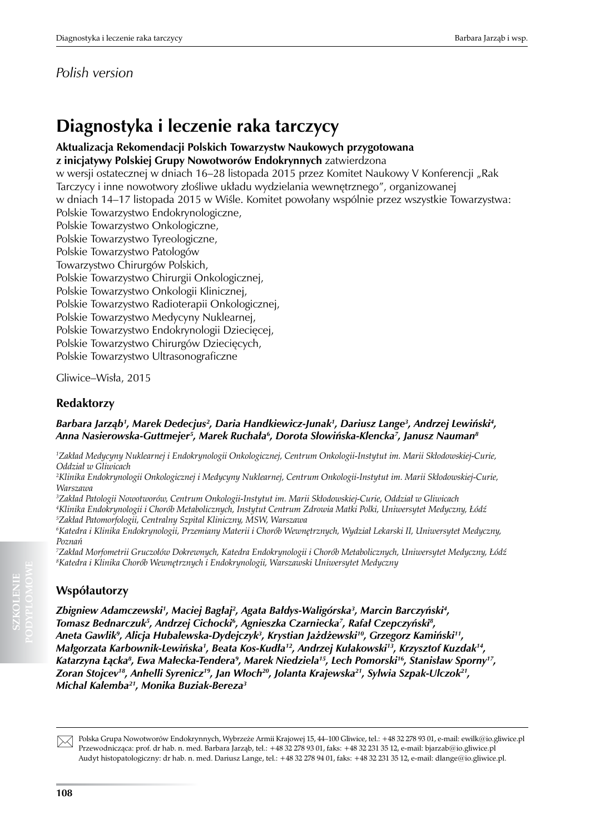# **Diagnostyka i leczenie raka tarczycy**

**Aktualizacja Rekomendacji Polskich Towarzystw Naukowych przygotowana z inicjatywy Polskiej Grupy Nowotworów Endokrynnych** zatwierdzona w wersji ostatecznej w dniach 16–28 listopada 2015 przez Komitet Naukowy V Konferencji "Rak Tarczycy i inne nowotwory złośliwe układu wydzielania wewnętrznego", organizowanej w dniach 14–17 listopada 2015 w Wiśle. Komitet powołany wspólnie przez wszystkie Towarzystwa: Polskie Towarzystwo Endokrynologiczne, Polskie Towarzystwo Onkologiczne, Polskie Towarzystwo Tyreologiczne, Polskie Towarzystwo Patologów Towarzystwo Chirurgów Polskich, Polskie Towarzystwo Chirurgii Onkologicznej, Polskie Towarzystwo Onkologii Klinicznej, Polskie Towarzystwo Radioterapii Onkologicznej, Polskie Towarzystwo Medycyny Nuklearnej, Polskie Towarzystwo Endokrynologii Dziecięcej, Polskie Towarzystwo Chirurgów Dziecięcych, Polskie Towarzystwo Ultrasonograficzne

Gliwice–Wisła, 2015

# **Redaktorzy**

## *Barbara Jarząb<sup>1</sup> , Marek Dedecjus2 , Daria Handkiewicz-Junak1 , Dariusz Lange3 , Andrzej Lewiński<sup>4</sup> , Anna Nasierowska-Guttmejer5 , Marek Ruchała<sup>6</sup> , Dorota Słowińska-Klencka<sup>7</sup> , Janusz Nauman8*

*1 Zakład Medycyny Nuklearnej i Endokrynologii Onkologicznej, Centrum Onkologii-Instytut im. Marii Skłodowskiej-Curie, Oddział w Gliwicach*

*2 Klinika Endokrynologii Onkologicznej i Medycyny Nuklearnej, Centrum Onkologii-Instytut im. Marii Skłodowskiej-Curie, Warszawa*

*3 Zakład Patologii Nowotworów, Centrum Onkologii-Instytut im. Marii Skłodowskiej-Curie, Oddział w Gliwicach 4 Klinika Endokrynologii i Chorób Metabolicznych, Instytut Centrum Zdrowia Matki Polki, Uniwersytet Medyczny, Łódź 5 Zakład Patomorfologii, Centralny Szpital Kliniczny, MSW, Warszawa* 

*6 Katedra i Klinika Endokrynologii, Przemiany Materii i Chorób Wewnętrznych, Wydział Lekarski II, Uniwersytet Medyczny, Poznań*

*7 Zakład Morfometrii Gruczołów Dokrewnych, Katedra Endokrynologii i Chorób Metabolicznych, Uniwersytet Medyczny, Łódź 8 Katedra i Klinika Chorób Wewnętrznych i Endokrynologii, Warszawski Uniwersytet Medyczny*

# **Współautorzy**

Zbigniew Adamczewski', Maciej Bagłaj<sup>2</sup>, Agata Bałdys-Waligórska<sup>3</sup>, Marcin Barczyński<del>'</del>, *Tomasz Bednarczuk5 , Andrzej Cichocki6 , Agnieszka Czarniecka7 , Rafał Czepczyński<sup>8</sup> , Aneta Gawlik<sup>9</sup> , Alicja Hubalewska-Dydejczyk<sup>3</sup> , Krystian Jażdżewski<sup>10</sup>, Grzegorz Kamiński11, Małgorzata Karbownik-Lewińska<sup>1</sup> , Beata Kos-Kudła<sup>12</sup>, Andrzej Kułakowski<sup>13</sup>, Krzysztof Kuzdak14, Katarzyna Łącka<sup>8</sup> , Ewa Małecka-Tendera<sup>9</sup> , Marek Niedziela15, Lech Pomorski16, Stanisław Sporny17, Zoran Stojcev18, Anhelli Syrenicz<sup>19</sup>, Jan Włoch<sup>20</sup>, Jolanta Krajewska<sup>21</sup>, Sylwia Szpak-Ulczok21, Michal Kalemba21, Monika Buziak-Bereza3*



**SZKOLENIE**

Polska Grupa Nowotworów Endokrynnych, Wybrzeże Armii Krajowej 15, 44–100 Gliwice, tel.: +48 32 278 93 01, e-mail: ewilk@io.gliwice.pl Przewodnicząca: prof. dr hab. n. med. Barbara Jarząb, tel.: +48 32 278 93 01, faks: +48 32 231 35 12, e-mail: bjarzab@io.gliwice.pl Audyt histopatologiczny: dr hab. n. med. Dariusz Lange, tel.: +48 32 278 94 01, faks: +48 32 231 35 12, e-mail: dlange@io.gliwice.pl.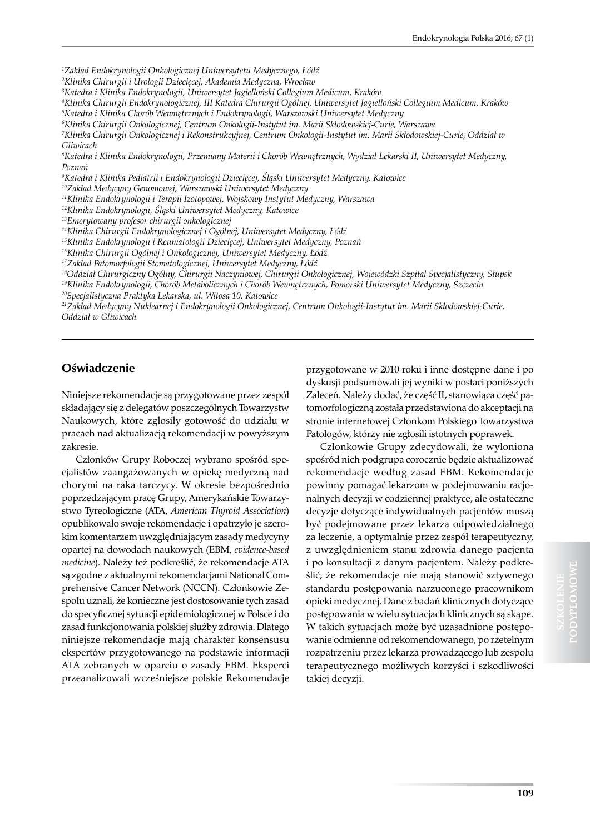*1 Zakład Endokrynologii Onkologicznej Uniwersytetu Medycznego, Łódź*

*2 Klinika Chirurgii i Urologii Dziecięcej, Akademia Medyczna, Wrocław*

*3 Katedra i Klinika Endokrynologii, Uniwersytet Jagielloński Collegium Medicum, Kraków* 

*4 Klinika Chirurgii Endokrynologicznej, III Katedra Chirurgii Ogólnej, Uniwersytet Jagielloński Collegium Medicum, Kraków 5 Katedra i Klinika Chorób Wewnętrznych i Endokrynologii, Warszawski Uniwersytet Medyczny*

*6 Klinika Chirurgii Onkologicznej, Centrum Onkologii-Instytut im. Marii Skłodowskiej-Curie, Warszawa*

*7 Klinika Chirurgii Onkologicznej i Rekonstrukcyjnej, Centrum Onkologii-Instytut im. Marii Skłodowskiej-Curie, Oddział w Gliwicach* 

*8 Katedra i Klinika Endokrynologii, Przemiany Materii i Chorób Wewnętrznych, Wydział Lekarski II, Uniwersytet Medyczny, Poznań* 

*9 Katedra i Klinika Pediatrii i Endokrynologii Dziecięcej, Śląski Uniwersytet Medyczny, Katowice* 

*<sup>10</sup>Zakład Medycyny Genomowej, Warszawski Uniwersytet Medyczny*

*<sup>11</sup>Klinika Endokrynologii i Terapii Izotopowej, Wojskowy Instytut Medyczny, Warszawa* 

*<sup>12</sup>Klinika Endokrynologii, Śląski Uniwersytet Medyczny, Katowice*

*<sup>13</sup>Emerytowany profesor chirurgii onkologicznej*

*<sup>14</sup>Klinika Chirurgii Endokrynologicznej i Ogólnej, Uniwersytet Medyczny, Łódź*

*<sup>15</sup>Klinika Endokrynologii i Reumatologii Dziecięcej, Uniwersytet Medyczny, Poznań*

*<sup>16</sup>Klinika Chirurgii Ogólnej i Onkologicznej, Uniwersytet Medyczny, Łódź* 

*<sup>17</sup>Zakład Patomorfologii Stomatologicznej, Uniwersytet Medyczny, Łódź*

*<sup>18</sup>Oddział Chirurgiczny Ogólny, Chirurgii Naczyniowej, Chirurgii Onkologicznej, Wojewódzki Szpital Specjalistyczny, Słupsk*

*<sup>19</sup>Klinika Endokrynologii, Chorób Metabolicznych i Chorób Wewnętrznych, Pomorski Uniwersytet Medyczny, Szczecin*

*<sup>20</sup>Specjalistyczna Praktyka Lekarska, ul. Witosa 10, Katowice*

*<sup>21</sup>Zakład Medycyny Nuklearnej i Endokrynologii Onkologicznej, Centrum Onkologii-Instytut im. Marii Skłodowskiej-Curie, Oddział w Gliwicach*

#### **Oświadczenie**

Niniejsze rekomendacje są przygotowane przez zespół składający się z delegatów poszczególnych Towarzystw Naukowych, które zgłosiły gotowość do udziału w pracach nad aktualizacją rekomendacji w powyższym zakresie.

Członków Grupy Roboczej wybrano spośród specjalistów zaangażowanych w opiekę medyczną nad chorymi na raka tarczycy. W okresie bezpośrednio poprzedzającym pracę Grupy, Amerykańskie Towarzystwo Tyreologiczne (ATA, *American Thyroid Association*) opublikowało swoje rekomendacje i opatrzyło je szerokim komentarzem uwzględniającym zasady medycyny opartej na dowodach naukowych (EBM, *evidence-based medicine*). Należy też podkreślić, że rekomendacje ATA są zgodne z aktualnymi rekomendacjami National Comprehensive Cancer Network (NCCN). Członkowie Zespołu uznali, że konieczne jest dostosowanie tych zasad do specyficznej sytuacji epidemiologicznej w Polsce i do zasad funkcjonowania polskiej służby zdrowia. Dlatego niniejsze rekomendacje mają charakter konsensusu ekspertów przygotowanego na podstawie informacji ATA zebranych w oparciu o zasady EBM. Eksperci przeanalizowali wcześniejsze polskie Rekomendacje

przygotowane w 2010 roku i inne dostępne dane i po dyskusji podsumowali jej wyniki w postaci poniższych Zaleceń. Należy dodać, że część II, stanowiąca część patomorfologiczną została przedstawiona do akceptacji na stronie internetowej Członkom Polskiego Towarzystwa Patologów, którzy nie zgłosili istotnych poprawek.

Członkowie Grupy zdecydowali, że wyłoniona spośród nich podgrupa corocznie będzie aktualizować rekomendacje według zasad EBM. Rekomendacje powinny pomagać lekarzom w podejmowaniu racjonalnych decyzji w codziennej praktyce, ale ostateczne decyzje dotyczące indywidualnych pacjentów muszą być podejmowane przez lekarza odpowiedzialnego za leczenie, a optymalnie przez zespół terapeutyczny, z uwzględnieniem stanu zdrowia danego pacjenta i po konsultacji z danym pacjentem. Należy podkreślić, że rekomendacje nie mają stanowić sztywnego standardu postępowania narzuconego pracownikom opieki medycznej. Dane z badań klinicznych dotyczące postępowania w wielu sytuacjach klinicznych są skąpe. W takich sytuacjach może być uzasadnione postępowanie odmienne od rekomendowanego, po rzetelnym rozpatrzeniu przez lekarza prowadzącego lub zespołu terapeutycznego możliwych korzyści i szkodliwości takiej decyzji.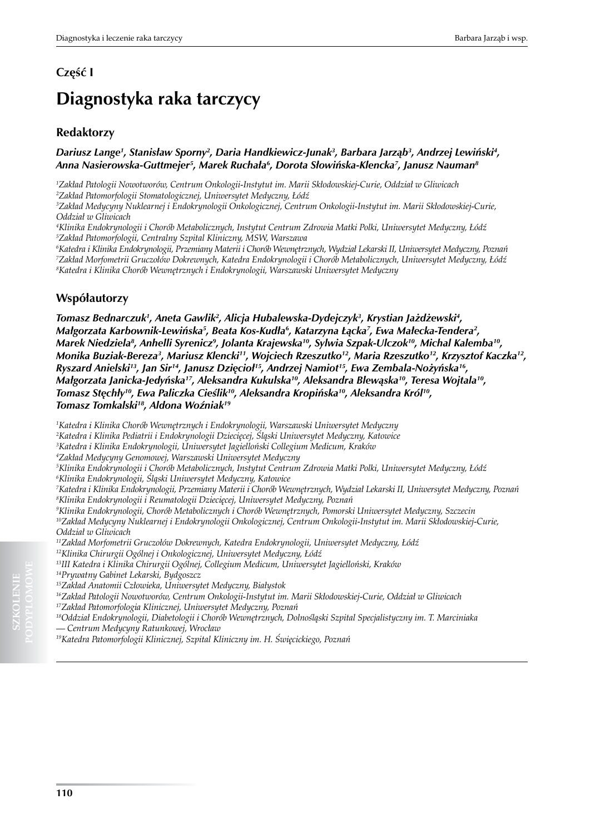## **Część I**

# **Diagnostyka raka tarczycy**

### **Redaktorzy**

#### *Dariusz Lange1 , Stanisław Sporny<sup>2</sup> , Daria Handkiewicz-Junak3 , Barbara Jarząb<sup>3</sup> , Andrzej Lewiński<sup>4</sup> , Anna Nasierowska-Guttmejer5 , Marek Ruchała<sup>6</sup> , Dorota Słowińska-Klencka<sup>7</sup> , Janusz Nauman8*

*1 Zakład Patologii Nowotworów, Centrum Onkologii-Instytut im. Marii Skłodowskiej-Curie, Oddział w Gliwicach 2 Zakład Patomorfologii Stomatologicznej, Uniwersytet Medyczny, Łódź*

*3 Zakład Medycyny Nuklearnej i Endokrynologii Onkologicznej, Centrum Onkologii-Instytut im. Marii Skłodowskiej-Curie, Oddział w Gliwicach*

*4 Klinika Endokrynologii i Chorób Metabolicznych, Instytut Centrum Zdrowia Matki Polki, Uniwersytet Medyczny, Łódź 5 Zakład Patomorfologii, Centralny Szpital Kliniczny, MSW, Warszawa* 

*6 Katedra i Klinika Endokrynologii, Przemiany Materii i Chorób Wewnętrznych, Wydział Lekarski II, Uniwersytet Medyczny, Poznań 7 Zakład Morfometrii Gruczołów Dokrewnych, Katedra Endokrynologii i Chorób Metabolicznych, Uniwersytet Medyczny, Łódź 8 Katedra i Klinika Chorób Wewnętrznych i Endokrynologii, Warszawski Uniwersytet Medyczny*

### **Współautorzy**

*Tomasz Bednarczuk1 , Aneta Gawlik<sup>2</sup> , Alicja Hubalewska-Dydejczyk<sup>3</sup> , Krystian Jażdżewski<sup>4</sup> , Małgorzata Karbownik-Lewińska<sup>5</sup> , Beata Kos-Kudła<sup>6</sup> , Katarzyna Łącka<sup>7</sup> , Ewa Małecka-Tendera<sup>2</sup> , Marek Niedziela<sup>8</sup> , Anhelli Syrenicz<sup>9</sup> , Jolanta Krajewska<sup>10</sup>, Sylwia Szpak-Ulczok<sup>10</sup>, Michal Kalemba10, Monika Buziak-Bereza3 , Mariusz Klencki<sup>11</sup>, Wojciech Rzeszutko12, Maria Rzeszutko12, Krzysztof Kaczka12, Ryszard Anielski13, Jan Sir14, Janusz Dzięcioł15, Andrzej Namiot15, Ewa Zembala-Nożyńska16, Małgorzata Janicka-Jedyńska<sup>17</sup>, Aleksandra Kukulska<sup>10</sup>, Aleksandra Blewąska<sup>10</sup>, Teresa Wojtala10, Tomasz Stęchły<sup>10</sup>, Ewa Paliczka Cieślik<sup>10</sup>, Aleksandra Kropińska<sup>10</sup>, Aleksandra Król10, Tomasz Tomkalski<sup>18</sup>, Aldona Woźniak<sup>19</sup>*

*1 Katedra i Klinika Chorób Wewnętrznych i Endokrynologii, Warszawski Uniwersytet Medyczny*

*2 Katedra i Klinika Pediatrii i Endokrynologii Dziecięcej, Śląski Uniwersytet Medyczny, Katowice*

*3 Katedra i Klinika Endokrynologii, Uniwersytet Jagielloński Collegium Medicum, Kraków* 

*4 Zakład Medycyny Genomowej, Warszawski Uniwersytet Medyczny*

*5 Klinika Endokrynologii i Chorób Metabolicznych, Instytut Centrum Zdrowia Matki Polki, Uniwersytet Medyczny, Łódź*

*6 Klinika Endokrynologii, Śląski Uniwersytet Medyczny, Katowice*

*7 Katedra i Klinika Endokrynologii, Przemiany Materii i Chorób Wewnętrznych, Wydział Lekarski II, Uniwersytet Medyczny, Poznań 8 Klinika Endokrynologii i Reumatologii Dziecięcej, Uniwersytet Medyczny, Poznań*

*9 Klinika Endokrynologii, Chorób Metabolicznych i Chorób Wewnętrznych, Pomorski Uniwersytet Medyczny, Szczecin*

*<sup>10</sup>Zakład Medycyny Nuklearnej i Endokrynologii Onkologicznej, Centrum Onkologii-Instytut im. Marii Skłodowskiej-Curie, Oddział w Gliwicach*

*<sup>11</sup>Zakład Morfometrii Gruczołów Dokrewnych, Katedra Endokrynologii, Uniwersytet Medyczny, Łódź* 

*<sup>12</sup>Klinika Chirurgii Ogólnej i Onkologicznej, Uniwersytet Medyczny, Łódź*

*<sup>13</sup>III Katedra i Klinika Chirurgii Ogólnej, Collegium Medicum, Uniwersytet Jagielloński, Kraków* 

*14Prywatny Gabinet Lekarski, Bydgoszcz*

*<sup>15</sup>Zakład Anatomii Człowieka, Uniwersytet Medyczny, Białystok*

*<sup>16</sup>Zakład Patologii Nowotworów, Centrum Onkologii-Instytut im. Marii Skłodowskiej-Curie, Oddział w Gliwicach <sup>17</sup>Zakład Patomorfologia Klinicznej, Uniwersytet Medyczny, Poznań*

*<sup>18</sup>Oddział Endokrynologii, Diabetologii i Chorób Wewnętrznych, Dolnośląski Szpital Specjalistyczny im. T. Marciniaka — Centrum Medycyny Ratunkowej, Wrocław*

*19Katedra Patomorfologii Klinicznej, Szpital Kliniczny im. H. Święcickiego, Poznań*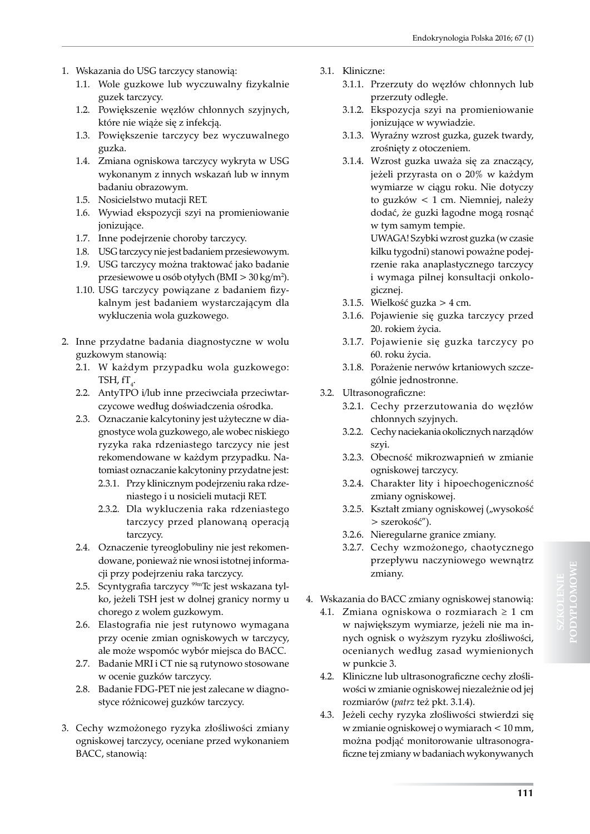- 1. Wskazania do USG tarczycy stanowią:
	- 1.1. Wole guzkowe lub wyczuwalny fizykalnie guzek tarczycy.
	- 1.2. Powiększenie węzłów chłonnych szyjnych, które nie wiąże się z infekcją.
	- 1.3. Powiększenie tarczycy bez wyczuwalnego guzka.
	- 1.4. Zmiana ogniskowa tarczycy wykryta w USG wykonanym z innych wskazań lub w innym badaniu obrazowym.
	- 1.5. Nosicielstwo mutacji RET.
	- 1.6. Wywiad ekspozycji szyi na promieniowanie jonizujące.
	- 1.7. Inne podejrzenie choroby tarczycy.
	- 1.8. USG tarczycy nie jest badaniem przesiewowym. 1.9. USG tarczycy można traktować jako badanie przesiewowe u osób otyłych (BMI > 30 kg/m2 ).
	- 1.10. USG tarczycy powiązane z badaniem fizykalnym jest badaniem wystarczającym dla wykluczenia wola guzkowego.
- 2. Inne przydatne badania diagnostyczne w wolu guzkowym stanowią:
	- 2.1. W każdym przypadku wola guzkowego: TSH, fT $_{\textrm{4}}$ .
	- 2.2. AntyTPO i/lub inne przeciwciała przeciwtarczycowe według doświadczenia ośrodka.
	- 2.3. Oznaczanie kalcytoniny jest użyteczne w diagnostyce wola guzkowego, ale wobec niskiego ryzyka raka rdzeniastego tarczycy nie jest rekomendowane w każdym przypadku. Natomiast oznaczanie kalcytoniny przydatne jest:
		- 2.3.1. Przy klinicznym podejrzeniu raka rdzeniastego i u nosicieli mutacji RET.
		- 2.3.2. Dla wykluczenia raka rdzeniastego tarczycy przed planowaną operacją tarczycy.
	- 2.4. Oznaczenie tyreoglobuliny nie jest rekomendowane, ponieważ nie wnosi istotnej informacji przy podejrzeniu raka tarczycy.
	- 2.5. Scyntygrafia tarczycy 99mTc jest wskazana tylko, jeżeli TSH jest w dolnej granicy normy u chorego z wolem guzkowym.
	- 2.6. Elastografia nie jest rutynowo wymagana przy ocenie zmian ogniskowych w tarczycy, ale może wspomóc wybór miejsca do BACC.
	- 2.7. Badanie MRI i CT nie są rutynowo stosowane w ocenie guzków tarczycy.
	- 2.8. Badanie FDG-PET nie jest zalecane w diagnostyce różnicowej guzków tarczycy.
- 3. Cechy wzmożonego ryzyka złośliwości zmiany ogniskowej tarczycy, oceniane przed wykonaniem BACC, stanowią:
- 3.1. Kliniczne:
	- 3.1.1. Przerzuty do węzłów chłonnych lub przerzuty odległe.
	- 3.1.2. Ekspozycja szyi na promieniowanie jonizujące w wywiadzie.
	- 3.1.3. Wyraźny wzrost guzka, guzek twardy, zrośnięty z otoczeniem.
	- 3.1.4. Wzrost guzka uważa się za znaczący, jeżeli przyrasta on o 20% w każdym wymiarze w ciągu roku. Nie dotyczy to guzków < 1 cm. Niemniej, należy dodać, że guzki łagodne mogą rosnąć w tym samym tempie.

UWAGA! Szybki wzrost guzka (w czasie kilku tygodni) stanowi poważne podejrzenie raka anaplastycznego tarczycy i wymaga pilnej konsultacji onkologicznej.

- 3.1.5. Wielkość guzka > 4 cm.
- 3.1.6. Pojawienie się guzka tarczycy przed 20. rokiem życia.
- 3.1.7. Pojawienie się guzka tarczycy po 60. roku życia.
- 3.1.8. Porażenie nerwów krtaniowych szczególnie jednostronne.
- 3.2. Ultrasonograficzne:
	- 3.2.1. Cechy przerzutowania do węzłów chłonnych szyjnych.
	- 3.2.2. Cechy naciekania okolicznych narządów szyi.
	- 3.2.3. Obecność mikrozwapnień w zmianie ogniskowej tarczycy.
	- 3.2.4. Charakter lity i hipoechogeniczność zmiany ogniskowej.
	- 3.2.5. Kształt zmiany ogniskowej ("wysokość > szerokość").
	- 3.2.6. Nieregularne granice zmiany.
	- 3.2.7. Cechy wzmożonego, chaotycznego przepływu naczyniowego wewnątrz zmiany.
- 4. Wskazania do BACC zmiany ogniskowej stanowią:
	- 4.1. Zmiana ogniskowa o rozmiarach  $\geq 1$  cm w największym wymiarze, jeżeli nie ma innych ognisk o wyższym ryzyku złośliwości, ocenianych według zasad wymienionych w punkcie 3.
	- 4.2. Kliniczne lub ultrasonograficzne cechy złośliwości w zmianie ogniskowej niezależnie od jej rozmiarów (*patrz* też pkt. 3.1.4).
	- 4.3. Jeżeli cechy ryzyka złośliwości stwierdzi się w zmianie ogniskowej o wymiarach < 10 mm, można podjąć monitorowanie ultrasonograficzne tej zmiany w badaniach wykonywanych

**PODYPLOMOWE**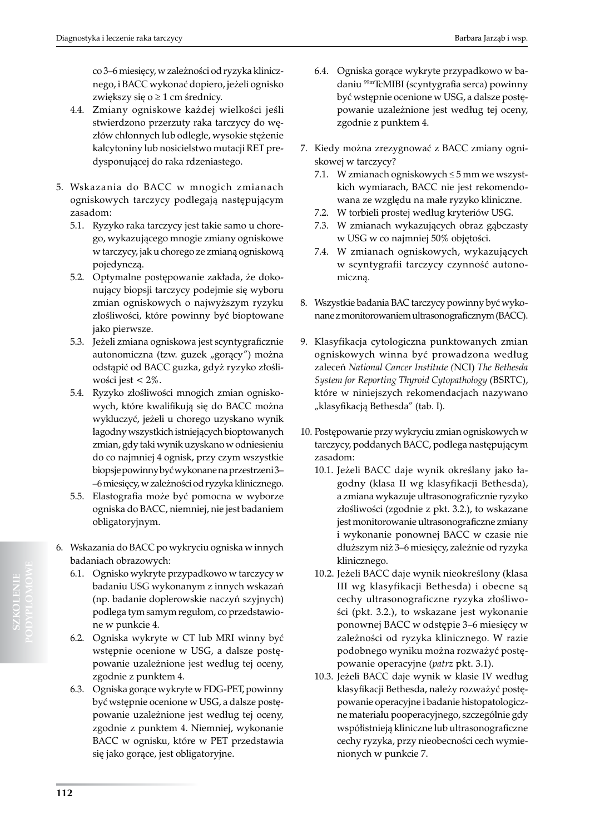co 3–6 miesięcy, w zależności od ryzyka klinicznego, i BACC wykonać dopiero, jeżeli ognisko zwiększy się o  $\geq 1$  cm średnicy.

- 4.4. Zmiany ogniskowe każdej wielkości jeśli stwierdzono przerzuty raka tarczycy do węzłów chłonnych lub odległe, wysokie stężenie kalcytoniny lub nosicielstwo mutacji RET predysponującej do raka rdzeniastego.
- 5. Wskazania do BACC w mnogich zmianach ogniskowych tarczycy podlegają następującym zasadom:
	- 5.1. Ryzyko raka tarczycy jest takie samo u chorego, wykazującego mnogie zmiany ogniskowe w tarczycy, jak u chorego ze zmianą ogniskową pojedynczą.
	- 5.2. Optymalne postępowanie zakłada, że dokonujący biopsji tarczycy podejmie się wyboru zmian ogniskowych o najwyższym ryzyku złośliwości, które powinny być bioptowane jako pierwsze.
	- 5.3. Jeżeli zmiana ogniskowa jest scyntygraficznie autonomiczna (tzw. guzek "gorący") można odstąpić od BACC guzka, gdyż ryzyko złośliwości jest < 2%.
	- 5.4. Ryzyko złośliwości mnogich zmian ogniskowych, które kwalifikują się do BACC można wykluczyć, jeżeli u chorego uzyskano wynik łagodny wszystkich istniejących bioptowanych zmian, gdy taki wynik uzyskano w odniesieniu do co najmniej 4 ognisk, przy czym wszystkie biopsje powinny być wykonane na przestrzeni 3– –6 miesięcy, w zależności od ryzyka klinicznego.
	- 5.5. Elastografia może być pomocna w wyborze ogniska do BACC, niemniej, nie jest badaniem obligatoryjnym.
- 6. Wskazania do BACC po wykryciu ogniska w innych badaniach obrazowych:
	- 6.1. Ognisko wykryte przypadkowo w tarczycy w badaniu USG wykonanym z innych wskazań (np. badanie doplerowskie naczyń szyjnych) podlega tym samym regułom, co przedstawione w punkcie 4.
	- 6.2. Ogniska wykryte w CT lub MRI winny być wstępnie ocenione w USG, a dalsze postępowanie uzależnione jest według tej oceny, zgodnie z punktem 4.
	- 6.3. Ogniska gorące wykryte w FDG-PET, powinny być wstępnie ocenione w USG, a dalsze postępowanie uzależnione jest według tej oceny, zgodnie z punktem 4. Niemniej, wykonanie BACC w ognisku, które w PET przedstawia się jako gorące, jest obligatoryjne.
- 6.4. Ogniska gorące wykryte przypadkowo w badaniu 99mTcMIBI (scyntygrafia serca) powinny być wstępnie ocenione w USG, a dalsze postępowanie uzależnione jest według tej oceny, zgodnie z punktem 4.
- 7. Kiedy można zrezygnować z BACC zmiany ogniskowej w tarczycy?
	- 7.1. W zmianach ogniskowych ≤ 5 mm we wszystkich wymiarach, BACC nie jest rekomendowana ze względu na małe ryzyko kliniczne.
	- 7.2. W torbieli prostej według kryteriów USG.
	- 7.3. W zmianach wykazujących obraz gąbczasty w USG w co najmniej 50% objętości.
	- 7.4. W zmianach ogniskowych, wykazujących w scyntygrafii tarczycy czynność autonomiczną.
- 8. Wszystkie badania BAC tarczycy powinny być wykonane z monitorowaniem ultrasonograficznym (BACC).
- 9. Klasyfikacja cytologiczna punktowanych zmian ogniskowych winna być prowadzona według zaleceń *National Cancer Institute (*NCI) *The Bethesda System for Reporting Thyroid Cytopathology* (BSRTC), które w niniejszych rekomendacjach nazywano "klasyfikacją Bethesda" (tab. I).
- 10. Postępowanie przy wykryciu zmian ogniskowych w tarczycy, poddanych BACC, podlega następującym zasadom:
	- 10.1. Jeżeli BACC daje wynik określany jako łagodny (klasa II wg klasyfikacji Bethesda), a zmiana wykazuje ultrasonograficznie ryzyko złośliwości (zgodnie z pkt. 3.2.), to wskazane jest monitorowanie ultrasonograficzne zmiany i wykonanie ponownej BACC w czasie nie dłuższym niż 3–6 miesięcy, zależnie od ryzyka klinicznego.
	- 10.2. Jeżeli BACC daje wynik nieokreślony (klasa III wg klasyfikacji Bethesda) i obecne są cechy ultrasonograficzne ryzyka złośliwości (pkt. 3.2.), to wskazane jest wykonanie ponownej BACC w odstępie 3–6 miesięcy w zależności od ryzyka klinicznego. W razie podobnego wyniku można rozważyć postępowanie operacyjne (*patrz* pkt. 3.1).
	- 10.3. Jeżeli BACC daje wynik w klasie IV według klasyfikacji Bethesda, należy rozważyć postępowanie operacyjne i badanie histopatologiczne materiału pooperacyjnego, szczególnie gdy współistnieją kliniczne lub ultrasonograficzne cechy ryzyka, przy nieobecności cech wymienionych w punkcie 7.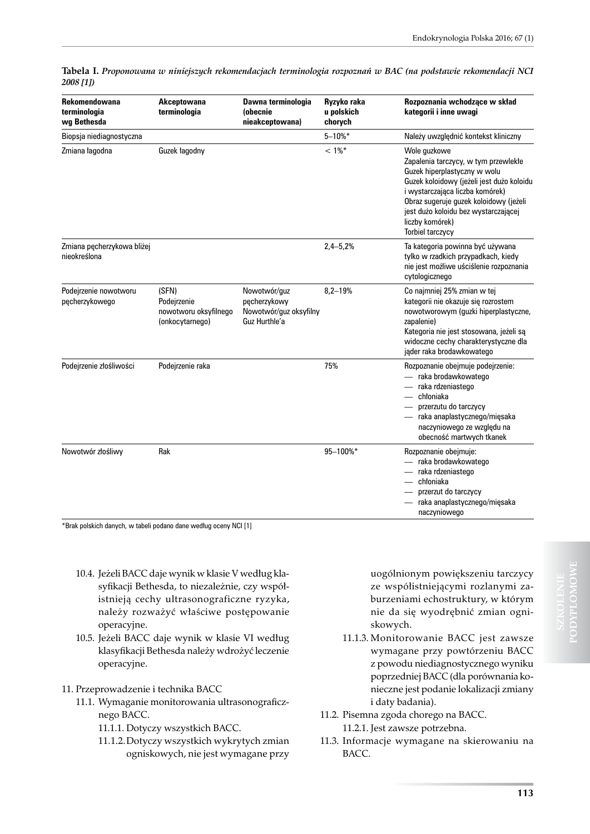| Rekomendowana<br>terminologia<br>wg Bethesda | Akceptowana<br>terminologia                                      | Dawna terminologia<br>(obecnie<br>nieakceptowana)                       | Ryzyko raka<br>u polskich<br>chorych | Rozpoznania wchodzące w skład<br>kategorii i inne uwagi                                                                                                                                                                                                                                       |
|----------------------------------------------|------------------------------------------------------------------|-------------------------------------------------------------------------|--------------------------------------|-----------------------------------------------------------------------------------------------------------------------------------------------------------------------------------------------------------------------------------------------------------------------------------------------|
| Biopsja niediagnostyczna                     |                                                                  |                                                                         | $5 - 10\%$ *                         | Należy uwzględnić kontekst kliniczny                                                                                                                                                                                                                                                          |
| Zmiana łagodna                               | Guzek łagodny                                                    |                                                                         | $< 1\%$ *                            | Wole guzkowe<br>Zapalenia tarczycy, w tym przewlekłe<br>Guzek hiperplastyczny w wolu<br>Guzek koloidowy (jeżeli jest dużo koloidu<br>i wystarczająca liczba komórek)<br>Obraz sugeruje guzek koloidowy (jeżeli<br>jest dużo koloidu bez wystarczającej<br>liczby komórek)<br>Torbiel tarczycy |
| Zmiana pęcherzykowa bliżej<br>nieokreślona   |                                                                  |                                                                         | $2,4 - 5,2%$                         | Ta kategoria powinna być używana<br>tylko w rzadkich przypadkach, kiedy<br>nie jest możliwe uściślenie rozpoznania<br>cytologicznego                                                                                                                                                          |
| Podejrzenie nowotworu<br>pęcherzykowego      | (SFN)<br>Podejrzenie<br>nowotworu oksyfilnego<br>(onkocytarnego) | Nowotwór/guz<br>pęcherzykowy<br>Nowotwór/guz oksyfilny<br>Guz Hurthle'a | $8,2 - 19%$                          | Co najmniej 25% zmian w tej<br>kategorii nie okazuje się rozrostem<br>nowotworowym (guzki hiperplastyczne,<br>zapalenie)<br>Kategoria nie jest stosowana, jeżeli są<br>widoczne cechy charakterystyczne dla<br>jąder raka brodawkowatego                                                      |
| Podejrzenie złośliwości                      | Podejrzenie raka                                                 |                                                                         | 75%                                  | Rozpoznanie obejmuje podejrzenie:<br>- raka brodawkowatego<br>- raka rdzeniastego<br>— chłoniaka<br>- przerzutu do tarczycy<br>- raka anaplastycznego/mięsaka<br>naczyniowego ze względu na<br>obecność martwych tkanek                                                                       |
| Nowotwór złośliwy                            | Rak                                                              |                                                                         | 95-100%*                             | Rozpoznanie obejmuje:<br>- raka brodawkowatego<br>- raka rdzeniastego<br>chłoniaka<br>przerzut do tarczycy<br>raka anaplastycznego/mięsaka<br>naczyniowego                                                                                                                                    |

**Tabela I.** *Proponowana w niniejszych rekomendacjach terminologia rozpoznań w BAC (na podstawie rekomendacji NCI 2008 [1])*

\*Brak polskich danych, w tabeli podano dane według oceny NCI [1]

- 10.4. Jeżeli BACC daje wynik w klasie V według klasyfikacji Bethesda, to niezależnie, czy współistnieją cechy ultrasonograficzne ryzyka, należy rozważyć właściwe postępowanie operacyjne.
- 10.5. Jeżeli BACC daje wynik w klasie VI według klasyfikacji Bethesda należy wdrożyć leczenie operacyjne.

#### 11. Przeprowadzenie i technika BACC

- 11.1. Wymaganie monitorowania ultrasonograficznego BACC.
	- 11.1.1. Dotyczy wszystkich BACC.
	- 11.1.2.Dotyczy wszystkich wykrytych zmian ogniskowych, nie jest wymagane przy

uogólnionym powiększeniu tarczycy ze współistniejącymi rozlanymi zaburzeniami echostruktury, w którym nie da się wyodrębnić zmian ogniskowych.

- 11.1.3. Monitorowanie BACC jest zawsze wymagane przy powtórzeniu BACC z powodu niediagnostycznego wyniku poprzedniej BACC (dla porównania konieczne jest podanie lokalizacji zmiany i daty badania).
- 11.2. Pisemna zgoda chorego na BACC. 11.2.1. Jest zawsze potrzebna.
- 11.3. Informacje wymagane na skierowaniu na BACC.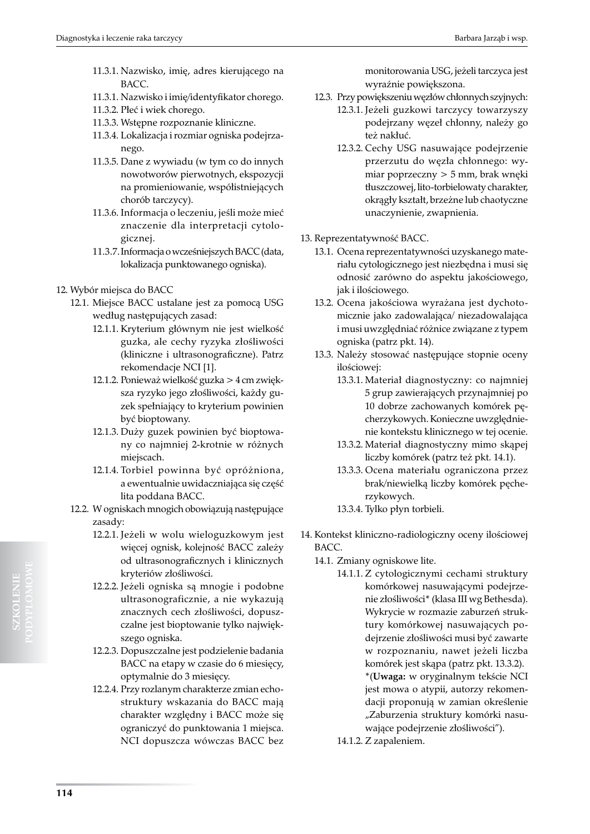- 11.3.1. Nazwisko, imię, adres kierującego na BACC.
- 11.3.1. Nazwisko i imię/identyfikator chorego.
- 11.3.2. Płeć i wiek chorego.
- 11.3.3. Wstępne rozpoznanie kliniczne.
- 11.3.4. Lokalizacja i rozmiar ogniska podejrzanego.
- 11.3.5. Dane z wywiadu (w tym co do innych nowotworów pierwotnych, ekspozycji na promieniowanie, współistniejących chorób tarczycy).
- 11.3.6. Informacja o leczeniu, jeśli może mieć znaczenie dla interpretacji cytologicznej.
- 11.3.7.Informacja o wcześniejszych BACC (data, lokalizacja punktowanego ogniska).
- 12. Wybór miejsca do BACC
	- 12.1. Miejsce BACC ustalane jest za pomocą USG według następujących zasad:
		- 12.1.1. Kryterium głównym nie jest wielkość guzka, ale cechy ryzyka złośliwości (kliniczne i ultrasonograficzne). Patrz rekomendacje NCI [1].
		- 12.1.2. Ponieważ wielkość guzka > 4 cm zwiększa ryzyko jego złośliwości, każdy guzek spełniający to kryterium powinien być bioptowany.
		- 12.1.3. Duży guzek powinien być bioptowany co najmniej 2-krotnie w różnych miejscach.
		- 12.1.4. Torbiel powinna być opróżniona, a ewentualnie uwidaczniająca się część lita poddana BACC.
	- 12.2. W ogniskach mnogich obowiązują następujące zasady:
		- 12.2.1. Jeżeli w wolu wieloguzkowym jest więcej ognisk, kolejność BACC zależy od ultrasonograficznych i klinicznych kryteriów złośliwości.
		- 12.2.2. Jeżeli ogniska są mnogie i podobne ultrasonograficznie, a nie wykazują znacznych cech złośliwości, dopuszczalne jest bioptowanie tylko największego ogniska.
		- 12.2.3. Dopuszczalne jest podzielenie badania BACC na etapy w czasie do 6 miesięcy, optymalnie do 3 miesięcy.
		- 12.2.4. Przy rozlanym charakterze zmian echostruktury wskazania do BACC mają charakter względny i BACC może się ograniczyć do punktowania 1 miejsca. NCI dopuszcza wówczas BACC bez

monitorowania USG, jeżeli tarczyca jest wyraźnie powiększona.

- 12.3. Przy powiększeniu węzłów chłonnych szyjnych:
	- 12.3.1. Jeżeli guzkowi tarczycy towarzyszy podejrzany węzeł chłonny, należy go też nakłuć.
		- 12.3.2. Cechy USG nasuwające podejrzenie przerzutu do węzła chłonnego: wymiar poprzeczny > 5 mm, brak wnęki tłuszczowej, lito-torbielowaty charakter, okrągły kształt, brzeżne lub chaotyczne unaczynienie, zwapnienia.
- 13. Reprezentatywność BACC.
	- 13.1. Ocena reprezentatywności uzyskanego materiału cytologicznego jest niezbędna i musi się odnosić zarówno do aspektu jakościowego, jak i ilościowego.
	- 13.2. Ocena jakościowa wyrażana jest dychotomicznie jako zadowalająca/ niezadowalająca i musi uwzględniać różnice związane z typem ogniska (patrz pkt. 14).
	- 13.3. Należy stosować następujące stopnie oceny ilościowej:
		- 13.3.1. Materiał diagnostyczny: co najmniej 5 grup zawierających przynajmniej po 10 dobrze zachowanych komórek pęcherzykowych. Konieczne uwzględnienie kontekstu klinicznego w tej ocenie.
		- 13.3.2. Materiał diagnostyczny mimo skąpej liczby komórek (patrz też pkt. 14.1).
		- 13.3.3. Ocena materiału ograniczona przez brak/niewielką liczby komórek pęcherzykowych.
		- 13.3.4. Tylko płyn torbieli.
- 14. Kontekst kliniczno-radiologiczny oceny ilościowej BACC.
	- 14.1. Zmiany ogniskowe lite.
		- 14.1.1. Z cytologicznymi cechami struktury komórkowej nasuwającymi podejrzenie złośliwości\* (klasa III wg Bethesda). Wykrycie w rozmazie zaburzeń struktury komórkowej nasuwających podejrzenie złośliwości musi być zawarte w rozpoznaniu, nawet jeżeli liczba komórek jest skąpa (patrz pkt. 13.3.2). \*(**Uwaga:** w oryginalnym tekście NCI jest mowa o atypii, autorzy rekomendacji proponują w zamian określenie "Zaburzenia struktury komórki nasuwające podejrzenie złośliwości").
		- 14.1.2. Z zapaleniem.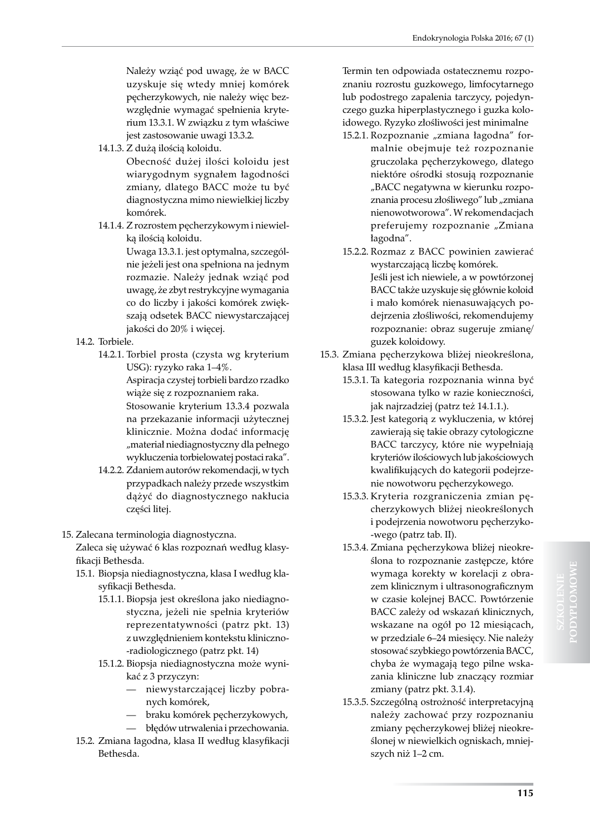Należy wziąć pod uwagę, że w BACC uzyskuje się wtedy mniej komórek pęcherzykowych, nie należy więc bezwzględnie wymagać spełnienia kryterium 13.3.1. W związku z tym właściwe jest zastosowanie uwagi 13.3.2.

14.1.3. Z dużą ilością koloidu.

Obecność dużej ilości koloidu jest wiarygodnym sygnałem łagodności zmiany, dlatego BACC może tu być diagnostyczna mimo niewielkiej liczby komórek.

14.1.4. Z rozrostem pęcherzykowym i niewielką ilością koloidu.

Uwaga 13.3.1. jest optymalna, szczególnie jeżeli jest ona spełniona na jednym rozmazie. Należy jednak wziąć pod uwagę, że zbyt restrykcyjne wymagania co do liczby i jakości komórek zwiększają odsetek BACC niewystarczającej jakości do 20% i więcej.

- 14.2. Torbiele.
	- 14.2.1. Torbiel prosta (czysta wg kryterium USG): ryzyko raka 1–4%.

Aspiracja czystej torbieli bardzo rzadko wiąże się z rozpoznaniem raka.

Stosowanie kryterium 13.3.4 pozwala na przekazanie informacji użytecznej klinicznie. Można dodać informację "materiał niediagnostyczny dla pełnego wykluczenia torbielowatej postaci raka".

- 14.2.2. Zdaniem autorów rekomendacji, w tych przypadkach należy przede wszystkim dążyć do diagnostycznego nakłucia części litej.
- 15. Zalecana terminologia diagnostyczna.

Zaleca się używać 6 klas rozpoznań według klasyfikacji Bethesda.

- 15.1. Biopsja niediagnostyczna, klasa I według klasyfikacji Bethesda.
	- 15.1.1. Biopsja jest określona jako niediagnostyczna, jeżeli nie spełnia kryteriów reprezentatywności (patrz pkt. 13) z uwzględnieniem kontekstu kliniczno- -radiologicznego (patrz pkt. 14)
	- 15.1.2. Biopsja niediagnostyczna może wynikać z 3 przyczyn:
		- niewystarczającej liczby pobranych komórek,
		- braku komórek pęcherzykowych,
		- błędów utrwalenia i przechowania.
- 15.2. Zmiana łagodna, klasa II według klasyfikacji Bethesda.

Termin ten odpowiada ostatecznemu rozpoznaniu rozrostu guzkowego, limfocytarnego lub podostrego zapalenia tarczycy, pojedynczego guzka hiperplastycznego i guzka koloidowego. Ryzyko złośliwości jest minimalne

- 15.2.1. Rozpoznanie "zmiana łagodna" formalnie obejmuje też rozpoznanie gruczolaka pęcherzykowego, dlatego niektóre ośrodki stosują rozpoznanie "BACC negatywna w kierunku rozpoznania procesu złośliwego" lub "zmiana nienowotworowa". W rekomendacjach preferujemy rozpoznanie "Zmiana łagodna".
- 15.2.2. Rozmaz z BACC powinien zawierać wystarczającą liczbę komórek. Jeśli jest ich niewiele, a w powtórzonej BACC także uzyskuje się głównie koloid i mało komórek nienasuwających podejrzenia złośliwości, rekomendujemy rozpoznanie: obraz sugeruje zmianę/ guzek koloidowy.
- 15.3. Zmiana pęcherzykowa bliżej nieokreślona, klasa III według klasyfikacji Bethesda.
	- 15.3.1. Ta kategoria rozpoznania winna być stosowana tylko w razie konieczności, jak najrzadziej (patrz też 14.1.1.).
	- 15.3.2. Jest kategorią z wykluczenia, w której zawierają się takie obrazy cytologiczne BACC tarczycy, które nie wypełniają kryteriów ilościowych lub jakościowych kwalifikujących do kategorii podejrzenie nowotworu pęcherzykowego.
	- 15.3.3. Kryteria rozgraniczenia zmian pęcherzykowych bliżej nieokreślonych i podejrzenia nowotworu pęcherzyko- -wego (patrz tab. II).
	- 15.3.4. Zmiana pęcherzykowa bliżej nieokreślona to rozpoznanie zastępcze, które wymaga korekty w korelacji z obrazem klinicznym i ultrasonograficznym w czasie kolejnej BACC. Powtórzenie BACC zależy od wskazań klinicznych, wskazane na ogół po 12 miesiącach, w przedziale 6–24 miesięcy. Nie należy stosować szybkiego powtórzenia BACC, chyba że wymagają tego pilne wskazania kliniczne lub znaczący rozmiar zmiany (patrz pkt. 3.1.4).
	- 15.3.5. Szczególną ostrożność interpretacyjną należy zachować przy rozpoznaniu zmiany pęcherzykowej bliżej nieokreślonej w niewielkich ogniskach, mniejszych niż 1–2 cm.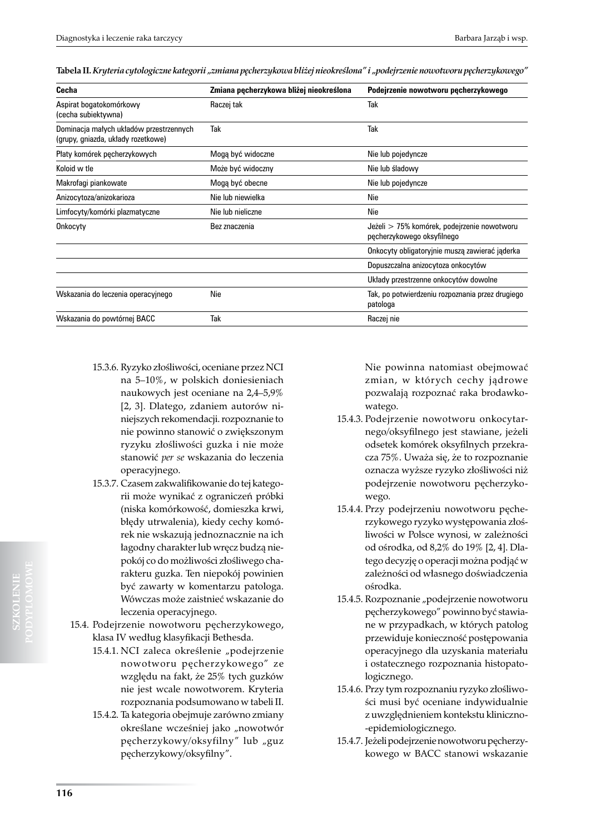| Cecha                                                                         | Zmiana pęcherzykowa bliżej nieokreślona | Podejrzenie nowotworu pęcherzykowego                                      |
|-------------------------------------------------------------------------------|-----------------------------------------|---------------------------------------------------------------------------|
| Aspirat bogatokomórkowy<br>(cecha subiektywna)                                | Raczej tak                              | Tak                                                                       |
| Dominacja małych układów przestrzennych<br>(grupy, gniazda, układy rozetkowe) | Tak                                     | Tak                                                                       |
| Płaty komórek pęcherzykowych                                                  | Mogą być widoczne                       | Nie lub pojedyncze                                                        |
| Koloid w tle                                                                  | Może być widoczny                       | Nie lub śladowy                                                           |
| Makrofagi piankowate                                                          | Mogą być obecne                         | Nie lub pojedyncze                                                        |
| Anizocytoza/anizokarioza                                                      | Nie lub niewielka                       | Nie                                                                       |
| Limfocyty/komórki plazmatyczne                                                | Nie lub nieliczne                       | Nie                                                                       |
| Onkocyty                                                                      | Bez znaczenia                           | Jeżeli > 75% komórek, podejrzenie nowotworu<br>pęcherzykowego oksyfilnego |
|                                                                               |                                         | Onkocyty obligatoryjnie muszą zawierać jąderka                            |
|                                                                               |                                         | Dopuszczalna anizocytoza onkocytów                                        |
|                                                                               |                                         | Układy przestrzenne onkocytów dowolne                                     |
| Wskazania do leczenia operacyjnego                                            | Nie                                     | Tak, po potwierdzeniu rozpoznania przez drugiego<br>patologa              |
| Wskazania do powtórnej BACC                                                   | Tak                                     | Raczej nie                                                                |

- 15.3.6. Ryzyko złośliwości, oceniane przez NCI na 5–10%, w polskich doniesieniach naukowych jest oceniane na 2,4–5,9% [2, 3]. Dlatego, zdaniem autorów niniejszych rekomendacji. rozpoznanie to nie powinno stanowić o zwiększonym ryzyku złośliwości guzka i nie może stanowić *per se* wskazania do leczenia operacyjnego.
- 15.3.7. Czasem zakwalifikowanie do tej kategorii może wynikać z ograniczeń próbki (niska komórkowość, domieszka krwi, błędy utrwalenia), kiedy cechy komórek nie wskazują jednoznacznie na ich łagodny charakter lub wręcz budzą niepokój co do możliwości złośliwego charakteru guzka. Ten niepokój powinien być zawarty w komentarzu patologa. Wówczas może zaistnieć wskazanie do leczenia operacyjnego.
- 15.4. Podejrzenie nowotworu pęcherzykowego, klasa IV według klasyfikacji Bethesda.
	- 15.4.1. NCI zaleca określenie "podejrzenie nowotworu pęcherzykowego" ze względu na fakt, że 25% tych guzków nie jest wcale nowotworem. Kryteria rozpoznania podsumowano w tabeli II.
	- 15.4.2. Ta kategoria obejmuje zarówno zmiany określane wcześniej jako "nowotwór pęcherzykowy/oksyfilny" lub "guz pęcherzykowy/oksyfilny".

Nie powinna natomiast obejmować zmian, w których cechy jądrowe pozwalają rozpoznać raka brodawkowatego.

- 15.4.3. Podejrzenie nowotworu onkocytarnego/oksyfilnego jest stawiane, jeżeli odsetek komórek oksyfilnych przekracza 75%. Uważa się, że to rozpoznanie oznacza wyższe ryzyko złośliwości niż podejrzenie nowotworu pęcherzykowego.
- 15.4.4. Przy podejrzeniu nowotworu pęcherzykowego ryzyko występowania złośliwości w Polsce wynosi, w zależności od ośrodka, od 8,2% do 19% [2, 4]. Dlatego decyzję o operacji można podjąć w zależności od własnego doświadczenia ośrodka.
- 15.4.5. Rozpoznanie "podejrzenie nowotworu pęcherzykowego" powinno być stawiane w przypadkach, w których patolog przewiduje konieczność postępowania operacyjnego dla uzyskania materiału i ostatecznego rozpoznania histopatologicznego.
- 15.4.6. Przy tym rozpoznaniu ryzyko złośliwości musi być oceniane indywidualnie z uwzględnieniem kontekstu kliniczno- -epidemiologicznego.
- 15.4.7. Jeżeli podejrzenie nowotworu pęcherzykowego w BACC stanowi wskazanie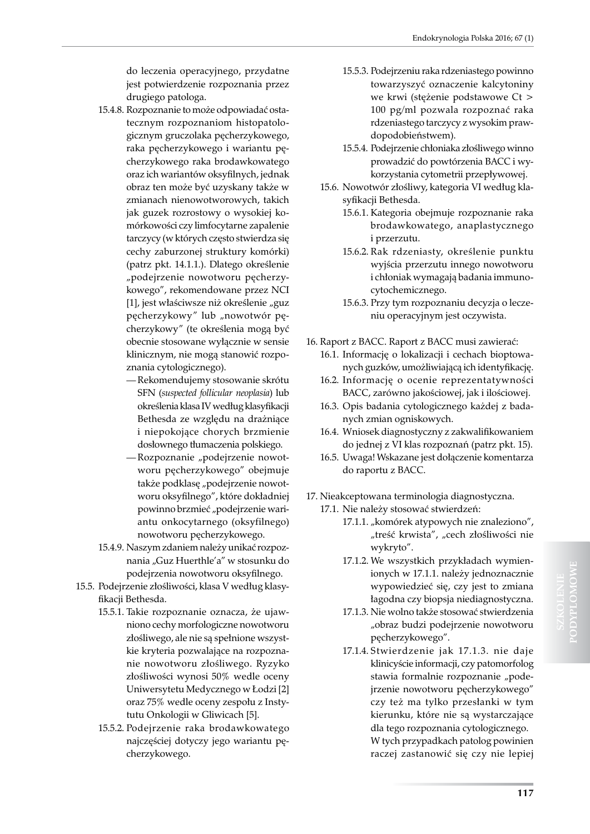do leczenia operacyjnego, przydatne jest potwierdzenie rozpoznania przez drugiego patologa.

- 15.4.8. Rozpoznanie to może odpowiadać ostatecznym rozpoznaniom histopatologicznym gruczolaka pęcherzykowego, raka pęcherzykowego i wariantu pęcherzykowego raka brodawkowatego oraz ich wariantów oksyfilnych, jednak obraz ten może być uzyskany także w zmianach nienowotworowych, takich jak guzek rozrostowy o wysokiej komórkowości czy limfocytarne zapalenie tarczycy (w których często stwierdza się cechy zaburzonej struktury komórki) (patrz pkt. 14.1.1.). Dlatego określenie "podejrzenie nowotworu pęcherzykowego", rekomendowane przez NCI [1], jest właściwsze niż określenie "guz pęcherzykowy" lub "nowotwór pęcherzykowy" (te określenia mogą być obecnie stosowane wyłącznie w sensie klinicznym, nie mogą stanowić rozpoznania cytologicznego).
	- Rekomendujemy stosowanie skrótu SFN (*suspected follicular neoplasia*) lub określenia klasa IV według klasyfikacji Bethesda ze względu na drażniące i niepokojące chorych brzmienie dosłownego tłumaczenia polskiego.
	- Rozpoznanie "podejrzenie nowotworu pęcherzykowego" obejmuje także podklasę "podejrzenie nowotworu oksyfilnego", które dokładniej powinno brzmieć "podejrzenie wariantu onkocytarnego (oksyfilnego) nowotworu pęcherzykowego.
- 15.4.9. Naszym zdaniem należy unikać rozpoznania "Guz Huerthle'a" w stosunku do podejrzenia nowotworu oksyfilnego.
- 15.5. Podejrzenie złośliwości, klasa V według klasyfikacji Bethesda.
	- 15.5.1. Takie rozpoznanie oznacza, że ujawniono cechy morfologiczne nowotworu złośliwego, ale nie są spełnione wszystkie kryteria pozwalające na rozpoznanie nowotworu złośliwego. Ryzyko złośliwości wynosi 50% wedle oceny Uniwersytetu Medycznego w Łodzi [2] oraz 75% wedle oceny zespołu z Instytutu Onkologii w Gliwicach [5].
	- 15.5.2. Podejrzenie raka brodawkowatego najczęściej dotyczy jego wariantu pęcherzykowego.
- 15.5.3. Podejrzeniu raka rdzeniastego powinno towarzyszyć oznaczenie kalcytoniny we krwi (stężenie podstawowe Ct > 100 pg/ml pozwala rozpoznać raka rdzeniastego tarczycy z wysokim prawdopodobieństwem).
- 15.5.4. Podejrzenie chłoniaka złośliwego winno prowadzić do powtórzenia BACC i wykorzystania cytometrii przepływowej.
- 15.6. Nowotwór złośliwy, kategoria VI według klasyfikacji Bethesda.
	- 15.6.1. Kategoria obejmuje rozpoznanie raka brodawkowatego, anaplastycznego i przerzutu.
	- 15.6.2. Rak rdzeniasty, określenie punktu wyjścia przerzutu innego nowotworu i chłoniak wymagają badania immunocytochemicznego.
	- 15.6.3. Przy tym rozpoznaniu decyzja o leczeniu operacyjnym jest oczywista.
- 16. Raport z BACC. Raport z BACC musi zawierać:
	- 16.1. Informację o lokalizacji i cechach bioptowanych guzków, umożliwiającą ich identyfikację.
	- 16.2. Informację o ocenie reprezentatywności BACC, zarówno jakościowej, jak i ilościowej.
	- 16.3. Opis badania cytologicznego każdej z badanych zmian ogniskowych.
	- 16.4. Wniosek diagnostyczny z zakwalifikowaniem do jednej z VI klas rozpoznań (patrz pkt. 15).
	- 16.5. Uwaga! Wskazane jest dołączenie komentarza do raportu z BACC.
- 17. Nieakceptowana terminologia diagnostyczna.
	- 17.1. Nie należy stosować stwierdzeń:
		- 17.1.1. "komórek atypowych nie znaleziono", "treść krwista", "cech złośliwości nie wykryto".
		- 17.1.2. We wszystkich przykładach wymienionych w 17.1.1. należy jednoznacznie wypowiedzieć się, czy jest to zmiana łagodna czy biopsja niediagnostyczna.
		- 17.1.3. Nie wolno także stosować stwierdzenia "obraz budzi podejrzenie nowotworu pęcherzykowego".
		- 17.1.4. Stwierdzenie jak 17.1.3. nie daje klinicyście informacji, czy patomorfolog stawia formalnie rozpoznanie "podejrzenie nowotworu pęcherzykowego" czy też ma tylko przesłanki w tym kierunku, które nie są wystarczające dla tego rozpoznania cytologicznego. W tych przypadkach patolog powinien raczej zastanowić się czy nie lepiej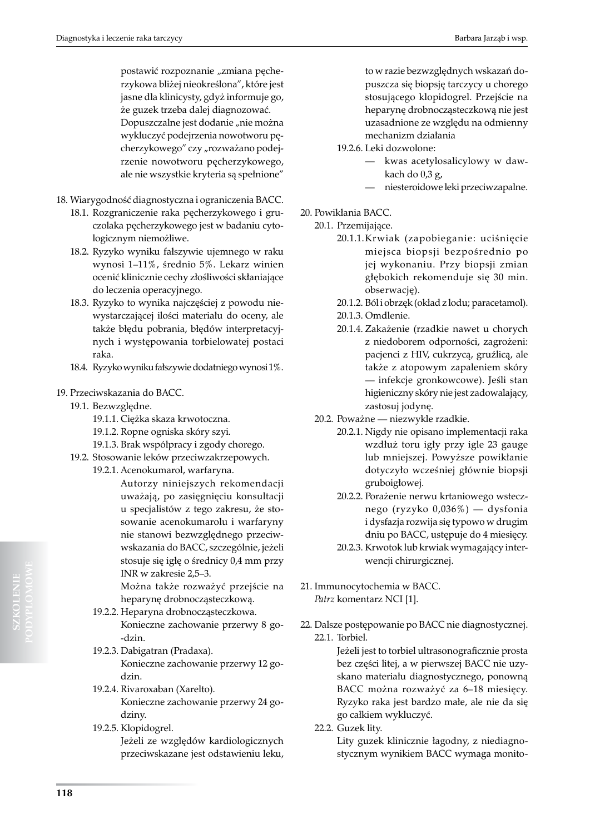postawić rozpoznanie "zmiana pęcherzykowa bliżej nieokreślona", które jest jasne dla klinicysty, gdyż informuje go, że guzek trzeba dalej diagnozować.

Dopuszczalne jest dodanie "nie można wykluczyć podejrzenia nowotworu pęcherzykowego" czy "rozważano podejrzenie nowotworu pęcherzykowego, ale nie wszystkie kryteria są spełnione"

- 18. Wiarygodność diagnostyczna i ograniczenia BACC.
	- 18.1. Rozgraniczenie raka pęcherzykowego i gruczolaka pęcherzykowego jest w badaniu cytologicznym niemożliwe.
	- 18.2. Ryzyko wyniku fałszywie ujemnego w raku wynosi 1–11%, średnio 5%. Lekarz winien ocenić klinicznie cechy złośliwości skłaniające do leczenia operacyjnego.
	- 18.3. Ryzyko to wynika najczęściej z powodu niewystarczającej ilości materiału do oceny, ale także błędu pobrania, błędów interpretacyjnych i występowania torbielowatej postaci raka.
	- 18.4. Ryzyko wyniku fałszywie dodatniego wynosi 1%.

#### 19. Przeciwskazania do BACC.

- 19.1. Bezwzględne.
	- 19.1.1. Ciężka skaza krwotoczna.
	- 19.1.2. Ropne ogniska skóry szyi.
	- 19.1.3. Brak współpracy i zgody chorego.
- 19.2. Stosowanie leków przeciwzakrzepowych.

19.2.1. Acenokumarol, warfaryna.

Autorzy niniejszych rekomendacji uważają, po zasięgnięciu konsultacji u specjalistów z tego zakresu, że stosowanie acenokumarolu i warfaryny nie stanowi bezwzględnego przeciwwskazania do BACC, szczególnie, jeżeli stosuje się igłę o średnicy 0,4 mm przy INR w zakresie 2,5–3.

Można także rozważyć przejście na heparynę drobnocząsteczkową.

- 19.2.2. Heparyna drobnocząsteczkowa. Konieczne zachowanie przerwy 8 go- -dzin.
- 19.2.3. Dabigatran (Pradaxa). Konieczne zachowanie przerwy 12 godzin.
- 19.2.4. Rivaroxaban (Xarelto). Konieczne zachowanie przerwy 24 godziny.
- 19.2.5. Klopidogrel. Jeżeli ze względów kardiologicznych przeciwskazane jest odstawieniu leku,

to w razie bezwzględnych wskazań dopuszcza się biopsję tarczycy u chorego stosującego klopidogrel. Przejście na heparynę drobnocząsteczkową nie jest uzasadnione ze względu na odmienny mechanizm działania

19.2.6. Leki dozwolone:

- kwas acetylosalicylowy w dawkach do 0,3 g,
- niesteroidowe leki przeciwzapalne.

#### 20. Powikłania BACC.

- 20.1. Przemijające.
	- 20.1.1.Krwiak (zapobieganie: uciśnięcie miejsca biopsji bezpośrednio po jej wykonaniu. Przy biopsji zmian głębokich rekomenduje się 30 min. obserwację).
	- 20.1.2. Ból i obrzęk (okład z lodu; paracetamol).
	- 20.1.3. Omdlenie.
	- 20.1.4. Zakażenie (rzadkie nawet u chorych z niedoborem odporności, zagrożeni: pacjenci z HIV, cukrzycą, gruźlicą, ale także z atopowym zapaleniem skóry — infekcje gronkowcowe). Jeśli stan higieniczny skóry nie jest zadowalający, zastosuj jodynę.
- 20.2. Poważne niezwykle rzadkie.
	- 20.2.1. Nigdy nie opisano implementacji raka wzdłuż toru igły przy igle 23 gauge lub mniejszej. Powyższe powikłanie dotyczyło wcześniej głównie biopsji gruboigłowej.
	- 20.2.2. Porażenie nerwu krtaniowego wstecznego (ryzyko 0,036%) — dysfonia i dysfazja rozwija się typowo w drugim dniu po BACC, ustępuje do 4 miesięcy.
	- 20.2.3. Krwotok lub krwiak wymagający interwencji chirurgicznej.

21. Immunocytochemia w BACC. *Patrz* komentarz NCI [1].

22. Dalsze postępowanie po BACC nie diagnostycznej. 22.1. Torbiel.

Jeżeli jest to torbiel ultrasonograficznie prosta bez części litej, a w pierwszej BACC nie uzyskano materiału diagnostycznego, ponowną BACC można rozważyć za 6–18 miesięcy. Ryzyko raka jest bardzo małe, ale nie da się go całkiem wykluczyć.

22.2. Guzek lity. Lity guzek klinicznie łagodny, z niediagnostycznym wynikiem BACC wymaga monito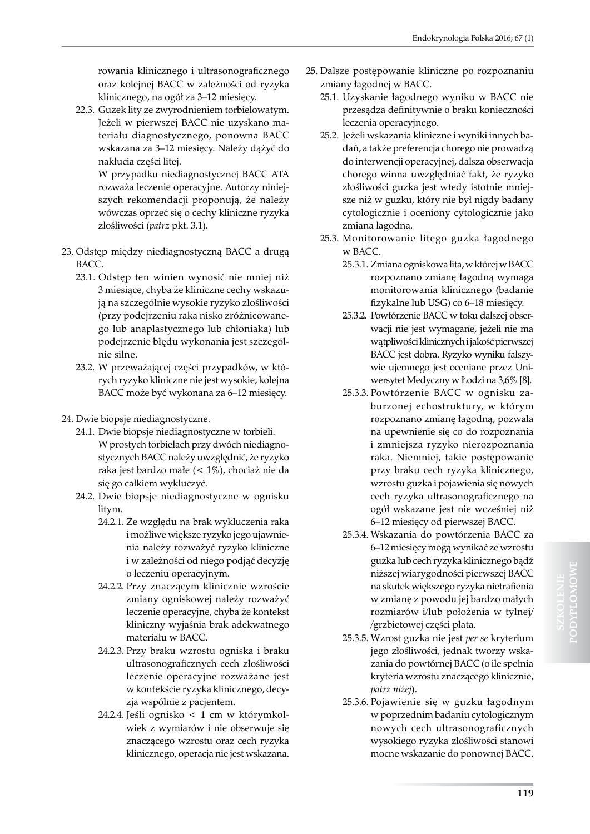rowania klinicznego i ultrasonograficznego oraz kolejnej BACC w zależności od ryzyka klinicznego, na ogół za 3–12 miesięcy.

22.3. Guzek lity ze zwyrodnieniem torbielowatym. Jeżeli w pierwszej BACC nie uzyskano materiału diagnostycznego, ponowna BACC wskazana za 3–12 miesięcy. Należy dążyć do nakłucia części litej.

> W przypadku niediagnostycznej BACC ATA rozważa leczenie operacyjne. Autorzy niniejszych rekomendacji proponują, że należy wówczas oprzeć się o cechy kliniczne ryzyka złośliwości (*patrz* pkt. 3.1).

- 23. Odstęp między niediagnostyczną BACC a drugą BACC.
	- 23.1. Odstęp ten winien wynosić nie mniej niż 3 miesiące, chyba że kliniczne cechy wskazują na szczególnie wysokie ryzyko złośliwości (przy podejrzeniu raka nisko zróżnicowanego lub anaplastycznego lub chłoniaka) lub podejrzenie błędu wykonania jest szczególnie silne.
	- 23.2. W przeważającej części przypadków, w których ryzyko kliniczne nie jest wysokie, kolejna BACC może być wykonana za 6–12 miesięcy.
- 24. Dwie biopsje niediagnostyczne.
	- 24.1. Dwie biopsje niediagnostyczne w torbieli. W prostych torbielach przy dwóch niediagnostycznych BACC należy uwzględnić, że ryzyko raka jest bardzo małe (< 1%), chociaż nie da się go całkiem wykluczyć.
	- 24.2. Dwie biopsje niediagnostyczne w ognisku litym.
		- 24.2.1. Ze względu na brak wykluczenia raka i możliwe większe ryzyko jego ujawnienia należy rozważyć ryzyko kliniczne i w zależności od niego podjąć decyzję o leczeniu operacyjnym.
		- 24.2.2. Przy znaczącym klinicznie wzroście zmiany ogniskowej należy rozważyć leczenie operacyjne, chyba że kontekst kliniczny wyjaśnia brak adekwatnego materiału w BACC.
		- 24.2.3. Przy braku wzrostu ogniska i braku ultrasonograficznych cech złośliwości leczenie operacyjne rozważane jest w kontekście ryzyka klinicznego, decyzja wspólnie z pacjentem.
		- 24.2.4. Jeśli ognisko < 1 cm w którymkolwiek z wymiarów i nie obserwuje się znaczącego wzrostu oraz cech ryzyka klinicznego, operacja nie jest wskazana.
- 25. Dalsze postępowanie kliniczne po rozpoznaniu zmiany łagodnej w BACC.
	- 25.1. Uzyskanie łagodnego wyniku w BACC nie przesądza definitywnie o braku konieczności leczenia operacyjnego.
	- 25.2. Jeżeli wskazania kliniczne i wyniki innych badań, a także preferencja chorego nie prowadzą do interwencji operacyjnej, dalsza obserwacja chorego winna uwzględniać fakt, że ryzyko złośliwości guzka jest wtedy istotnie mniejsze niż w guzku, który nie był nigdy badany cytologicznie i oceniony cytologicznie jako zmiana łagodna.
	- 25.3. Monitorowanie litego guzka łagodnego w BACC.
		- 25.3.1. Zmiana ogniskowa lita, w której w BACC rozpoznano zmianę łagodną wymaga monitorowania klinicznego (badanie fizykalne lub USG) co 6–18 miesięcy.
		- 25.3.2. Powtórzenie BACC w toku dalszej obserwacji nie jest wymagane, jeżeli nie ma wątpliwości klinicznych i jakość pierwszej BACC jest dobra. Ryzyko wyniku fałszywie ujemnego jest oceniane przez Uniwersytet Medyczny w Łodzi na 3,6% [8].
		- 25.3.3. Powtórzenie BACC w ognisku zaburzonej echostruktury, w którym rozpoznano zmianę łagodną, pozwala na upewnienie się co do rozpoznania i zmniejsza ryzyko nierozpoznania raka. Niemniej, takie postępowanie przy braku cech ryzyka klinicznego, wzrostu guzka i pojawienia się nowych cech ryzyka ultrasonograficznego na ogół wskazane jest nie wcześniej niż 6–12 miesięcy od pierwszej BACC.
		- 25.3.4. Wskazania do powtórzenia BACC za 6–12 miesięcy mogą wynikać ze wzrostu guzka lub cech ryzyka klinicznego bądź niższej wiarygodności pierwszej BACC na skutek większego ryzyka nietrafienia w zmianę z powodu jej bardzo małych rozmiarów i/lub położenia w tylnej/ /grzbietowej części płata.
		- 25.3.5. Wzrost guzka nie jest *per se* kryterium jego złośliwości, jednak tworzy wskazania do powtórnej BACC (o ile spełnia kryteria wzrostu znaczącego klinicznie, *patrz niżej*).
		- 25.3.6. Pojawienie się w guzku łagodnym w poprzednim badaniu cytologicznym nowych cech ultrasonograficznych wysokiego ryzyka złośliwości stanowi mocne wskazanie do ponownej BACC.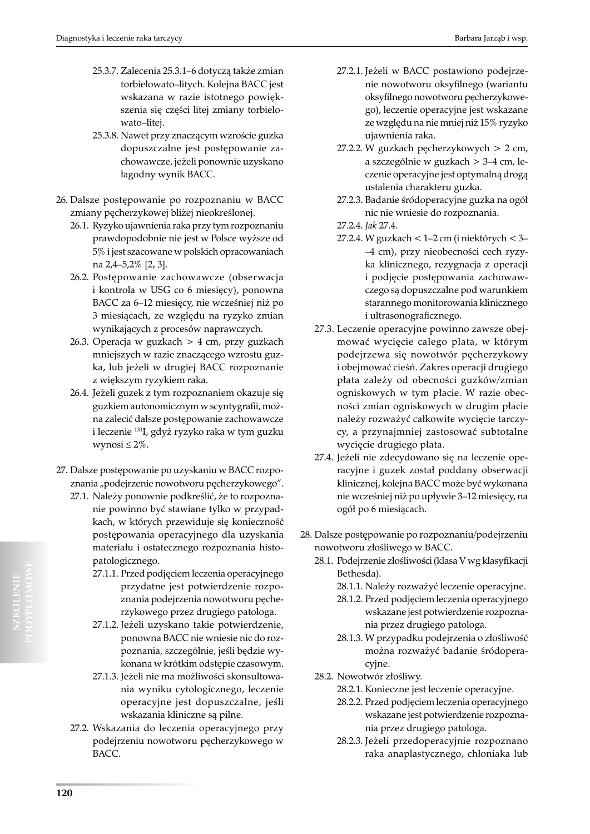- 25.3.7. Zalecenia 25.3.1–6 dotyczą także zmian torbielowato–litych. Kolejna BACC jest wskazana w razie istotnego powiększenia się części litej zmiany torbielowato–litej.
- 25.3.8. Nawet przy znaczącym wzroście guzka dopuszczalne jest postępowanie zachowawcze, jeżeli ponownie uzyskano łagodny wynik BACC.
- 26. Dalsze postępowanie po rozpoznaniu w BACC zmiany pęcherzykowej bliżej nieokreślonej.
	- 26.1. Ryzyko ujawnienia raka przy tym rozpoznaniu prawdopodobnie nie jest w Polsce wyższe od 5% i jest szacowane w polskich opracowaniach na 2,4–5,2% [2, 3].
	- 26.2. Postępowanie zachowawcze (obserwacja i kontrola w USG co 6 miesięcy), ponowna BACC za 6–12 miesięcy, nie wcześniej niż po 3 miesiącach, ze względu na ryzyko zmian wynikających z procesów naprawczych.
	- 26.3. Operacja w guzkach > 4 cm, przy guzkach mniejszych w razie znaczącego wzrostu guzka, lub jeżeli w drugiej BACC rozpoznanie z większym ryzykiem raka.
	- 26.4. Jeżeli guzek z tym rozpoznaniem okazuje się guzkiem autonomicznym w scyntygrafii, można zalecić dalsze postępowanie zachowawcze i leczenie 131I, gdyż ryzyko raka w tym guzku wynosi  $\leq 2\%$ .
- 27. Dalsze postępowanie po uzyskaniu w BACC rozpoznania "podejrzenie nowotworu pęcherzykowego".
	- 27.1. Należy ponownie podkreślić, że to rozpoznanie powinno być stawiane tylko w przypadkach, w których przewiduje się konieczność postępowania operacyjnego dla uzyskania materiału i ostatecznego rozpoznania histopatologicznego.
		- 27.1.1. Przed podjęciem leczenia operacyjnego przydatne jest potwierdzenie rozpoznania podejrzenia nowotworu pęcherzykowego przez drugiego patologa.
		- 27.1.2. Jeżeli uzyskano takie potwierdzenie, ponowna BACC nie wniesie nic do rozpoznania, szczególnie, jeśli będzie wykonana w krótkim odstępie czasowym.
		- 27.1.3. Jeżeli nie ma możliwości skonsultowania wyniku cytologicznego, leczenie operacyjne jest dopuszczalne, jeśli wskazania kliniczne są pilne.
	- 27.2. Wskazania do leczenia operacyjnego przy podejrzeniu nowotworu pęcherzykowego w BACC.
- 27.2.1. Jeżeli w BACC postawiono podejrzenie nowotworu oksyfilnego (wariantu oksyfilnego nowotworu pęcherzykowego), leczenie operacyjne jest wskazane ze względu na nie mniej niż 15% ryzyko ujawnienia raka.
- 27.2.2. W guzkach pęcherzykowych > 2 cm, a szczególnie w guzkach > 3–4 cm, leczenie operacyjne jest optymalną drogą ustalenia charakteru guzka.
- 27.2.3. Badanie śródoperacyjne guzka na ogół nic nie wniesie do rozpoznania.
- 27.2.4. *Jak* 27.4.
- 27.2.4. W guzkach < 1–2 cm (i niektórych < 3– –4 cm), przy nieobecności cech ryzyka klinicznego, rezygnacja z operacji i podjęcie postępowania zachowawczego są dopuszczalne pod warunkiem starannego monitorowania klinicznego i ultrasonograficznego.
- 27.3. Leczenie operacyjne powinno zawsze obejmować wycięcie całego płata, w którym podejrzewa się nowotwór pęcherzykowy i obejmować cieśń. Zakres operacji drugiego płata zależy od obecności guzków/zmian ogniskowych w tym płacie. W razie obecności zmian ogniskowych w drugim płacie należy rozważyć całkowite wycięcie tarczycy, a przynajmniej zastosować subtotalne wycięcie drugiego płata.
- 27.4. Jeżeli nie zdecydowano się na leczenie operacyjne i guzek został poddany obserwacji klinicznej, kolejna BACC może być wykonana nie wcześniej niż po upływie 3–12 miesięcy, na ogół po 6 miesiącach.
- 28. Dalsze postępowanie po rozpoznaniu/podejrzeniu nowotworu złośliwego w BACC.
	- 28.1. Podejrzenie złośliwości (klasa V wg klasyfikacji Bethesda).
		- 28.1.1. Należy rozważyć leczenie operacyjne.
		- 28.1.2. Przed podjęciem leczenia operacyjnego wskazane jest potwierdzenie rozpoznania przez drugiego patologa.
		- 28.1.3. W przypadku podejrzenia o złośliwość można rozważyć badanie śródoperacyjne.
	- 28.2. Nowotwór złośliwy.
		- 28.2.1. Konieczne jest leczenie operacyjne.
		- 28.2.2. Przed podjęciem leczenia operacyjnego wskazane jest potwierdzenie rozpoznania przez drugiego patologa.
		- 28.2.3. Jeżeli przedoperacyjnie rozpoznano raka anaplastycznego, chłoniaka lub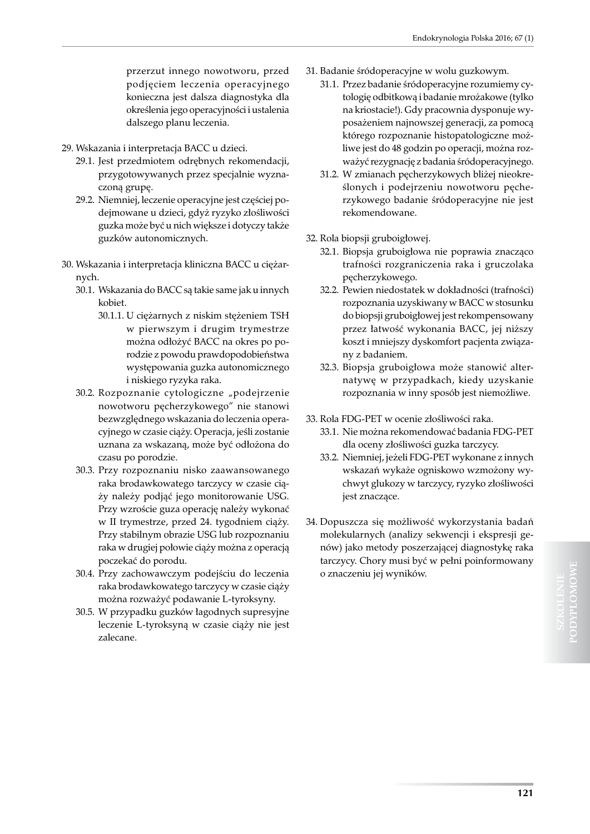przerzut innego nowotworu, przed podjęciem leczenia operacyjnego konieczna jest dalsza diagnostyka dla określenia jego operacyjności i ustalenia dalszego planu leczenia.

- 29. Wskazania i interpretacja BACC u dzieci.
	- 29.1. Jest przedmiotem odrębnych rekomendacji, przygotowywanych przez specjalnie wyznaczoną grupę.
	- 29.2. Niemniej, leczenie operacyjne jest częściej podejmowane u dzieci, gdyż ryzyko złośliwości guzka może być u nich większe i dotyczy także guzków autonomicznych.
- 30. Wskazania i interpretacja kliniczna BACC u ciężarnych.
	- 30.1. Wskazania do BACC są takie same jak u innych kobiet.
		- 30.1.1. U ciężarnych z niskim stężeniem TSH w pierwszym i drugim trymestrze można odłożyć BACC na okres po porodzie z powodu prawdopodobieństwa występowania guzka autonomicznego i niskiego ryzyka raka.
	- 30.2. Rozpoznanie cytologiczne "podejrzenie nowotworu pęcherzykowego" nie stanowi bezwzględnego wskazania do leczenia operacyjnego w czasie ciąży. Operacja, jeśli zostanie uznana za wskazaną, może być odłożona do czasu po porodzie.
	- 30.3. Przy rozpoznaniu nisko zaawansowanego raka brodawkowatego tarczycy w czasie ciąży należy podjąć jego monitorowanie USG. Przy wzroście guza operację należy wykonać w II trymestrze, przed 24. tygodniem ciąży. Przy stabilnym obrazie USG lub rozpoznaniu raka w drugiej połowie ciąży można z operacją poczekać do porodu.
	- 30.4. Przy zachowawczym podejściu do leczenia raka brodawkowatego tarczycy w czasie ciąży można rozważyć podawanie L-tyroksyny.
	- 30.5. W przypadku guzków łagodnych supresyjne leczenie L-tyroksyną w czasie ciąży nie jest zalecane.
- 31. Badanie śródoperacyjne w wolu guzkowym.
	- 31.1. Przez badanie śródoperacyjne rozumiemy cytologię odbitkową i badanie mrożakowe (tylko na kriostacie!). Gdy pracownia dysponuje wyposażeniem najnowszej generacji, za pomocą którego rozpoznanie histopatologiczne możliwe jest do 48 godzin po operacji, można rozważyć rezygnację z badania śródoperacyjnego.
	- 31.2. W zmianach pęcherzykowych bliżej nieokreślonych i podejrzeniu nowotworu pęcherzykowego badanie śródoperacyjne nie jest rekomendowane.
- 32. Rola biopsji gruboigłowej.
	- 32.1. Biopsja gruboigłowa nie poprawia znacząco trafności rozgraniczenia raka i gruczolaka pęcherzykowego.
	- 32.2. Pewien niedostatek w dokładności (trafności) rozpoznania uzyskiwany w BACC w stosunku do biopsji gruboigłowej jest rekompensowany przez łatwość wykonania BACC, jej niższy koszt i mniejszy dyskomfort pacjenta związany z badaniem.
	- 32.3. Biopsja gruboigłowa może stanowić alternatywę w przypadkach, kiedy uzyskanie rozpoznania w inny sposób jest niemożliwe.
- 33. Rola FDG-PET w ocenie złośliwości raka.
	- 33.1. Nie można rekomendować badania FDG-PET dla oceny złośliwości guzka tarczycy.
	- 33.2. Niemniej, jeżeli FDG-PET wykonane z innych wskazań wykaże ogniskowo wzmożony wychwyt glukozy w tarczycy, ryzyko złośliwości jest znaczące.
- 34. Dopuszcza się możliwość wykorzystania badań molekularnych (analizy sekwencji i ekspresji genów) jako metody poszerzającej diagnostykę raka tarczycy. Chory musi być w pełni poinformowany o znaczeniu jej wyników.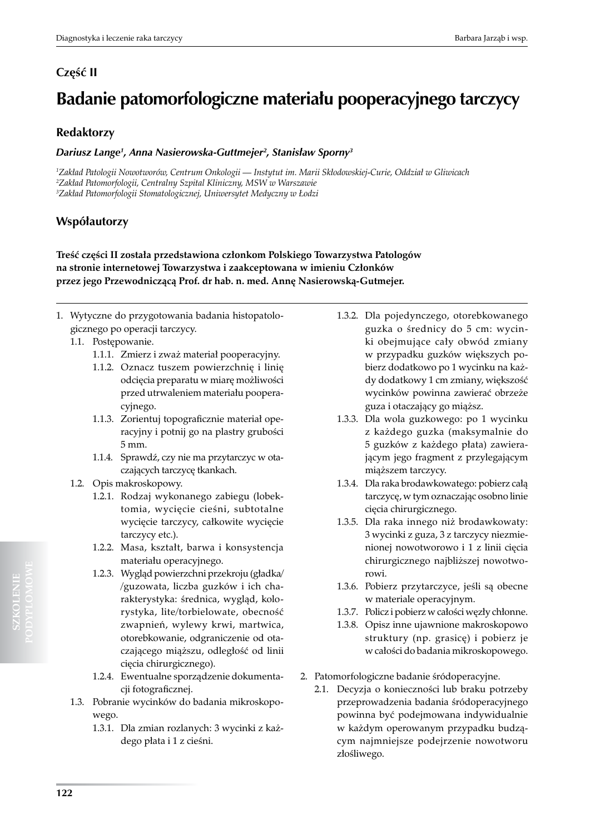## **Część II**

# **Badanie patomorfologiczne materiału pooperacyjnego tarczycy**

## **Redaktorzy**

#### *Dariusz Lange1 , Anna Nasierowska-Guttmejer2 , Stanisław Sporny<sup>3</sup>*

*1 Zakład Patologii Nowotworów, Centrum Onkologii — Instytut im. Marii Skłodowskiej-Curie, Oddział w Gliwicach 2 Zakład Patomorfologii, Centralny Szpital Kliniczny, MSW w Warszawie 3 Zakład Patomorfologii Stomatologicznej, Uniwersytet Medyczny w Łodzi*

## **Współautorzy**

**Treść części II została przedstawiona członkom Polskiego Towarzystwa Patologów na stronie internetowej Towarzystwa i zaakceptowana w imieniu Członków przez jego Przewodniczącą Prof. dr hab. n. med. Annę Nasierowską-Gutmejer.**

- 1. Wytyczne do przygotowania badania histopatologicznego po operacji tarczycy.
	- 1.1. Postępowanie.
		- 1.1.1. Zmierz i zważ materiał pooperacyjny.
		- 1.1.2. Oznacz tuszem powierzchnię i linię odcięcia preparatu w miarę możliwości przed utrwaleniem materiału pooperacyjnego.
		- 1.1.3. Zorientuj topograficznie materiał operacyjny i potnij go na plastry grubości 5 mm.
		- 1.1.4. Sprawdź, czy nie ma przytarczyc w otaczających tarczycę tkankach.
	- 1.2. Opis makroskopowy.
		- 1.2.1. Rodzaj wykonanego zabiegu (lobektomia, wycięcie cieśni, subtotalne wycięcie tarczycy, całkowite wycięcie tarczycy etc.).
		- 1.2.2. Masa, kształt, barwa i konsystencja materiału operacyjnego.
		- 1.2.3. Wygląd powierzchni przekroju (gładka/ /guzowata, liczba guzków i ich charakterystyka: średnica, wygląd, kolorystyka, lite/torbielowate, obecność zwapnień, wylewy krwi, martwica, otorebkowanie, odgraniczenie od otaczającego miąższu, odległość od linii cięcia chirurgicznego).
		- 1.2.4. Ewentualne sporządzenie dokumentacji fotograficznej.
	- 1.3. Pobranie wycinków do badania mikroskopowego.
		- 1.3.1. Dla zmian rozlanych: 3 wycinki z każdego płata i 1 z cieśni.
- 1.3.2. Dla pojedynczego, otorebkowanego guzka o średnicy do 5 cm: wycinki obejmujące cały obwód zmiany w przypadku guzków większych pobierz dodatkowo po 1 wycinku na każdy dodatkowy 1 cm zmiany, większość wycinków powinna zawierać obrzeże guza i otaczający go miąższ.
- 1.3.3. Dla wola guzkowego: po 1 wycinku z każdego guzka (maksymalnie do 5 guzków z każdego płata) zawierającym jego fragment z przylegającym miąższem tarczycy.
- 1.3.4. Dla raka brodawkowatego: pobierz całą tarczycę, w tym oznaczając osobno linie cięcia chirurgicznego.
- 1.3.5. Dla raka innego niż brodawkowaty: 3 wycinki z guza, 3 z tarczycy niezmienionej nowotworowo i 1 z linii cięcia chirurgicznego najbliższej nowotworowi.
- 1.3.6. Pobierz przytarczyce, jeśli są obecne w materiale operacyjnym.
- 1.3.7. Policz i pobierz w całości węzły chłonne.
- 1.3.8. Opisz inne ujawnione makroskopowo struktury (np. grasicę) i pobierz je w całości do badania mikroskopowego.
- 2. Patomorfologiczne badanie śródoperacyjne.
	- 2.1. Decyzja o konieczności lub braku potrzeby przeprowadzenia badania śródoperacyjnego powinna być podejmowana indywidualnie w każdym operowanym przypadku budzącym najmniejsze podejrzenie nowotworu złośliwego.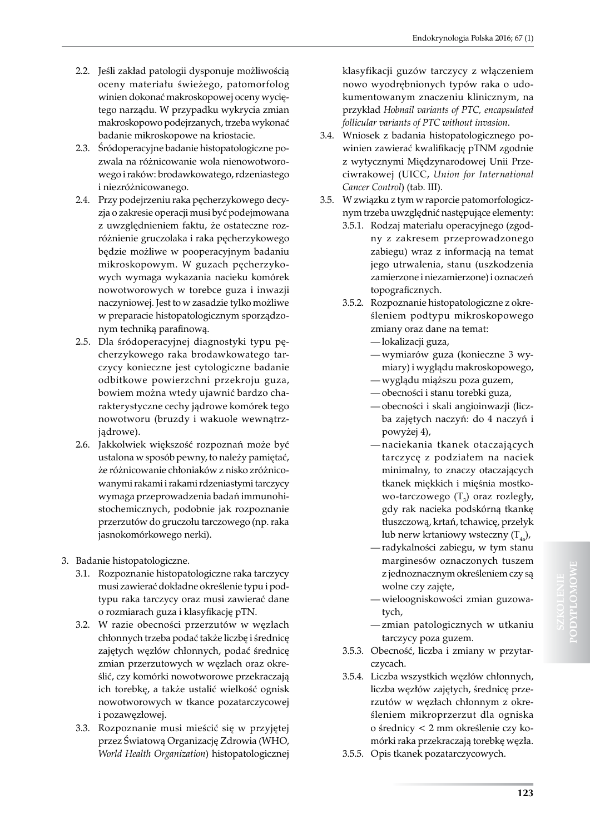- 2.2. Jeśli zakład patologii dysponuje możliwością oceny materiału świeżego, patomorfolog winien dokonać makroskopowej oceny wyciętego narządu. W przypadku wykrycia zmian makroskopowo podejrzanych, trzeba wykonać badanie mikroskopowe na kriostacie.
- 2.3. Śródoperacyjne badanie histopatologiczne pozwala na różnicowanie wola nienowotworowego i raków: brodawkowatego, rdzeniastego i niezróżnicowanego.
- 2.4. Przy podejrzeniu raka pęcherzykowego decyzja o zakresie operacji musi być podejmowana z uwzględnieniem faktu, że ostateczne rozróżnienie gruczolaka i raka pęcherzykowego będzie możliwe w pooperacyjnym badaniu mikroskopowym. W guzach pęcherzykowych wymaga wykazania nacieku komórek nowotworowych w torebce guza i inwazji naczyniowej. Jest to w zasadzie tylko możliwe w preparacie histopatologicznym sporządzonym techniką parafinową.
- 2.5. Dla śródoperacyjnej diagnostyki typu pęcherzykowego raka brodawkowatego tarczycy konieczne jest cytologiczne badanie odbitkowe powierzchni przekroju guza, bowiem można wtedy ujawnić bardzo charakterystyczne cechy jądrowe komórek tego nowotworu (bruzdy i wakuole wewnątrzjądrowe).
- 2.6. Jakkolwiek większość rozpoznań może być ustalona w sposób pewny, to należy pamiętać, że różnicowanie chłoniaków z nisko zróżnicowanymi rakami i rakami rdzeniastymi tarczycy wymaga przeprowadzenia badań immunohistochemicznych, podobnie jak rozpoznanie przerzutów do gruczołu tarczowego (np. raka jasnokomórkowego nerki).
- 3. Badanie histopatologiczne.
	- 3.1. Rozpoznanie histopatologiczne raka tarczycy musi zawierać dokładne określenie typu i podtypu raka tarczycy oraz musi zawierać dane o rozmiarach guza i klasyfikację pTN.
	- 3.2. W razie obecności przerzutów w węzłach chłonnych trzeba podać także liczbę i średnicę zajętych węzłów chłonnych, podać średnicę zmian przerzutowych w węzłach oraz określić, czy komórki nowotworowe przekraczają ich torebkę, a także ustalić wielkość ognisk nowotworowych w tkance pozatarczycowej i pozawęzłowej.
	- 3.3. Rozpoznanie musi mieścić się w przyjętej przez Światową Organizację Zdrowia (WHO, *World Health Organization*) histopatologicznej

klasyfikacji guzów tarczycy z włączeniem nowo wyodrębnionych typów raka o udokumentowanym znaczeniu klinicznym, na przykład *Hobnail variants of PTC, encapsulated follicular variants of PTC without invasion*.

- 3.4. Wniosek z badania histopatologicznego powinien zawierać kwalifikację pTNM zgodnie z wytycznymi Międzynarodowej Unii Przeciwrakowej (UICC, *Union for International Cancer Control*) (tab. III).
- 3.5. W związku z tym w raporcie patomorfologicznym trzeba uwzględnić następujące elementy:
	- 3.5.1. Rodzaj materiału operacyjnego (zgodny z zakresem przeprowadzonego zabiegu) wraz z informacją na temat jego utrwalenia, stanu (uszkodzenia zamierzone i niezamierzone) i oznaczeń topograficznych.
	- 3.5.2. Rozpoznanie histopatologiczne z określeniem podtypu mikroskopowego zmiany oraz dane na temat:
		- lokalizacji guza,
		- wymiarów guza (konieczne 3 wymiary) i wyglądu makroskopowego,
		- wyglądu miąższu poza guzem,
		- obecności i stanu torebki guza, — obecności i skali angioinwazji (licz-
		- ba zajętych naczyń: do 4 naczyń i powyżej 4),
		- naciekania tkanek otaczających tarczycę z podziałem na naciek minimalny, to znaczy otaczających tkanek miękkich i mięśnia mostkowo-tarczowego  $(T_{3})$  oraz rozległy, gdy rak nacieka podskórną tkankę tłuszczową, krtań, tchawicę, przełyk lub nerw krtaniowy wsteczny  $(T_{4a})$ ,
		- radykalności zabiegu, w tym stanu marginesów oznaczonych tuszem z jednoznacznym określeniem czy są wolne czy zajęte,
		- wieloogniskowości zmian guzowatych,
		- zmian patologicznych w utkaniu tarczycy poza guzem.
	- 3.5.3. Obecność, liczba i zmiany w przytarczycach.
	- 3.5.4. Liczba wszystkich węzłów chłonnych, liczba węzłów zajętych, średnicę przerzutów w węzłach chłonnym z określeniem mikroprzerzut dla ogniska o średnicy < 2 mm określenie czy komórki raka przekraczają torebkę węzła.
	- 3.5.5. Opis tkanek pozatarczycowych.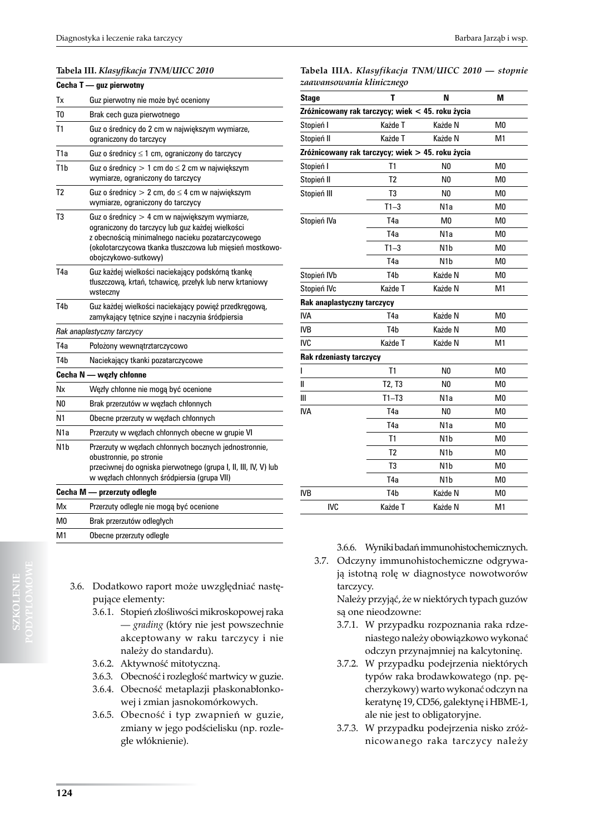#### **Tabela III.** *Klasyfikacja TNM/UICC 2010*

|                  | Cecha T - guz pierwotny                                                                                                                                                                                                                    |
|------------------|--------------------------------------------------------------------------------------------------------------------------------------------------------------------------------------------------------------------------------------------|
| Tх               | Guz pierwotny nie może być oceniony                                                                                                                                                                                                        |
| T0               | Brak cech guza pierwotnego                                                                                                                                                                                                                 |
| T1               | Guz o średnicy do 2 cm w największym wymiarze,<br>ograniczony do tarczycy                                                                                                                                                                  |
| T1a              | Guz o średnicy $\leq 1$ cm, ograniczony do tarczycy                                                                                                                                                                                        |
| T1b              | Guz o średnicy $> 1$ cm do $\leq 2$ cm w największym<br>wymiarze, ograniczony do tarczycy                                                                                                                                                  |
| T <sub>2</sub>   | Guz o średnicy $> 2$ cm, do $\leq 4$ cm w największym<br>wymiarze, ograniczony do tarczycy                                                                                                                                                 |
| T3               | Guz o średnicy > 4 cm w największym wymiarze,<br>ograniczony do tarczycy lub guz każdej wielkości<br>z obecnością minimalnego nacieku pozatarczycowego<br>(okołotarczycowa tkanka tłuszczowa lub mięsień mostkowo-<br>obojczykowo-sutkowy) |
| T <sub>4</sub> a | Guz każdej wielkości naciekający podskórną tkankę<br>tłuszczową, krtań, tchawicę, przełyk lub nerw krtaniowy<br>wsteczny                                                                                                                   |
| T <sub>4</sub> b | Guz każdej wielkości naciekający powięź przedkręgową,<br>zamykający tętnice szyjne i naczynia śródpiersia                                                                                                                                  |
|                  | Rak anaplastyczny tarczycy                                                                                                                                                                                                                 |
| T4a              | Położony wewnątrztarczycowo                                                                                                                                                                                                                |
| T4b              | Naciekający tkanki pozatarczycowe                                                                                                                                                                                                          |
|                  | Cecha N - węzły chłonne                                                                                                                                                                                                                    |
| Νx               | Węzły chłonne nie mogą być ocenione                                                                                                                                                                                                        |
| N0               | Brak przerzutów w węzłach chłonnych                                                                                                                                                                                                        |
| N1               | Obecne przerzuty w węzłach chłonnych                                                                                                                                                                                                       |
| N1a              | Przerzuty w węzłach chłonnych obecne w grupie VI                                                                                                                                                                                           |
| N1b              | Przerzuty w węzłach chłonnych bocznych jednostronnie,<br>obustronnie, po stronie<br>przeciwnej do ogniska pierwotnego (grupa I, II, III, IV, V) lub<br>w węzłach chłonnych śródpiersia (grupa VII)                                         |
|                  | Cecha M - przerzuty odległe                                                                                                                                                                                                                |
| Mx               | Przerzuty odległe nie mogą być ocenione                                                                                                                                                                                                    |
| M0               | Brak przerzutów odległych                                                                                                                                                                                                                  |
| <b>N</b> 41      | ملمما البم بينين بسوم سمم و مردم و Ob                                                                                                                                                                                                      |

| Stage                     | N                                                        | М |
|---------------------------|----------------------------------------------------------|---|
| zaawansowania klinicznego |                                                          |   |
|                           | Tabela IIIA. <i>Klasyfikacja TNM/UICC 2010 — stopnie</i> |   |

| vlayt                                            |                  |                  |                |
|--------------------------------------------------|------------------|------------------|----------------|
| Zróżnicowany rak tarczycy; wiek < 45. roku życia |                  |                  |                |
| Stopień I                                        | Każde T          | Każde N          | M <sub>0</sub> |
| Stopień II                                       | Każde T          | Każde N          | M <sub>1</sub> |
| Zróżnicowany rak tarczycy; wiek > 45. roku życia |                  |                  |                |
| Stopień I                                        | T <sub>1</sub>   | N <sub>0</sub>   | M <sub>0</sub> |
| Stopień II                                       | T <sub>2</sub>   | N <sub>0</sub>   | M <sub>0</sub> |
| Stopień III                                      | T <sub>3</sub>   | N <sub>0</sub>   | M <sub>0</sub> |
|                                                  | $T1-3$           | N1a              | M <sub>0</sub> |
| Stopień IVa                                      | T <sub>4</sub> a | M <sub>0</sub>   | M <sub>0</sub> |
|                                                  | T <sub>4</sub> a | N <sub>1</sub> a | M <sub>0</sub> |
|                                                  | $T1-3$           | N <sub>1</sub> b | M <sub>0</sub> |
|                                                  | T <sub>4</sub> a | N <sub>1</sub> b | M <sub>0</sub> |
| Stopień IVb                                      | T <sub>4</sub> b | Każde N          | M <sub>0</sub> |
| Stopień IVc                                      | Każde T          | Każde N          | M1             |
| Rak anaplastyczny tarczycy                       |                  |                  |                |
| <b>IVA</b>                                       | T <sub>4</sub> a | Każde N          | M <sub>0</sub> |
| <b>IVB</b>                                       | T <sub>4</sub> b | Każde N          | M <sub>0</sub> |
| <b>IVC</b>                                       | Każde T          | Każde N          | M <sub>1</sub> |
| Rak rdzeniasty tarczycy                          |                  |                  |                |
| L                                                | T1               | N <sub>0</sub>   | M <sub>0</sub> |
| Ш                                                | T2, T3           | N <sub>0</sub>   | M <sub>0</sub> |
| Ш                                                | $T1 - T3$        | N <sub>1</sub> a | M <sub>0</sub> |
| <b>IVA</b>                                       | T <sub>4</sub> a | N <sub>0</sub>   | M <sub>0</sub> |
|                                                  | T <sub>4</sub> a | N <sub>1</sub> a | M <sub>0</sub> |
|                                                  | T <sub>1</sub>   | N <sub>1</sub> b | M <sub>0</sub> |
|                                                  | T <sub>2</sub>   | N <sub>1</sub> b | M <sub>0</sub> |
|                                                  | T <sub>3</sub>   | N <sub>1</sub> b | M <sub>0</sub> |
|                                                  | T4a              | N <sub>1</sub> b | M <sub>0</sub> |
| <b>IVB</b>                                       | T <sub>4</sub> b | Każde N          | M <sub>0</sub> |
| <b>IVC</b>                                       | Każde T          | Każde N          | M1             |

M1 Obecne przerzuty odległe

- 3.6. Dodatkowo raport może uwzględniać następujące elementy:
	- 3.6.1. Stopień złośliwości mikroskopowej raka — *grading* (który nie jest powszechnie akceptowany w raku tarczycy i nie należy do standardu).
	- 3.6.2. Aktywność mitotyczną.
	- 3.6.3. Obecność i rozległość martwicy w guzie.
	- 3.6.4. Obecność metaplazji płaskonabłonkowej i zmian jasnokomórkowych.
	- 3.6.5. Obecność i typ zwapnień w guzie, zmiany w jego podścielisku (np. rozległe włóknienie).

3.6.6. Wyniki badań immunohistochemicznych.

3.7. Odczyny immunohistochemiczne odgrywają istotną rolę w diagnostyce nowotworów tarczycy.

Należy przyjąć, że w niektórych typach guzów są one nieodzowne:

- 3.7.1. W przypadku rozpoznania raka rdzeniastego należy obowiązkowo wykonać odczyn przynajmniej na kalcytoninę.
- 3.7.2. W przypadku podejrzenia niektórych typów raka brodawkowatego (np. pęcherzykowy) warto wykonać odczyn na keratynę 19, CD56, galektynę i HBME-1, ale nie jest to obligatoryjne.
- 3.7.3. W przypadku podejrzenia nisko zróżnicowanego raka tarczycy należy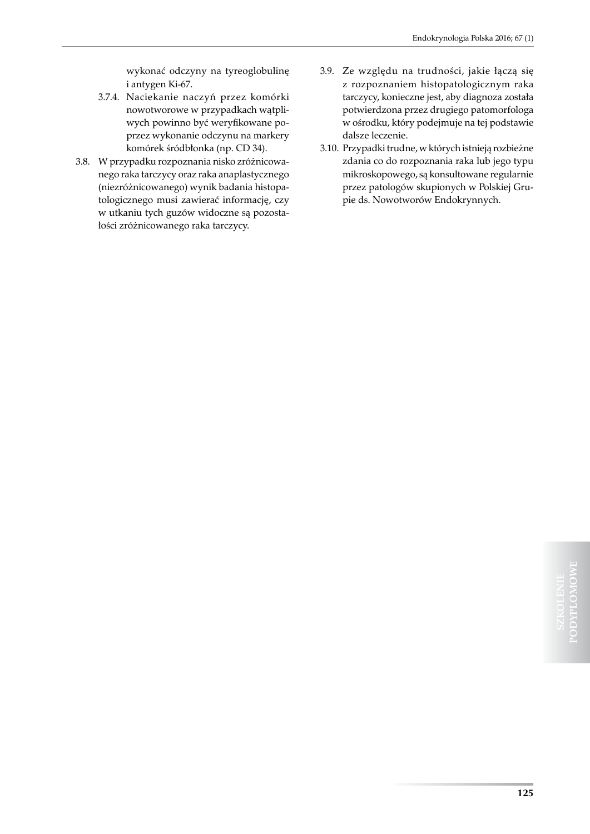wykonać odczyny na tyreoglobulinę i antygen Ki-67.

- 3.7.4. Naciekanie naczyń przez komórki nowotworowe w przypadkach wątpliwych powinno być weryfikowane poprzez wykonanie odczynu na markery komórek śródbłonka (np. CD 34).
- 3.8. W przypadku rozpoznania nisko zróżnicowanego raka tarczycy oraz raka anaplastycznego (niezróżnicowanego) wynik badania histopatologicznego musi zawierać informację, czy w utkaniu tych guzów widoczne są pozostałości zróżnicowanego raka tarczycy.
- 3.9. Ze względu na trudności, jakie łączą się z rozpoznaniem histopatologicznym raka tarczycy, konieczne jest, aby diagnoza została potwierdzona przez drugiego patomorfologa w ośrodku, który podejmuje na tej podstawie dalsze leczenie.
- 3.10. Przypadki trudne, w których istnieją rozbieżne zdania co do rozpoznania raka lub jego typu mikroskopowego, są konsultowane regularnie przez patologów skupionych w Polskiej Grupie ds. Nowotworów Endokrynnych.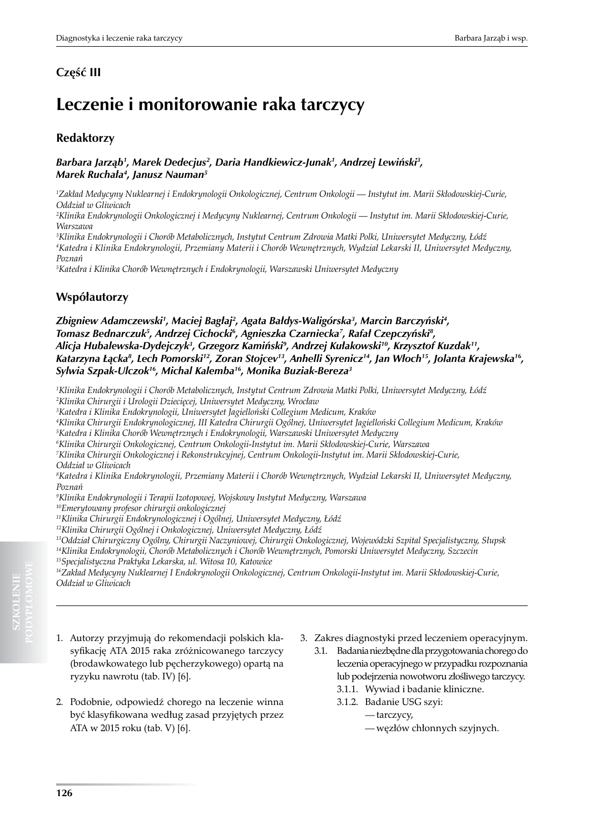## **Leczenie i monitorowanie raka tarczycy**

## **Redaktorzy**

#### Barbara Jarząb', Marek Dedecjus<sup>2</sup>, Daria Handkiewicz-Junak', Andrzej Lewiński<sup>3</sup>, *Marek Ruchała<sup>4</sup> , Janusz Nauman5*

*1 Zakład Medycyny Nuklearnej i Endokrynologii Onkologicznej, Centrum Onkologii — Instytut im. Marii Skłodowskiej-Curie, Oddział w Gliwicach*

*2 Klinika Endokrynologii Onkologicznej i Medycyny Nuklearnej, Centrum Onkologii — Instytut im. Marii Skłodowskiej-Curie, Warszawa*

*3 Klinika Endokrynologii i Chorób Metabolicznych, Instytut Centrum Zdrowia Matki Polki, Uniwersytet Medyczny, Łódź 4 Katedra i Klinika Endokrynologii, Przemiany Materii i Chorób Wewnętrznych, Wydział Lekarski II, Uniwersytet Medyczny, Poznań* 

*5 Katedra i Klinika Chorób Wewnętrznych i Endokrynologii, Warszawski Uniwersytet Medyczny*

## **Współautorzy**

Zbigniew Adamczewski', Maciej Bagłaj<sup>2</sup>, Agata Bałdys-Waligórska<sup>3</sup>, Marcin Barczyński<del>'</del>, *Tomasz Bednarczuk5 , Andrzej Cichocki6 , Agnieszka Czarniecka7 , Rafał Czepczyński<sup>8</sup> , Alicja Hubalewska-Dydejczyk<sup>3</sup> , Grzegorz Kamiński<sup>9</sup> , Andrzej Kułakowski<sup>10</sup>, Krzysztof Kuzdak11, Katarzyna Łącka<sup>8</sup> , Lech Pomorski12, Zoran Stojcev13, Anhelli Syrenicz<sup>14</sup>, Jan Włoch<sup>15</sup>, Jolanta Krajewska16, Sylwia Szpak-Ulczok<sup>16</sup>, Michal Kalemba16, Monika Buziak-Bereza3*

*1 Klinika Endokrynologii i Chorób Metabolicznych, Instytut Centrum Zdrowia Matki Polki, Uniwersytet Medyczny, Łódź 2 Klinika Chirurgii i Urologii Dziecięcej, Uniwersytet Medyczny, Wrocław*

*3 Katedra i Klinika Endokrynologii, Uniwersytet Jagielloński Collegium Medicum, Kraków*

*4 Klinika Chirurgii Endokrynologicznej, III Katedra Chirurgii Ogólnej, Uniwersytet Jagielloński Collegium Medicum, Kraków 5 Katedra i Klinika Chorób Wewnętrznych i Endokrynologii, Warszawski Uniwersytet Medyczny*

*6 Klinika Chirurgii Onkologicznej, Centrum Onkologii-Instytut im. Marii Skłodowskiej-Curie, Warszawa*

*7 Klinika Chirurgii Onkologicznej i Rekonstrukcyjnej, Centrum Onkologii-Instytut im. Marii Skłodowskiej-Curie,* 

*Oddział w Gliwicach* 

*8 Katedra i Klinika Endokrynologii, Przemiany Materii i Chorób Wewnętrznych, Wydział Lekarski II, Uniwersytet Medyczny, Poznań* 

*9 Klinika Endokrynologii i Terapii Izotopowej, Wojskowy Instytut Medyczny, Warszawa* 

*<sup>10</sup>Emerytowany profesor chirurgii onkologicznej*

*<sup>11</sup>Klinika Chirurgii Endokrynologicznej i Ogólnej, Uniwersytet Medyczny, Łódź*

*<sup>12</sup>Klinika Chirurgii Ogólnej i Onkologicznej, Uniwersytet Medyczny, Łódź*

*<sup>13</sup>Oddział Chirurgiczny Ogólny, Chirurgii Naczyniowej, Chirurgii Onkologicznej, Wojewódzki Szpital Specjalistyczny, Słupsk <sup>14</sup>Klinika Endokrynologii, Chorób Metabolicznych i Chorób Wewnętrznych, Pomorski Uniwersytet Medyczny, Szczecin <sup>15</sup>Specjalistyczna Praktyka Lekarska, ul. Witosa 10, Katowice*

*<sup>16</sup>Zakład Medycyny Nuklearnej I Endokrynologii Onkologicznej, Centrum Onkologii-Instytut im. Marii Skłodowskiej-Curie, Oddział w Gliwicach*

- 1. Autorzy przyjmują do rekomendacji polskich klasyfikację ATA 2015 raka zróżnicowanego tarczycy (brodawkowatego lub pęcherzykowego) opartą na ryzyku nawrotu (tab. IV) [6].
- 2. Podobnie, odpowiedź chorego na leczenie winna być klasyfikowana według zasad przyjętych przez ATA w 2015 roku (tab. V) [6].
- 3. Zakres diagnostyki przed leczeniem operacyjnym.
	- 3.1. Badania niezbędne dla przygotowania chorego do leczenia operacyjnego w przypadku rozpoznania lub podejrzenia nowotworu złośliwego tarczycy. 3.1.1. Wywiad i badanie kliniczne.
		- 3.1.2. Badanie USG szyi:
			- tarczycy,
			- węzłów chłonnych szyjnych.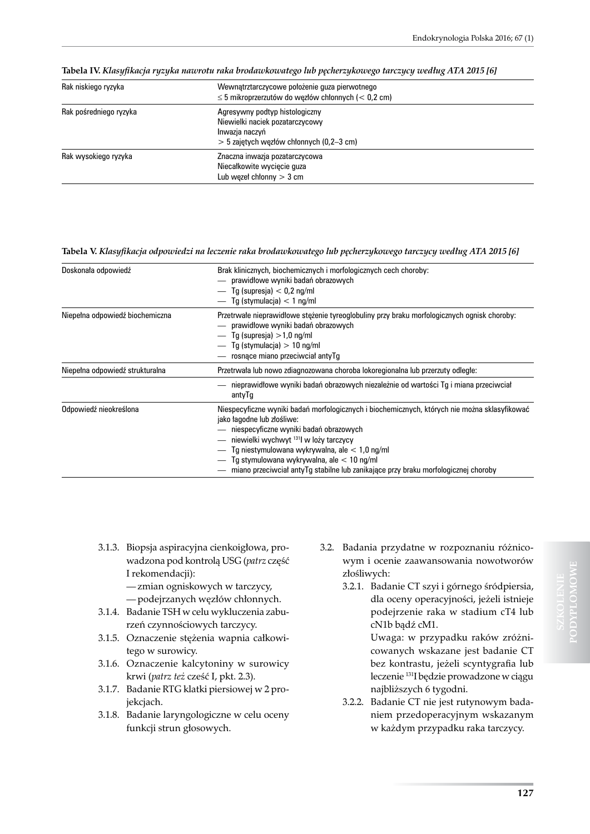| Rak niskiego ryzyka    | Wewnatrztarczycowe położenie guza pierwotnego<br>$\leq$ 5 mikroprzerzutów do wezłów chłonnych (< 0,2 cm)                          |
|------------------------|-----------------------------------------------------------------------------------------------------------------------------------|
| Rak pośredniego ryzyka | Agresywny podtyp histologiczny<br>Niewielki naciek pozatarczycowy<br>Inwazja naczyń<br>$>$ 5 zajetych wezłów chłonnych (0,2–3 cm) |
| Rak wysokiego ryzyka   | Znaczna inwazja pozatarczycowa<br>Niecałkowite wycięcie guza<br>Lub wezel chłonny $>$ 3 cm                                        |

**Tabela IV.** *Klasyfikacja ryzyka nawrotu raka brodawkowatego lub pęcherzykowego tarczycy według ATA 2015 [6]*

#### **Tabela V.** *Klasyfikacja odpowiedzi na leczenie raka brodawkowatego lub pęcherzykowego tarczycy według ATA 2015 [6]*

| Doskonała odpowiedź             | Brak klinicznych, biochemicznych i morfologicznych cech choroby:<br>- prawidłowe wyniki badań obrazowych<br>$-$ Tg (supresja) $<$ 0,2 ng/ml<br>$-$ Tg (stymulacja) $<$ 1 ng/ml                                                                                                                                                                                                                                        |
|---------------------------------|-----------------------------------------------------------------------------------------------------------------------------------------------------------------------------------------------------------------------------------------------------------------------------------------------------------------------------------------------------------------------------------------------------------------------|
| Niepełna odpowiedź biochemiczna | Przetrwałe nieprawidłowe stężenie tyreoglobuliny przy braku morfologicznych ognisk choroby:<br>- prawidłowe wyniki badań obrazowych<br>$-$ Tg (supresia) $>1.0$ ng/ml<br>$-$ Tg (stymulacia) $> 10$ ng/ml<br>rosnace miano przeciwciał antyTg                                                                                                                                                                         |
| Niepełna odpowiedź strukturalna | Przetrwała lub nowo zdiagnozowana choroba lokoregionalna lub przerzuty odległe:                                                                                                                                                                                                                                                                                                                                       |
|                                 | nieprawidłowe wyniki badań obrazowych niezależnie od wartości Tg i miana przeciwciał<br>antyTg                                                                                                                                                                                                                                                                                                                        |
| Odpowiedź nieokreślona          | Niespecyficzne wyniki badań morfologicznych i biochemicznych, których nie można sklasyfikować<br>jako łagodne lub złośliwe:<br>niespecyficzne wyniki badań obrazowych<br>- niewielki wychwyt <sup>131</sup> l w loży tarczycy<br>Tg niestymulowana wykrywalna, ale $< 1.0$ ng/ml<br>Tg stymulowana wykrywalna, ale $< 10$ ng/ml<br>miano przeciwciał antyTg stabilne lub zanikające przy braku morfologicznej choroby |

- 3.1.3. Biopsja aspiracyjna cienkoigłowa, prowadzona pod kontrolą USG (*patrz* część I rekomendacji):
	- zmian ogniskowych w tarczycy, — podejrzanych węzłów chłonnych.
- 3.1.4. Badanie TSH w celu wykluczenia zaburzeń czynnościowych tarczycy.
- 3.1.5. Oznaczenie stężenia wapnia całkowitego w surowicy.
- 3.1.6. Oznaczenie kalcytoniny w surowicy krwi (*patrz też* cześć I, pkt. 2.3).
- 3.1.7. Badanie RTG klatki piersiowej w 2 projekcjach.
- 3.1.8. Badanie laryngologiczne w celu oceny funkcji strun głosowych.
- 3.2. Badania przydatne w rozpoznaniu różnicowym i ocenie zaawansowania nowotworów złośliwych:
	- 3.2.1. Badanie CT szyi i górnego śródpiersia, dla oceny operacyjności, jeżeli istnieje podejrzenie raka w stadium cT4 lub cN1b bądź cM1.

Uwaga: w przypadku raków zróżnicowanych wskazane jest badanie CT bez kontrastu, jeżeli scyntygrafia lub leczenie 131I będzie prowadzone w ciągu najbliższych 6 tygodni.

3.2.2. Badanie CT nie jest rutynowym badaniem przedoperacyjnym wskazanym w każdym przypadku raka tarczycy.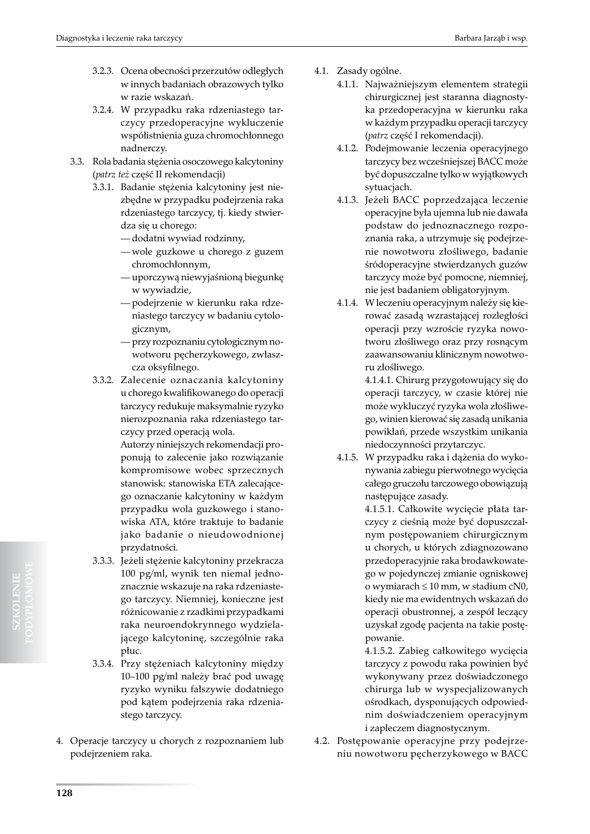- 3.2.3. Ocena obecności przerzutów odległych w innych badaniach obrazowych tylko w razie wskazań.
- 3.2.4. W przypadku raka rdzeniastego tarczycy przedoperacyjne wykluczenie współistnienia guza chromochłonnego nadnerczy.
- 3.3. Rola badania stężenia osoczowego kalcytoniny (*patrz też* część II rekomendacji)
	- 3.3.1. Badanie stężenia kalcytoniny jest niezbędne w przypadku podejrzenia raka rdzeniastego tarczycy, tj. kiedy stwierdza się u chorego:
		- dodatni wywiad rodzinny,
		- wole guzkowe u chorego z guzem chromochłonnym,
		- uporczywą niewyjaśnioną biegunkę w wywiadzie,
		- podejrzenie w kierunku raka rdzeniastego tarczycy w badaniu cytologicznym,
		- przy rozpoznaniu cytologicznym nowotworu pęcherzykowego, zwłaszcza oksyfilnego.
	- 3.3.2. Zalecenie oznaczania kalcytoniny u chorego kwalifikowanego do operacji tarczycy redukuje maksymalnie ryzyko nierozpoznania raka rdzeniastego tarczycy przed operacją wola.

Autorzy niniejszych rekomendacji proponują to zalecenie jako rozwiązanie kompromisowe wobec sprzecznych stanowisk: stanowiska ETA zalecającego oznaczanie kalcytoniny w każdym przypadku wola guzkowego i stanowiska ATA, które traktuje to badanie jako badanie o nieudowodnionej przydatności.

- 3.3.3. Jeżeli stężenie kalcytoniny przekracza 100 pg/ml, wynik ten niemal jednoznacznie wskazuje na raka rdzeniastego tarczycy. Niemniej, konieczne jest różnicowanie z rzadkimi przypadkami raka neuroendokrynnego wydzielającego kalcytoninę, szczególnie raka płuc.
- 3.3.4. Przy stężeniach kalcytoniny między 10–100 pg/ml należy brać pod uwagę ryzyko wyniku fałszywie dodatniego pod kątem podejrzenia raka rdzeniastego tarczycy.
- 4. Operacje tarczycy u chorych z rozpoznaniem lub podejrzeniem raka.
- 4.1. Zasady ogólne.
	- 4.1.1. Najważniejszym elementem strategii chirurgicznej jest staranna diagnostyka przedoperacyjna w kierunku raka w każdym przypadku operacji tarczycy (*patrz* część I rekomendacji).
	- 4.1.2. Podejmowanie leczenia operacyjnego tarczycy bez wcześniejszej BACC może być dopuszczalne tylko w wyjątkowych sytuacjach.
	- 4.1.3. Jeżeli BACC poprzedzająca leczenie operacyjne była ujemna lub nie dawała podstaw do jednoznacznego rozpoznania raka, a utrzymuje się podejrzenie nowotworu złośliwego, badanie śródoperacyjne stwierdzanych guzów tarczycy może być pomocne, niemniej, nie jest badaniem obligatoryjnym.
	- 4.1.4. W leczeniu operacyjnym należy się kierować zasadą wzrastającej rozległości operacji przy wzroście ryzyka nowotworu złośliwego oraz przy rosnącym zaawansowaniu klinicznym nowotworu złośliwego.

4.1.4.1. Chirurg przygotowujący się do operacji tarczycy, w czasie której nie może wykluczyć ryzyka wola złośliwego, winien kierować się zasadą unikania powikłań, przede wszystkim unikania niedoczynności przytarczyc.

4.1.5. W przypadku raka i dążenia do wykonywania zabiegu pierwotnego wycięcia całego gruczołu tarczowego obowiązują następujące zasady.

> 4.1.5.1. Całkowite wycięcie płata tarczycy z cieśnią może być dopuszczalnym postępowaniem chirurgicznym u chorych, u których zdiagnozowano przedoperacyjnie raka brodawkowatego w pojedynczej zmianie ogniskowej o wymiarach ≤ 10 mm, w stadium cN0, kiedy nie ma ewidentnych wskazań do operacji obustronnej, a zespół leczący uzyskał zgodę pacjenta na takie postępowanie.

> 4.1.5.2. Zabieg całkowitego wycięcia tarczycy z powodu raka powinien być wykonywany przez doświadczonego chirurga lub w wyspecjalizowanych ośrodkach, dysponujących odpowiednim doświadczeniem operacyjnym i zapleczem diagnostycznym.

4.2. Postępowanie operacyjne przy podejrzeniu nowotworu pęcherzykowego w BACC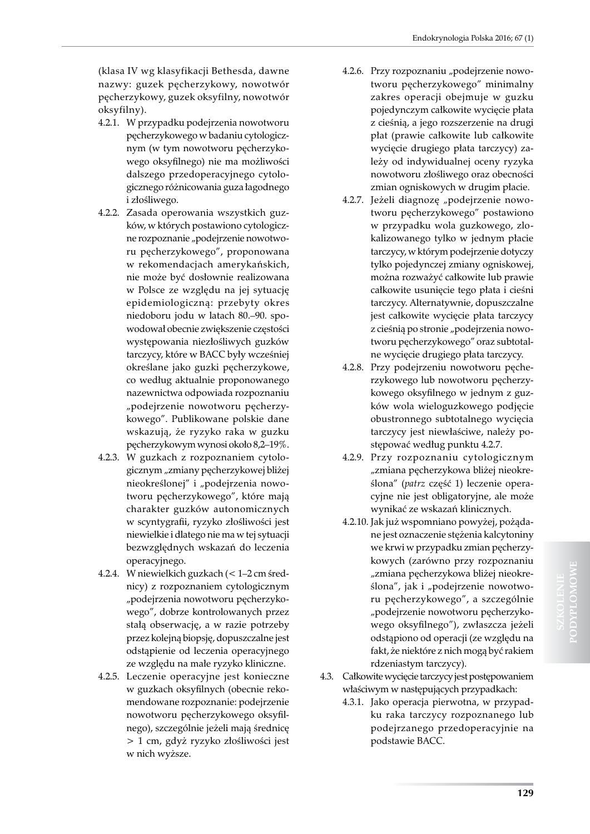(klasa IV wg klasyfikacji Bethesda, dawne nazwy: guzek pęcherzykowy, nowotwór pęcherzykowy, guzek oksyfilny, nowotwór oksyfilny).

- 4.2.1. W przypadku podejrzenia nowotworu pęcherzykowego w badaniu cytologicznym (w tym nowotworu pęcherzykowego oksyfilnego) nie ma możliwości dalszego przedoperacyjnego cytologicznego różnicowania guza łagodnego i złośliwego.
- 4.2.2. Zasada operowania wszystkich guzków, w których postawiono cytologiczne rozpoznanie "podejrzenie nowotworu pęcherzykowego", proponowana w rekomendacjach amerykańskich, nie może być dosłownie realizowana w Polsce ze względu na jej sytuację epidemiologiczną: przebyty okres niedoboru jodu w latach 80.–90. spowodował obecnie zwiększenie częstości występowania niezłośliwych guzków tarczycy, które w BACC były wcześniej określane jako guzki pęcherzykowe, co według aktualnie proponowanego nazewnictwa odpowiada rozpoznaniu "podejrzenie nowotworu pęcherzykowego". Publikowane polskie dane wskazują, że ryzyko raka w guzku pęcherzykowym wynosi około 8,2–19%.
- 4.2.3. W guzkach z rozpoznaniem cytologicznym "zmiany pęcherzykowej bliżej nieokreślonej" i "podejrzenia nowotworu pęcherzykowego", które mają charakter guzków autonomicznych w scyntygrafii, ryzyko złośliwości jest niewielkie i dlatego nie ma w tej sytuacji bezwzględnych wskazań do leczenia operacyjnego.
- 4.2.4. W niewielkich guzkach (< 1–2 cm średnicy) z rozpoznaniem cytologicznym "podejrzenia nowotworu pęcherzykowego", dobrze kontrolowanych przez stałą obserwację, a w razie potrzeby przez kolejną biopsję, dopuszczalne jest odstąpienie od leczenia operacyjnego ze względu na małe ryzyko kliniczne.
- 4.2.5. Leczenie operacyjne jest konieczne w guzkach oksyfilnych (obecnie rekomendowane rozpoznanie: podejrzenie nowotworu pęcherzykowego oksyfilnego), szczególnie jeżeli mają średnicę > 1 cm, gdyż ryzyko złośliwości jest w nich wyższe.
- 4.2.6. Przy rozpoznaniu "podejrzenie nowotworu pęcherzykowego" minimalny zakres operacji obejmuje w guzku pojedynczym całkowite wycięcie płata z cieśnią, a jego rozszerzenie na drugi płat (prawie całkowite lub całkowite wycięcie drugiego płata tarczycy) zależy od indywidualnej oceny ryzyka nowotworu złośliwego oraz obecności zmian ogniskowych w drugim płacie.
- 4.2.7. Jeżeli diagnozę "podejrzenie nowotworu pęcherzykowego" postawiono w przypadku wola guzkowego, zlokalizowanego tylko w jednym płacie tarczycy, w którym podejrzenie dotyczy tylko pojedynczej zmiany ogniskowej, można rozważyć całkowite lub prawie całkowite usunięcie tego płata i cieśni tarczycy. Alternatywnie, dopuszczalne jest całkowite wycięcie płata tarczycy z cieśnią po stronie "podejrzenia nowotworu pęcherzykowego" oraz subtotalne wycięcie drugiego płata tarczycy.
- 4.2.8. Przy podejrzeniu nowotworu pęcherzykowego lub nowotworu pęcherzykowego oksyfilnego w jednym z guzków wola wieloguzkowego podjęcie obustronnego subtotalnego wycięcia tarczycy jest niewłaściwe, należy postępować według punktu 4.2.7.
- 4.2.9. Przy rozpoznaniu cytologicznym "zmiana pęcherzykowa bliżej nieokreślona" (*patrz* część 1) leczenie operacyjne nie jest obligatoryjne, ale może wynikać ze wskazań klinicznych.
- 4.2.10. Jak już wspomniano powyżej, pożądane jest oznaczenie stężenia kalcytoniny we krwi w przypadku zmian pęcherzykowych (zarówno przy rozpoznaniu "zmiana pęcherzykowa bliżej nieokreślona", jak i "podejrzenie nowotworu pęcherzykowego", a szczególnie "podejrzenie nowotworu pęcherzykowego oksyfilnego"), zwłaszcza jeżeli odstąpiono od operacji (ze względu na fakt, że niektóre z nich mogą być rakiem rdzeniastym tarczycy).
- 4.3. Całkowite wycięcie tarczycy jest postępowaniem właściwym w następujących przypadkach:
	- 4.3.1. Jako operacja pierwotna, w przypadku raka tarczycy rozpoznanego lub podejrzanego przedoperacyjnie na podstawie BACC.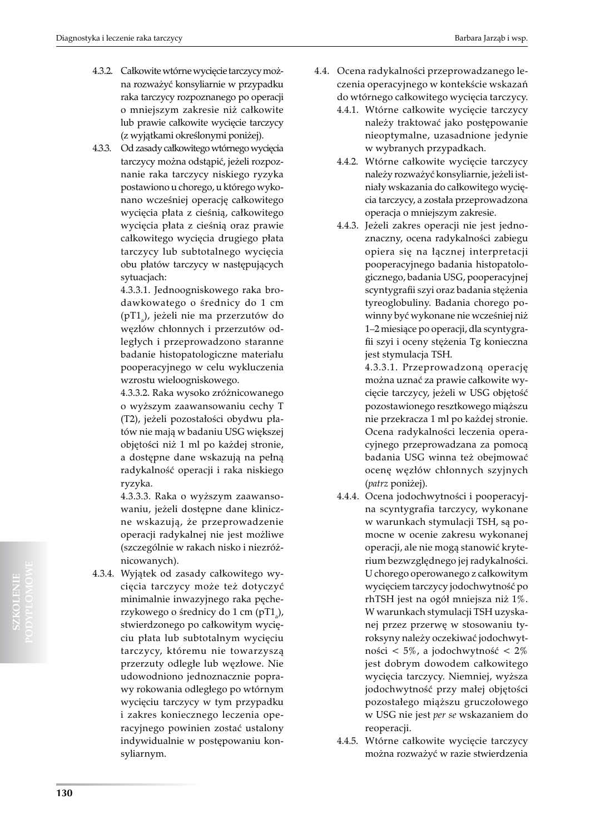- 4.3.2. Całkowite wtórne wycięcie tarczycy można rozważyć konsyliarnie w przypadku raka tarczycy rozpoznanego po operacji o mniejszym zakresie niż całkowite lub prawie całkowite wycięcie tarczycy (z wyjątkami określonymi poniżej).
- 4.3.3. Od zasady całkowitego wtórnego wycięcia tarczycy można odstąpić, jeżeli rozpoznanie raka tarczycy niskiego ryzyka postawiono u chorego, u którego wykonano wcześniej operację całkowitego wycięcia płata z cieśnią, całkowitego wycięcia płata z cieśnią oraz prawie całkowitego wycięcia drugiego płata tarczycy lub subtotalnego wycięcia obu płatów tarczycy w następujących sytuacjach:

4.3.3.1. Jednoogniskowego raka brodawkowatego o średnicy do 1 cm (pT1<sub>a</sub>), jeżeli nie ma przerzutów do węzłów chłonnych i przerzutów odległych i przeprowadzono staranne badanie histopatologiczne materiału pooperacyjnego w celu wykluczenia wzrostu wieloogniskowego.

4.3.3.2. Raka wysoko zróżnicowanego o wyższym zaawansowaniu cechy T (T2), jeżeli pozostałości obydwu płatów nie mają w badaniu USG większej objętości niż 1 ml po każdej stronie, a dostępne dane wskazują na pełną radykalność operacji i raka niskiego ryzyka.

4.3.3.3. Raka o wyższym zaawansowaniu, jeżeli dostępne dane kliniczne wskazują, że przeprowadzenie operacji radykalnej nie jest możliwe (szczególnie w rakach nisko i niezróżnicowanych).

4.3.4. Wyjątek od zasady całkowitego wycięcia tarczycy może też dotyczyć minimalnie inwazyjnego raka pęcherzykowego o średnicy do 1 cm (pT1<sub>a</sub>), stwierdzonego po całkowitym wycięciu płata lub subtotalnym wycięciu tarczycy, któremu nie towarzyszą przerzuty odległe lub węzłowe. Nie udowodniono jednoznacznie poprawy rokowania odległego po wtórnym wycięciu tarczycy w tym przypadku i zakres koniecznego leczenia operacyjnego powinien zostać ustalony indywidualnie w postępowaniu konsyliarnym.

- 4.4. Ocena radykalności przeprowadzanego leczenia operacyjnego w kontekście wskazań do wtórnego całkowitego wycięcia tarczycy.
	- 4.4.1. Wtórne całkowite wycięcie tarczycy należy traktować jako postępowanie nieoptymalne, uzasadnione jedynie w wybranych przypadkach.
	- 4.4.2. Wtórne całkowite wycięcie tarczycy należy rozważyć konsyliarnie, jeżeli istniały wskazania do całkowitego wycięcia tarczycy, a została przeprowadzona operacja o mniejszym zakresie.
	- 4.4.3. Jeżeli zakres operacji nie jest jednoznaczny, ocena radykalności zabiegu opiera się na łącznej interpretacji pooperacyjnego badania histopatologicznego, badania USG, pooperacyjnej scyntygrafii szyi oraz badania stężenia tyreoglobuliny. Badania chorego powinny być wykonane nie wcześniej niż 1–2 miesiące po operacji, dla scyntygrafii szyi i oceny stężenia Tg konieczna jest stymulacja TSH.

4.3.3.1. Przeprowadzoną operację można uznać za prawie całkowite wycięcie tarczycy, jeżeli w USG objętość pozostawionego resztkowego miąższu nie przekracza 1 ml po każdej stronie. Ocena radykalności leczenia operacyjnego przeprowadzana za pomocą badania USG winna też obejmować ocenę węzłów chłonnych szyjnych (*patrz* poniżej).

- 4.4.4. Ocena jodochwytności i pooperacyjna scyntygrafia tarczycy, wykonane w warunkach stymulacji TSH, są pomocne w ocenie zakresu wykonanej operacji, ale nie mogą stanowić kryterium bezwzględnego jej radykalności. U chorego operowanego z całkowitym wycięciem tarczycy jodochwytność po rhTSH jest na ogół mniejsza niż 1%. W warunkach stymulacji TSH uzyskanej przez przerwę w stosowaniu tyroksyny należy oczekiwać jodochwytności < 5%, a jodochwytność < 2% jest dobrym dowodem całkowitego wycięcia tarczycy. Niemniej, wyższa jodochwytność przy małej objętości pozostałego miąższu gruczołowego w USG nie jest *per se* wskazaniem do reoperacji.
- 4.4.5. Wtórne całkowite wycięcie tarczycy można rozważyć w razie stwierdzenia

**SZKOLENIE**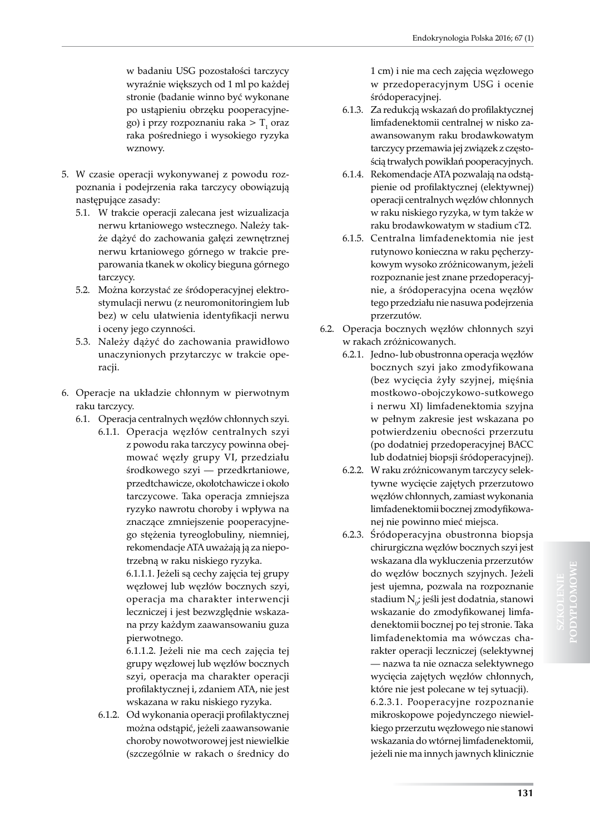w badaniu USG pozostałości tarczycy wyraźnie większych od 1 ml po każdej stronie (badanie winno być wykonane po ustąpieniu obrzęku pooperacyjnego) i przy rozpoznaniu raka  $>$  T<sub>1</sub> oraz raka pośredniego i wysokiego ryzyka wznowy.

- 5. W czasie operacji wykonywanej z powodu rozpoznania i podejrzenia raka tarczycy obowiązują następujące zasady:
	- 5.1. W trakcie operacji zalecana jest wizualizacja nerwu krtaniowego wstecznego. Należy także dążyć do zachowania gałęzi zewnętrznej nerwu krtaniowego górnego w trakcie preparowania tkanek w okolicy bieguna górnego tarczycy.
	- 5.2. Można korzystać ze śródoperacyjnej elektrostymulacji nerwu (z neuromonitoringiem lub bez) w celu ułatwienia identyfikacji nerwu i oceny jego czynności.
	- 5.3. Należy dążyć do zachowania prawidłowo unaczynionych przytarczyc w trakcie operacji.
- 6. Operacje na układzie chłonnym w pierwotnym raku tarczycy.
	- 6.1. Operacja centralnych węzłów chłonnych szyi.
		- 6.1.1. Operacja węzłów centralnych szyi z powodu raka tarczycy powinna obejmować węzły grupy VI, przedziału środkowego szyi — przedkrtaniowe, przedtchawicze, okołotchawicze i około tarczycowe. Taka operacja zmniejsza ryzyko nawrotu choroby i wpływa na znaczące zmniejszenie pooperacyjnego stężenia tyreoglobuliny, niemniej, rekomendacje ATA uważają ją za niepotrzebną w raku niskiego ryzyka.

6.1.1.1. Jeżeli są cechy zajęcia tej grupy węzłowej lub węzłów bocznych szyi, operacja ma charakter interwencji leczniczej i jest bezwzględnie wskazana przy każdym zaawansowaniu guza pierwotnego.

6.1.1.2. Jeżeli nie ma cech zajęcia tej grupy węzłowej lub węzłów bocznych szyi, operacja ma charakter operacji profilaktycznej i, zdaniem ATA, nie jest wskazana w raku niskiego ryzyka.

6.1.2. Od wykonania operacji profilaktycznej można odstąpić, jeżeli zaawansowanie choroby nowotworowej jest niewielkie (szczególnie w rakach o średnicy do

1 cm) i nie ma cech zajęcia węzłowego w przedoperacyjnym USG i ocenie śródoperacyjnej.

- 6.1.3. Za redukcją wskazań do profilaktycznej limfadenektomii centralnej w nisko zaawansowanym raku brodawkowatym tarczycy przemawia jej związek z częstością trwałych powikłań pooperacyjnych.
- 6.1.4. Rekomendacje ATA pozwalają na odstąpienie od profilaktycznej (elektywnej) operacji centralnych węzłów chłonnych w raku niskiego ryzyka, w tym także w raku brodawkowatym w stadium cT2.
- 6.1.5. Centralna limfadenektomia nie jest rutynowo konieczna w raku pęcherzykowym wysoko zróżnicowanym, jeżeli rozpoznanie jest znane przedoperacyjnie, a śródoperacyjna ocena węzłów tego przedziału nie nasuwa podejrzenia przerzutów.
- 6.2. Operacja bocznych węzłów chłonnych szyi w rakach zróżnicowanych.
	- 6.2.1. Jedno- lub obustronna operacja węzłów bocznych szyi jako zmodyfikowana (bez wycięcia żyły szyjnej, mięśnia mostkowo-obojczykowo-sutkowego i nerwu XI) limfadenektomia szyjna w pełnym zakresie jest wskazana po potwierdzeniu obecności przerzutu (po dodatniej przedoperacyjnej BACC lub dodatniej biopsji śródoperacyjnej).
	- 6.2.2. W raku zróżnicowanym tarczycy selektywne wycięcie zajętych przerzutowo węzłów chłonnych, zamiast wykonania limfadenektomii bocznej zmodyfikowanej nie powinno mieć miejsca.
	- 6.2.3. Śródoperacyjna obustronna biopsja chirurgiczna węzłów bocznych szyi jest wskazana dla wykluczenia przerzutów do węzłów bocznych szyjnych. Jeżeli jest ujemna, pozwala na rozpoznanie stadium  $N_{0}$ ; jeśli jest dodatnia, stanowi wskazanie do zmodyfikowanej limfadenektomii bocznej po tej stronie. Taka limfadenektomia ma wówczas charakter operacji leczniczej (selektywnej — nazwa ta nie oznacza selektywnego wycięcia zajętych węzłów chłonnych, które nie jest polecane w tej sytuacji).

6.2.3.1. Pooperacyjne rozpoznanie mikroskopowe pojedynczego niewielkiego przerzutu węzłowego nie stanowi wskazania do wtórnej limfadenektomii, jeżeli nie ma innych jawnych klinicznie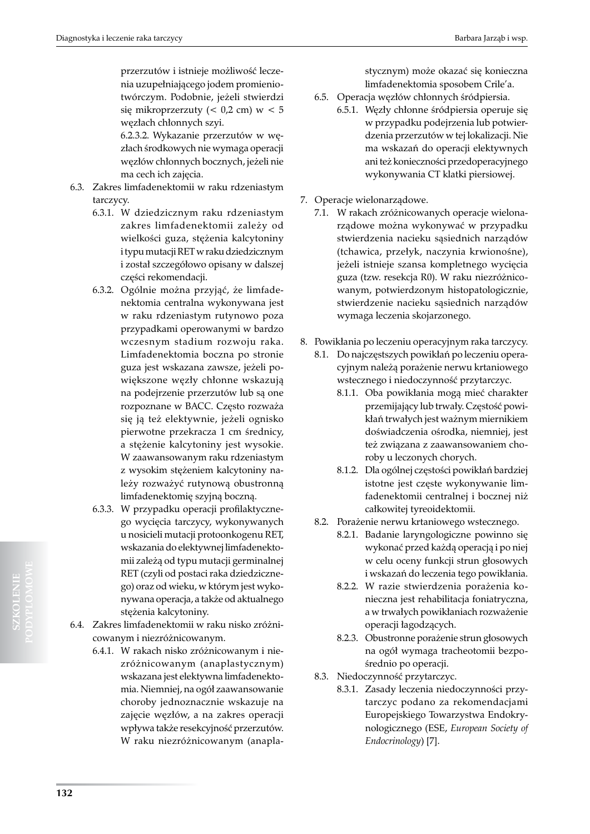przerzutów i istnieje możliwość leczenia uzupełniającego jodem promieniotwórczym. Podobnie, jeżeli stwierdzi się mikroprzerzuty (< 0,2 cm) w < 5 węzłach chłonnych szyi.

6.2.3.2. Wykazanie przerzutów w węzłach środkowych nie wymaga operacji węzłów chłonnych bocznych, jeżeli nie ma cech ich zajęcia.

- 6.3. Zakres limfadenektomii w raku rdzeniastym tarczycy.
	- 6.3.1. W dziedzicznym raku rdzeniastym zakres limfadenektomii zależy od wielkości guza, stężenia kalcytoniny i typu mutacji RET w raku dziedzicznym i został szczegółowo opisany w dalszej części rekomendacji.
	- 6.3.2. Ogólnie można przyjąć, że limfadenektomia centralna wykonywana jest w raku rdzeniastym rutynowo poza przypadkami operowanymi w bardzo wczesnym stadium rozwoju raka. Limfadenektomia boczna po stronie guza jest wskazana zawsze, jeżeli powiększone węzły chłonne wskazują na podejrzenie przerzutów lub są one rozpoznane w BACC. Często rozważa się ją też elektywnie, jeżeli ognisko pierwotne przekracza 1 cm średnicy, a stężenie kalcytoniny jest wysokie. W zaawansowanym raku rdzeniastym z wysokim stężeniem kalcytoniny należy rozważyć rutynową obustronną limfadenektomię szyjną boczną.
	- 6.3.3. W przypadku operacji profilaktycznego wycięcia tarczycy, wykonywanych u nosicieli mutacji protoonkogenu RET, wskazania do elektywnej limfadenektomii zależą od typu mutacji germinalnej RET (czyli od postaci raka dziedzicznego) oraz od wieku, w którym jest wykonywana operacja, a także od aktualnego stężenia kalcytoniny.
- 6.4. Zakres limfadenektomii w raku nisko zróżnicowanym i niezróżnicowanym.
	- 6.4.1. W rakach nisko zróżnicowanym i niezróżnicowanym (anaplastycznym) wskazana jest elektywna limfadenektomia. Niemniej, na ogół zaawansowanie choroby jednoznacznie wskazuje na zajęcie węzłów, a na zakres operacji wpływa także resekcyjność przerzutów. W raku niezróżnicowanym (anapla-

stycznym) może okazać się konieczna limfadenektomia sposobem Crile'a.

- 6.5. Operacja węzłów chłonnych śródpiersia.
	- 6.5.1. Węzły chłonne śródpiersia operuje się w przypadku podejrzenia lub potwierdzenia przerzutów w tej lokalizacji. Nie ma wskazań do operacji elektywnych ani też konieczności przedoperacyjnego wykonywania CT klatki piersiowej.
- 7. Operacje wielonarządowe.
	- 7.1. W rakach zróżnicowanych operacje wielonarządowe można wykonywać w przypadku stwierdzenia nacieku sąsiednich narządów (tchawica, przełyk, naczynia krwionośne), jeżeli istnieje szansa kompletnego wycięcia guza (tzw. resekcja R0). W raku niezróżnicowanym, potwierdzonym histopatologicznie, stwierdzenie nacieku sąsiednich narządów wymaga leczenia skojarzonego.
- 8. Powikłania po leczeniu operacyjnym raka tarczycy.
	- 8.1. Do najczęstszych powikłań po leczeniu operacyjnym należą porażenie nerwu krtaniowego wstecznego i niedoczynność przytarczyc.
		- 8.1.1. Oba powikłania mogą mieć charakter przemijający lub trwały. Częstość powikłań trwałych jest ważnym miernikiem doświadczenia ośrodka, niemniej, jest też związana z zaawansowaniem choroby u leczonych chorych.
		- 8.1.2. Dla ogólnej częstości powikłań bardziej istotne jest częste wykonywanie limfadenektomii centralnej i bocznej niż całkowitej tyreoidektomii.
	- 8.2. Porażenie nerwu krtaniowego wstecznego.
		- 8.2.1. Badanie laryngologiczne powinno się wykonać przed każdą operacją i po niej w celu oceny funkcji strun głosowych i wskazań do leczenia tego powikłania.
		- 8.2.2. W razie stwierdzenia porażenia konieczna jest rehabilitacja foniatryczna, a w trwałych powikłaniach rozważenie operacji łagodzących.
		- 8.2.3. Obustronne porażenie strun głosowych na ogół wymaga tracheotomii bezpośrednio po operacji.
	- 8.3. Niedoczynność przytarczyc.
		- 8.3.1. Zasady leczenia niedoczynności przytarczyc podano za rekomendacjami Europejskiego Towarzystwa Endokrynologicznego (ESE, *European Society of Endocrinology*) [7].

**SZKOLENIE**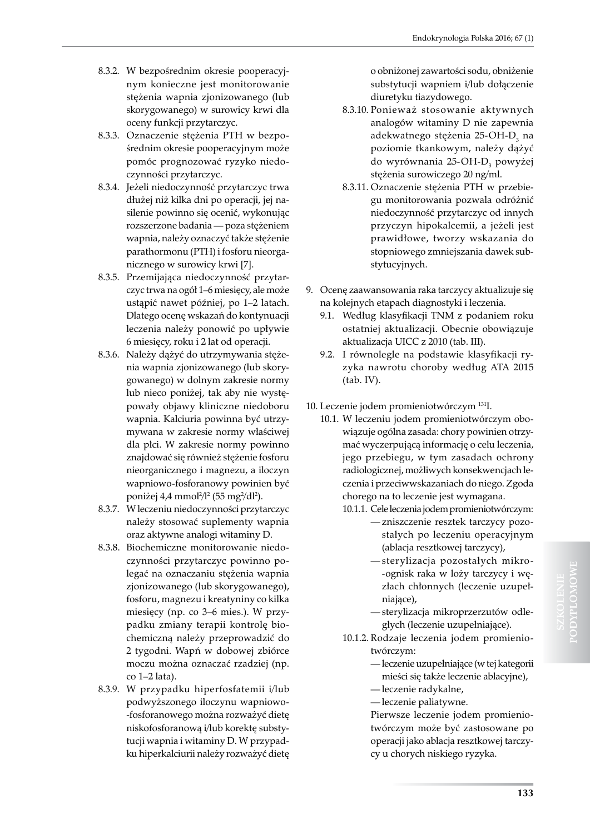- 8.3.2. W bezpośrednim okresie pooperacyjnym konieczne jest monitorowanie stężenia wapnia zjonizowanego (lub skorygowanego) w surowicy krwi dla oceny funkcji przytarczyc.
- 8.3.3. Oznaczenie stężenia PTH w bezpośrednim okresie pooperacyjnym może pomóc prognozować ryzyko niedoczynności przytarczyc.
- 8.3.4. Jeżeli niedoczynność przytarczyc trwa dłużej niż kilka dni po operacji, jej nasilenie powinno się ocenić, wykonując rozszerzone badania — poza stężeniem wapnia, należy oznaczyć także stężenie parathormonu (PTH) i fosforu nieorganicznego w surowicy krwi [7].
- 8.3.5. Przemijająca niedoczynność przytarczyc trwa na ogół 1–6 miesięcy, ale może ustąpić nawet później, po 1–2 latach. Dlatego ocenę wskazań do kontynuacji leczenia należy ponowić po upływie 6 miesięcy, roku i 2 lat od operacji.
- 8.3.6. Należy dążyć do utrzymywania stężenia wapnia zjonizowanego (lub skorygowanego) w dolnym zakresie normy lub nieco poniżej, tak aby nie występowały objawy kliniczne niedoboru wapnia. Kalciuria powinna być utrzymywana w zakresie normy właściwej dla płci. W zakresie normy powinno znajdować się również stężenie fosforu nieorganicznego i magnezu, a iloczyn wapniowo-fosforanowy powinien być poniżej 4,4 mmol²/l² (55 mg²/dl²).
- 8.3.7. W leczeniu niedoczynności przytarczyc należy stosować suplementy wapnia oraz aktywne analogi witaminy D.
- 8.3.8. Biochemiczne monitorowanie niedoczynności przytarczyc powinno polegać na oznaczaniu stężenia wapnia zjonizowanego (lub skorygowanego), fosforu, magnezu i kreatyniny co kilka miesięcy (np. co 3–6 mies.). W przypadku zmiany terapii kontrolę biochemiczną należy przeprowadzić do 2 tygodni. Wapń w dobowej zbiórce moczu można oznaczać rzadziej (np. co 1–2 lata).
- 8.3.9. W przypadku hiperfosfatemii i/lub podwyższonego iloczynu wapniowo- -fosforanowego można rozważyć dietę niskofosforanową i/lub korektę substytucji wapnia i witaminy D. W przypadku hiperkalciurii należy rozważyć dietę

o obniżonej zawartości sodu, obniżenie substytucji wapniem i/lub dołączenie diuretyku tiazydowego.

- 8.3.10. Ponieważ stosowanie aktywnych analogów witaminy D nie zapewnia adekwatnego stężenia 25-OH-D<sub>3</sub> na poziomie tkankowym, należy dążyć do wyrównania 25-OH-D<sub>3</sub> powyżej stężenia surowiczego 20 ng/ml.
- 8.3.11. Oznaczenie stężenia PTH w przebiegu monitorowania pozwala odróżnić niedoczynność przytarczyc od innych przyczyn hipokalcemii, a jeżeli jest prawidłowe, tworzy wskazania do stopniowego zmniejszania dawek substytucyjnych.
- 9. Ocenę zaawansowania raka tarczycy aktualizuje się na kolejnych etapach diagnostyki i leczenia.
	- 9.1. Według klasyfikacji TNM z podaniem roku ostatniej aktualizacji. Obecnie obowiązuje aktualizacja UICC z 2010 (tab. III).
	- 9.2. I równolegle na podstawie klasyfikacji ryzyka nawrotu choroby według ATA 2015 (tab. IV).
- 10. Leczenie jodem promieniotwórczym 131I.
	- 10.1. W leczeniu jodem promieniotwórczym obowiązuje ogólna zasada: chory powinien otrzymać wyczerpującą informację o celu leczenia, jego przebiegu, w tym zasadach ochrony radiologicznej, możliwych konsekwencjach leczenia i przeciwwskazaniach do niego. Zgoda chorego na to leczenie jest wymagana.
		- 10.1.1. Cele leczenia jodem promieniotwórczym:
			- zniszczenie resztek tarczycy pozostałych po leczeniu operacyjnym (ablacja resztkowej tarczycy),
			- sterylizacja pozostałych mikro- -ognisk raka w loży tarczycy i węzłach chłonnych (leczenie uzupełniające),
			- sterylizacja mikroprzerzutów odległych (leczenie uzupełniające).
		- 10.1.2. Rodzaje leczenia jodem promieniotwórczym:
			- leczenie uzupełniające (w tej kategorii mieści się także leczenie ablacyjne),
			- leczenie radykalne,
			- leczenie paliatywne.

Pierwsze leczenie jodem promieniotwórczym może być zastosowane po operacji jako ablacja resztkowej tarczycy u chorych niskiego ryzyka.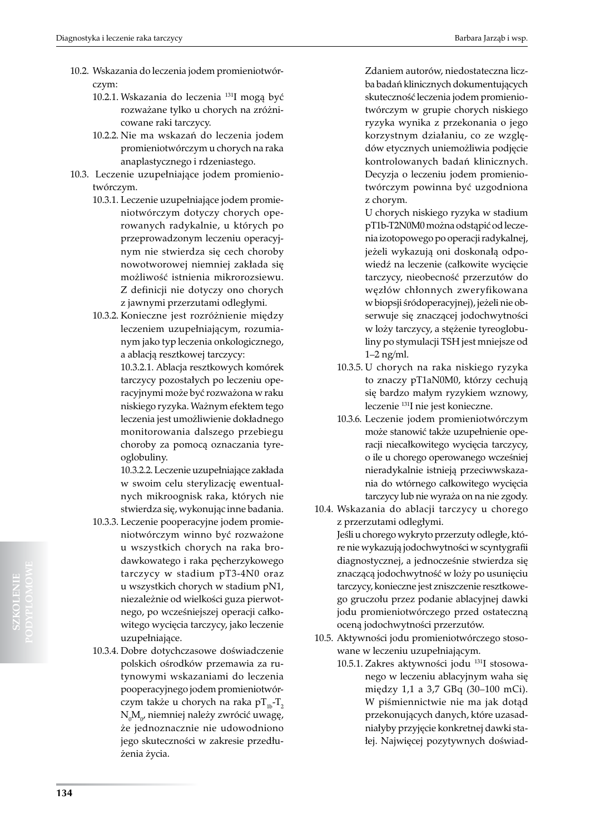- 10.2. Wskazania do leczenia jodem promieniotwórczym:
	- 10.2.1. Wskazania do leczenia 131I mogą być rozważane tylko u chorych na zróżnicowane raki tarczycy.
	- 10.2.2. Nie ma wskazań do leczenia jodem promieniotwórczym u chorych na raka anaplastycznego i rdzeniastego.
- 10.3. Leczenie uzupełniające jodem promieniotwórczym.
	- 10.3.1. Leczenie uzupełniające jodem promieniotwórczym dotyczy chorych operowanych radykalnie, u których po przeprowadzonym leczeniu operacyjnym nie stwierdza się cech choroby nowotworowej niemniej zakłada się możliwość istnienia mikrorozsiewu. Z definicji nie dotyczy ono chorych z jawnymi przerzutami odległymi.
	- 10.3.2. Konieczne jest rozróżnienie między leczeniem uzupełniającym, rozumianym jako typ leczenia onkologicznego, a ablacją resztkowej tarczycy:

10.3.2.1. Ablacja resztkowych komórek tarczycy pozostałych po leczeniu operacyjnymi może być rozważona w raku niskiego ryzyka. Ważnym efektem tego leczenia jest umożliwienie dokładnego monitorowania dalszego przebiegu choroby za pomocą oznaczania tyreoglobuliny.

10.3.2.2. Leczenie uzupełniające zakłada w swoim celu sterylizację ewentualnych mikroognisk raka, których nie stwierdza się, wykonując inne badania.

- 10.3.3. Leczenie pooperacyjne jodem promieniotwórczym winno być rozważone u wszystkich chorych na raka brodawkowatego i raka pęcherzykowego tarczycy w stadium pT3-4N0 oraz u wszystkich chorych w stadium pN1, niezależnie od wielkości guza pierwotnego, po wcześniejszej operacji całkowitego wycięcia tarczycy, jako leczenie uzupełniające.
- 10.3.4. Dobre dotychczasowe doświadczenie polskich ośrodków przemawia za rutynowymi wskazaniami do leczenia pooperacyjnego jodem promieniotwórczym także u chorych na raka p $T_{1b}$ -T<sub>2</sub>  $\rm N_{0}M_{0'}$  niemniej należy zwrócić uwagę, że jednoznacznie nie udowodniono jego skuteczności w zakresie przedłużenia życia.

Zdaniem autorów, niedostateczna liczba badań klinicznych dokumentujących skuteczność leczenia jodem promieniotwórczym w grupie chorych niskiego ryzyka wynika z przekonania o jego korzystnym działaniu, co ze względów etycznych uniemożliwia podjęcie kontrolowanych badań klinicznych. Decyzja o leczeniu jodem promieniotwórczym powinna być uzgodniona z chorym.

U chorych niskiego ryzyka w stadium pT1b-T2N0M0 można odstąpić od leczenia izotopowego po operacji radykalnej, jeżeli wykazują oni doskonałą odpowiedź na leczenie (całkowite wycięcie tarczycy, nieobecność przerzutów do węzłów chłonnych zweryfikowana w biopsji śródoperacyjnej), jeżeli nie obserwuje się znaczącej jodochwytności w loży tarczycy, a stężenie tyreoglobuliny po stymulacji TSH jest mniejsze od 1–2 ng/ml.

- 10.3.5. U chorych na raka niskiego ryzyka to znaczy pT1aN0M0, którzy cechują się bardzo małym ryzykiem wznowy, leczenie 131I nie jest konieczne.
- 10.3.6. Leczenie jodem promieniotwórczym może stanowić także uzupełnienie operacji niecałkowitego wycięcia tarczycy, o ile u chorego operowanego wcześniej nieradykalnie istnieją przeciwwskazania do wtórnego całkowitego wycięcia tarczycy lub nie wyraża on na nie zgody.
- 10.4. Wskazania do ablacji tarczycy u chorego z przerzutami odległymi. Jeśli u chorego wykryto przerzuty odległe, któ-

re nie wykazują jodochwytności w scyntygrafii diagnostycznej, a jednocześnie stwierdza się znaczącą jodochwytność w loży po usunięciu tarczycy, konieczne jest zniszczenie resztkowego gruczołu przez podanie ablacyjnej dawki jodu promieniotwórczego przed ostateczną oceną jodochwytności przerzutów.

- 10.5. Aktywności jodu promieniotwórczego stosowane w leczeniu uzupełniającym.
	- 10.5.1. Zakres aktywności jodu 131I stosowanego w leczeniu ablacyjnym waha się między 1,1 a 3,7 GBq (30–100 mCi). W piśmiennictwie nie ma jak dotąd przekonujących danych, które uzasadniałyby przyjęcie konkretnej dawki stałej. Najwięcej pozytywnych doświad-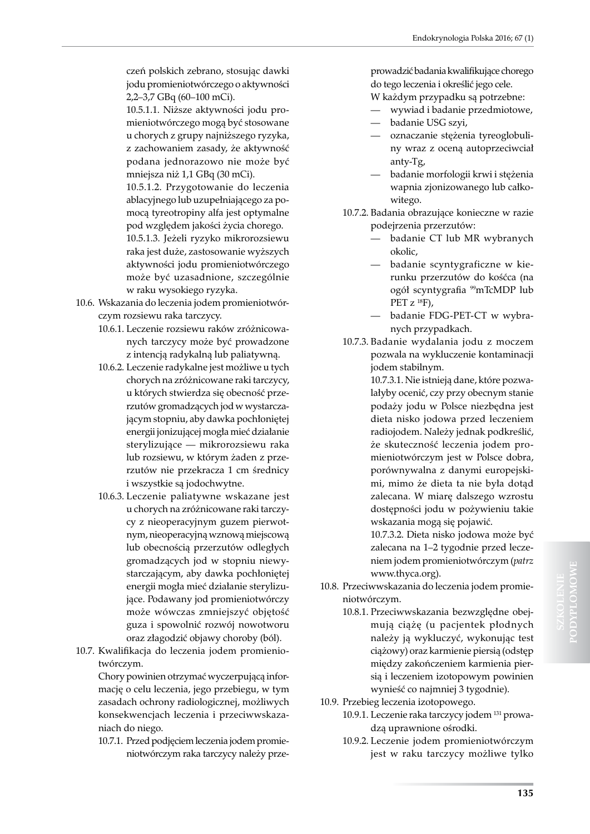czeń polskich zebrano, stosując dawki jodu promieniotwórczego o aktywności 2,2–3,7 GBq (60–100 mCi).

10.5.1.1. Niższe aktywności jodu promieniotwórczego mogą być stosowane u chorych z grupy najniższego ryzyka, z zachowaniem zasady, że aktywność podana jednorazowo nie może być mniejsza niż 1,1 GBq (30 mCi).

10.5.1.2. Przygotowanie do leczenia ablacyjnego lub uzupełniającego za pomocą tyreotropiny alfa jest optymalne pod względem jakości życia chorego.

10.5.1.3. Jeżeli ryzyko mikrorozsiewu raka jest duże, zastosowanie wyższych aktywności jodu promieniotwórczego może być uzasadnione, szczególnie w raku wysokiego ryzyka.

- 10.6. Wskazania do leczenia jodem promieniotwórczym rozsiewu raka tarczycy.
	- 10.6.1. Leczenie rozsiewu raków zróżnicowanych tarczycy może być prowadzone z intencją radykalną lub paliatywną.
	- 10.6.2. Leczenie radykalne jest możliwe u tych chorych na zróżnicowane raki tarczycy, u których stwierdza się obecność przerzutów gromadzących jod w wystarczającym stopniu, aby dawka pochłoniętej energii jonizującej mogła mieć działanie sterylizujące — mikrorozsiewu raka lub rozsiewu, w którym żaden z przerzutów nie przekracza 1 cm średnicy i wszystkie są jodochwytne.
	- 10.6.3. Leczenie paliatywne wskazane jest u chorych na zróżnicowane raki tarczycy z nieoperacyjnym guzem pierwotnym, nieoperacyjną wznową miejscową lub obecnością przerzutów odległych gromadzących jod w stopniu niewystarczającym, aby dawka pochłoniętej energii mogła mieć działanie sterylizujące. Podawany jod promieniotwórczy może wówczas zmniejszyć objętość guza i spowolnić rozwój nowotworu oraz złagodzić objawy choroby (ból).
- 10.7. Kwalifikacja do leczenia jodem promieniotwórczym.

Chory powinien otrzymać wyczerpującą informację o celu leczenia, jego przebiegu, w tym zasadach ochrony radiologicznej, możliwych konsekwencjach leczenia i przeciwwskazaniach do niego.

10.7.1. Przed podjęciem leczenia jodem promieniotwórczym raka tarczycy należy przeprowadzić badania kwalifikujące chorego do tego leczenia i określić jego cele.

- W każdym przypadku są potrzebne: — wywiad i badanie przedmiotowe,
- badanie USG szyi,
- oznaczanie stężenia tyreoglobuliny wraz z oceną autoprzeciwciał anty-Tg,
- badanie morfologii krwi i stężenia wapnia zjonizowanego lub całkowitego.
- 10.7.2. Badania obrazujące konieczne w razie podejrzenia przerzutów:
	- badanie CT lub MR wybranych okolic,
	- badanie scyntygraficzne w kierunku przerzutów do kośćca (na ogół scyntygrafia 99mTcMDP lub PET  $z^{18}F$ ),
	- badanie FDG-PET-CT w wybranych przypadkach.
- 10.7.3. Badanie wydalania jodu z moczem pozwala na wykluczenie kontaminacji jodem stabilnym.

10.7.3.1. Nie istnieją dane, które pozwalałyby ocenić, czy przy obecnym stanie podaży jodu w Polsce niezbędna jest dieta nisko jodowa przed leczeniem radiojodem. Należy jednak podkreślić, że skuteczność leczenia jodem promieniotwórczym jest w Polsce dobra, porównywalna z danymi europejskimi, mimo że dieta ta nie była dotąd zalecana. W miarę dalszego wzrostu dostępności jodu w pożywieniu takie wskazania mogą się pojawić.

10.7.3.2. Dieta nisko jodowa może być zalecana na 1–2 tygodnie przed leczeniem jodem promieniotwórczym (*patrz*  www.thyca.org).

- 10.8. Przeciwwskazania do leczenia jodem promieniotwórczym.
	- 10.8.1. Przeciwwskazania bezwzględne obejmują ciążę (u pacjentek płodnych należy ją wykluczyć, wykonując test ciążowy) oraz karmienie piersią (odstęp między zakończeniem karmienia piersią i leczeniem izotopowym powinien wynieść co najmniej 3 tygodnie).
- 10.9. Przebieg leczenia izotopowego.
	- 10.9.1. Leczenie raka tarczycy jodem 131 prowadzą uprawnione ośrodki.
	- 10.9.2. Leczenie jodem promieniotwórczym jest w raku tarczycy możliwe tylko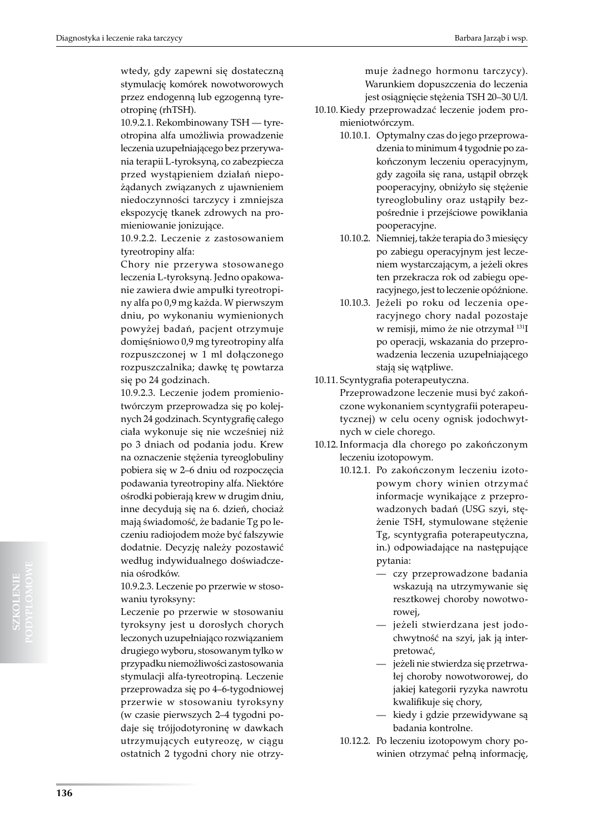wtedy, gdy zapewni się dostateczną stymulację komórek nowotworowych przez endogenną lub egzogenną tyreotropinę (rhTSH).

10.9.2.1. Rekombinowany TSH — tyreotropina alfa umożliwia prowadzenie leczenia uzupełniającego bez przerywania terapii L-tyroksyną, co zabezpiecza przed wystąpieniem działań niepożądanych związanych z ujawnieniem niedoczynności tarczycy i zmniejsza ekspozycję tkanek zdrowych na promieniowanie jonizujące.

10.9.2.2. Leczenie z zastosowaniem tyreotropiny alfa:

Chory nie przerywa stosowanego leczenia L-tyroksyną. Jedno opakowanie zawiera dwie ampułki tyreotropiny alfa po 0,9 mg każda. W pierwszym dniu, po wykonaniu wymienionych powyżej badań, pacjent otrzymuje domięśniowo 0,9 mg tyreotropiny alfa rozpuszczonej w 1 ml dołączonego rozpuszczalnika; dawkę tę powtarza się po 24 godzinach.

10.9.2.3. Leczenie jodem promieniotwórczym przeprowadza się po kolejnych 24 godzinach. Scyntygrafię całego ciała wykonuje się nie wcześniej niż po 3 dniach od podania jodu. Krew na oznaczenie stężenia tyreoglobuliny pobiera się w 2–6 dniu od rozpoczęcia podawania tyreotropiny alfa. Niektóre ośrodki pobierają krew w drugim dniu, inne decydują się na 6. dzień, chociaż mają świadomość, że badanie Tg po leczeniu radiojodem może być fałszywie dodatnie. Decyzję należy pozostawić według indywidualnego doświadczenia ośrodków.

10.9.2.3. Leczenie po przerwie w stosowaniu tyroksyny:

Leczenie po przerwie w stosowaniu tyroksyny jest u dorosłych chorych leczonych uzupełniająco rozwiązaniem drugiego wyboru, stosowanym tylko w przypadku niemożliwości zastosowania stymulacji alfa-tyreotropiną. Leczenie przeprowadza się po 4–6-tygodniowej przerwie w stosowaniu tyroksyny (w czasie pierwszych 2–4 tygodni podaje się trójjodotyroninę w dawkach utrzymujących eutyreozę, w ciągu ostatnich 2 tygodni chory nie otrzy-

muje żadnego hormonu tarczycy). Warunkiem dopuszczenia do leczenia jest osiągnięcie stężenia TSH 20–30 U/l.

- 10.10.Kiedy przeprowadzać leczenie jodem promieniotwórczym.
	- 10.10.1. Optymalny czas do jego przeprowadzenia to minimum 4 tygodnie po zakończonym leczeniu operacyjnym, gdy zagoiła się rana, ustąpił obrzęk pooperacyjny, obniżyło się stężenie tyreoglobuliny oraz ustąpiły bezpośrednie i przejściowe powikłania pooperacyjne.
	- 10.10.2. Niemniej, także terapia do 3 miesięcy po zabiegu operacyjnym jest leczeniem wystarczającym, a jeżeli okres ten przekracza rok od zabiegu operacyjnego, jest to leczenie opóźnione.
	- 10.10.3. Jeżeli po roku od leczenia operacyjnego chory nadal pozostaje w remisji, mimo że nie otrzymał 131I po operacji, wskazania do przeprowadzenia leczenia uzupełniającego stają się wątpliwe.
- 10.11. Scyntygrafia poterapeutyczna.

Przeprowadzone leczenie musi być zakończone wykonaniem scyntygrafii poterapeutycznej) w celu oceny ognisk jodochwytnych w ciele chorego.

- 10.12. Informacja dla chorego po zakończonym leczeniu izotopowym.
	- 10.12.1. Po zakończonym leczeniu izotopowym chory winien otrzymać informacje wynikające z przeprowadzonych badań (USG szyi, stężenie TSH, stymulowane stężenie Tg, scyntygrafia poterapeutyczna, in.) odpowiadające na następujące pytania:
		- czy przeprowadzone badania wskazują na utrzymywanie się resztkowej choroby nowotworowej,
		- jeżeli stwierdzana jest jodochwytność na szyi, jak ją interpretować,
		- jeżeli nie stwierdza się przetrwałej choroby nowotworowej, do jakiej kategorii ryzyka nawrotu kwalifikuje się chory,
		- kiedy i gdzie przewidywane są badania kontrolne.
	- 10.12.2. Po leczeniu izotopowym chory powinien otrzymać pełną informację,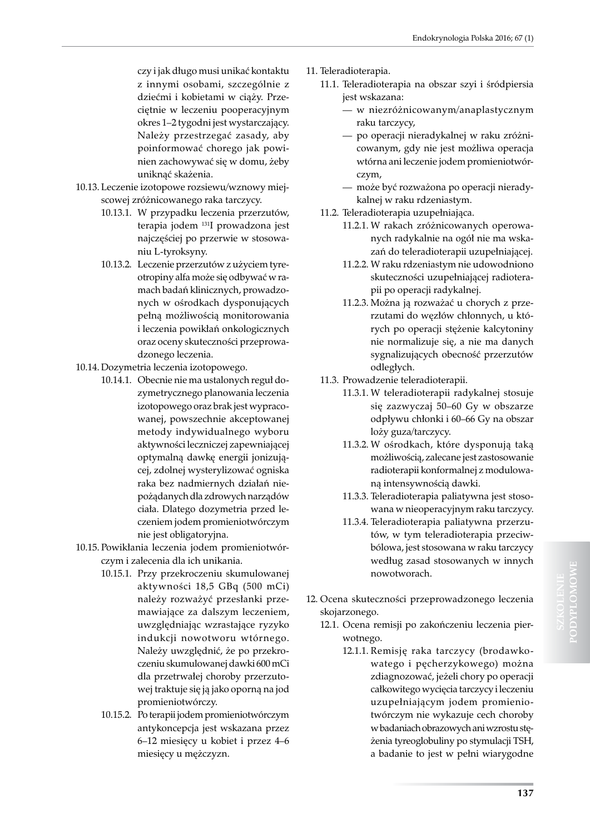czy i jak długo musi unikać kontaktu z innymi osobami, szczególnie z dziećmi i kobietami w ciąży. Przeciętnie w leczeniu pooperacyjnym okres 1–2 tygodni jest wystarczający. Należy przestrzegać zasady, aby poinformować chorego jak powinien zachowywać się w domu, żeby uniknąć skażenia.

- 10.13. Leczenie izotopowe rozsiewu/wznowy miejscowej zróżnicowanego raka tarczycy.
	- 10.13.1. W przypadku leczenia przerzutów, terapia jodem 131I prowadzona jest najczęściej po przerwie w stosowaniu L-tyroksyny.
	- 10.13.2. Leczenie przerzutów z użyciem tyreotropiny alfa może się odbywać w ramach badań klinicznych, prowadzonych w ośrodkach dysponujących pełną możliwością monitorowania i leczenia powikłań onkologicznych oraz oceny skuteczności przeprowadzonego leczenia.
- 10.14. Dozymetria leczenia izotopowego.
	- 10.14.1. Obecnie nie ma ustalonych reguł dozymetrycznego planowania leczenia izotopowego oraz brak jest wypracowanej, powszechnie akceptowanej metody indywidualnego wyboru aktywności leczniczej zapewniającej optymalną dawkę energii jonizującej, zdolnej wysterylizować ogniska raka bez nadmiernych działań niepożądanych dla zdrowych narządów ciała. Dlatego dozymetria przed leczeniem jodem promieniotwórczym nie jest obligatoryjna.
- 10.15. Powikłania leczenia jodem promieniotwórczym i zalecenia dla ich unikania.
	- 10.15.1. Przy przekroczeniu skumulowanej aktywności 18,5 GBq (500 mCi) należy rozważyć przesłanki przemawiające za dalszym leczeniem, uwzględniając wzrastające ryzyko indukcji nowotworu wtórnego. Należy uwzględnić, że po przekroczeniu skumulowanej dawki 600 mCi dla przetrwałej choroby przerzutowej traktuje się ją jako oporną na jod promieniotwórczy.
	- 10.15.2. Po terapii jodem promieniotwórczym antykoncepcja jest wskazana przez 6–12 miesięcy u kobiet i przez 4–6 miesięcy u mężczyzn.
- 11. Teleradioterapia.
	- 11.1. Teleradioterapia na obszar szyi i śródpiersia jest wskazana:
		- w niezróżnicowanym/anaplastycznym raku tarczycy,
		- po operacji nieradykalnej w raku zróżnicowanym, gdy nie jest możliwa operacja wtórna ani leczenie jodem promieniotwórczym,
		- może być rozważona po operacji nieradykalnej w raku rdzeniastym.
	- 11.2. Teleradioterapia uzupełniająca.
		- 11.2.1. W rakach zróżnicowanych operowanych radykalnie na ogół nie ma wskazań do teleradioterapii uzupełniającej.
		- 11.2.2. W raku rdzeniastym nie udowodniono skuteczności uzupełniającej radioterapii po operacji radykalnej.
		- 11.2.3. Można ją rozważać u chorych z przerzutami do węzłów chłonnych, u których po operacji stężenie kalcytoniny nie normalizuje się, a nie ma danych sygnalizujących obecność przerzutów odległych.
	- 11.3. Prowadzenie teleradioterapii.
		- 11.3.1. W teleradioterapii radykalnej stosuje się zazwyczaj 50–60 Gy w obszarze odpływu chłonki i 60–66 Gy na obszar loży guza/tarczycy.
		- 11.3.2. W ośrodkach, które dysponują taką możliwością, zalecane jest zastosowanie radioterapii konformalnej z modulowaną intensywnością dawki.
		- 11.3.3. Teleradioterapia paliatywna jest stosowana w nieoperacyjnym raku tarczycy.
		- 11.3.4. Teleradioterapia paliatywna przerzutów, w tym teleradioterapia przeciwbólowa, jest stosowana w raku tarczycy według zasad stosowanych w innych nowotworach.
- 12. Ocena skuteczności przeprowadzonego leczenia skojarzonego.
	- 12.1. Ocena remisji po zakończeniu leczenia pierwotnego.
		- 12.1.1. Remisję raka tarczycy (brodawkowatego i pęcherzykowego) można zdiagnozować, jeżeli chory po operacji całkowitego wycięcia tarczycy i leczeniu uzupełniającym jodem promieniotwórczym nie wykazuje cech choroby w badaniach obrazowych ani wzrostu stężenia tyreoglobuliny po stymulacji TSH, a badanie to jest w pełni wiarygodne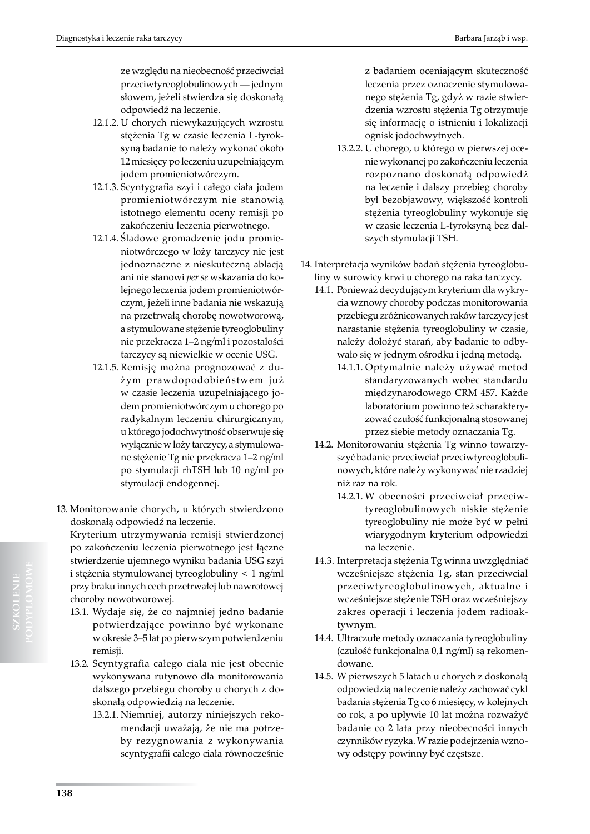ze względu na nieobecność przeciwciał przeciwtyreoglobulinowych — jednym słowem, jeżeli stwierdza się doskonałą odpowiedź na leczenie.

- 12.1.2. U chorych niewykazujących wzrostu stężenia Tg w czasie leczenia L-tyroksyną badanie to należy wykonać około 12 miesięcy po leczeniu uzupełniającym jodem promieniotwórczym.
- 12.1.3. Scyntygrafia szyi i całego ciała jodem promieniotwórczym nie stanowią istotnego elementu oceny remisji po zakończeniu leczenia pierwotnego.
- 12.1.4. Śladowe gromadzenie jodu promieniotwórczego w loży tarczycy nie jest jednoznaczne z nieskuteczną ablacją ani nie stanowi *per se* wskazania do kolejnego leczenia jodem promieniotwórczym, jeżeli inne badania nie wskazują na przetrwałą chorobę nowotworową, a stymulowane stężenie tyreoglobuliny nie przekracza 1–2 ng/ml i pozostałości tarczycy są niewielkie w ocenie USG.
- 12.1.5. Remisję można prognozować z dużym prawdopodobieństwem już w czasie leczenia uzupełniającego jodem promieniotwórczym u chorego po radykalnym leczeniu chirurgicznym, u którego jodochwytność obserwuje się wyłącznie w loży tarczycy, a stymulowane stężenie Tg nie przekracza 1–2 ng/ml po stymulacji rhTSH lub 10 ng/ml po stymulacji endogennej.
- 13. Monitorowanie chorych, u których stwierdzono doskonałą odpowiedź na leczenie.

Kryterium utrzymywania remisji stwierdzonej po zakończeniu leczenia pierwotnego jest łączne stwierdzenie ujemnego wyniku badania USG szyi i stężenia stymulowanej tyreoglobuliny < 1 ng/ml przy braku innych cech przetrwałej lub nawrotowej choroby nowotworowej.

- 13.1. Wydaje się, że co najmniej jedno badanie potwierdzające powinno być wykonane w okresie 3–5 lat po pierwszym potwierdzeniu remisji.
- 13.2. Scyntygrafia całego ciała nie jest obecnie wykonywana rutynowo dla monitorowania dalszego przebiegu choroby u chorych z doskonałą odpowiedzią na leczenie.
	- 13.2.1. Niemniej, autorzy niniejszych rekomendacji uważają, że nie ma potrzeby rezygnowania z wykonywania scyntygrafii całego ciała równocześnie

z badaniem oceniającym skuteczność leczenia przez oznaczenie stymulowanego stężenia Tg, gdyż w razie stwierdzenia wzrostu stężenia Tg otrzymuje się informację o istnieniu i lokalizacji ognisk jodochwytnych.

- 13.2.2. U chorego, u którego w pierwszej ocenie wykonanej po zakończeniu leczenia rozpoznano doskonałą odpowiedź na leczenie i dalszy przebieg choroby był bezobjawowy, większość kontroli stężenia tyreoglobuliny wykonuje się w czasie leczenia L-tyroksyną bez dalszych stymulacji TSH.
- 14. Interpretacja wyników badań stężenia tyreoglobuliny w surowicy krwi u chorego na raka tarczycy.
	- 14.1. Ponieważ decydującym kryterium dla wykrycia wznowy choroby podczas monitorowania przebiegu zróżnicowanych raków tarczycy jest narastanie stężenia tyreoglobuliny w czasie, należy dołożyć starań, aby badanie to odbywało się w jednym ośrodku i jedną metodą.
		- 14.1.1. Optymalnie należy używać metod standaryzowanych wobec standardu międzynarodowego CRM 457. Każde laboratorium powinno też scharakteryzować czułość funkcjonalną stosowanej przez siebie metody oznaczania Tg.
	- 14.2. Monitorowaniu stężenia Tg winno towarzyszyć badanie przeciwciał przeciwtyreoglobulinowych, które należy wykonywać nie rzadziej niż raz na rok.
		- 14.2.1. W obecności przeciwciał przeciwtyreoglobulinowych niskie stężenie tyreoglobuliny nie może być w pełni wiarygodnym kryterium odpowiedzi na leczenie.
	- 14.3. Interpretacja stężenia Tg winna uwzględniać wcześniejsze stężenia Tg, stan przeciwciał przeciwtyreoglobulinowych, aktualne i wcześniejsze stężenie TSH oraz wcześniejszy zakres operacji i leczenia jodem radioaktywnym.
	- 14.4. Ultraczułe metody oznaczania tyreoglobuliny (czułość funkcjonalna 0,1 ng/ml) są rekomendowane.
	- 14.5. W pierwszych 5 latach u chorych z doskonałą odpowiedzią na leczenie należy zachować cykl badania stężenia Tg co 6 miesięcy, w kolejnych co rok, a po upływie 10 lat można rozważyć badanie co 2 lata przy nieobecności innych czynników ryzyka. W razie podejrzenia wznowy odstępy powinny być częstsze.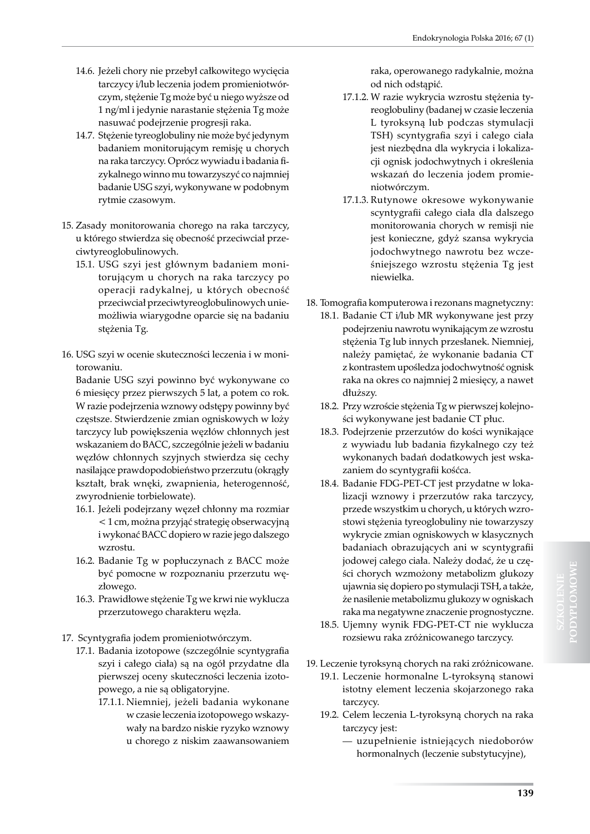- 14.6. Jeżeli chory nie przebył całkowitego wycięcia tarczycy i/lub leczenia jodem promieniotwórczym, stężenie Tg może być u niego wyższe od 1 ng/ml i jedynie narastanie stężenia Tg może nasuwać podejrzenie progresji raka.
- 14.7. Stężenie tyreoglobuliny nie może być jedynym badaniem monitorującym remisję u chorych na raka tarczycy. Oprócz wywiadu i badania fizykalnego winno mu towarzyszyć co najmniej badanie USG szyi, wykonywane w podobnym rytmie czasowym.
- 15. Zasady monitorowania chorego na raka tarczycy, u którego stwierdza się obecność przeciwciał przeciwtyreoglobulinowych.
	- 15.1. USG szyi jest głównym badaniem monitorującym u chorych na raka tarczycy po operacji radykalnej, u których obecność przeciwciał przeciwtyreoglobulinowych uniemożliwia wiarygodne oparcie się na badaniu stężenia Tg.
- 16. USG szyi w ocenie skuteczności leczenia i w monitorowaniu.

Badanie USG szyi powinno być wykonywane co 6 miesięcy przez pierwszych 5 lat, a potem co rok. W razie podejrzenia wznowy odstępy powinny być częstsze. Stwierdzenie zmian ogniskowych w loży tarczycy lub powiększenia węzłów chłonnych jest wskazaniem do BACC, szczególnie jeżeli w badaniu węzłów chłonnych szyjnych stwierdza się cechy nasilające prawdopodobieństwo przerzutu (okrągły kształt, brak wnęki, zwapnienia, heterogenność, zwyrodnienie torbielowate).

- 16.1. Jeżeli podejrzany węzeł chłonny ma rozmiar < 1 cm, można przyjąć strategię obserwacyjną i wykonać BACC dopiero w razie jego dalszego wzrostu.
- 16.2. Badanie Tg w popłuczynach z BACC może być pomocne w rozpoznaniu przerzutu węzłowego.
- 16.3. Prawidłowe stężenie Tg we krwi nie wyklucza przerzutowego charakteru węzła.
- 17. Scyntygrafia jodem promieniotwórczym.
	- 17.1. Badania izotopowe (szczególnie scyntygrafia szyi i całego ciała) są na ogół przydatne dla pierwszej oceny skuteczności leczenia izotopowego, a nie są obligatoryjne.
		- 17.1.1. Niemniej, jeżeli badania wykonane w czasie leczenia izotopowego wskazywały na bardzo niskie ryzyko wznowy u chorego z niskim zaawansowaniem

raka, operowanego radykalnie, można od nich odstąpić.

- 17.1.2. W razie wykrycia wzrostu stężenia tyreoglobuliny (badanej w czasie leczenia L tyroksyną lub podczas stymulacji TSH) scyntygrafia szyi i całego ciała jest niezbędna dla wykrycia i lokalizacji ognisk jodochwytnych i określenia wskazań do leczenia jodem promieniotwórczym.
- 17.1.3. Rutynowe okresowe wykonywanie scyntygrafii całego ciała dla dalszego monitorowania chorych w remisji nie jest konieczne, gdyż szansa wykrycia jodochwytnego nawrotu bez wcześniejszego wzrostu stężenia Tg jest niewielka.
- 18. Tomografia komputerowa i rezonans magnetyczny:
	- 18.1. Badanie CT i/lub MR wykonywane jest przy podejrzeniu nawrotu wynikającym ze wzrostu stężenia Tg lub innych przesłanek. Niemniej, należy pamiętać, że wykonanie badania CT z kontrastem upośledza jodochwytność ognisk raka na okres co najmniej 2 miesięcy, a nawet dłuższy.
	- 18.2. Przy wzroście stężenia Tg w pierwszej kolejności wykonywane jest badanie CT płuc.
	- 18.3. Podejrzenie przerzutów do kości wynikające z wywiadu lub badania fizykalnego czy też wykonanych badań dodatkowych jest wskazaniem do scyntygrafii kośćca.
	- 18.4. Badanie FDG-PET-CT jest przydatne w lokalizacji wznowy i przerzutów raka tarczycy, przede wszystkim u chorych, u których wzrostowi stężenia tyreoglobuliny nie towarzyszy wykrycie zmian ogniskowych w klasycznych badaniach obrazujących ani w scyntygrafii jodowej całego ciała. Należy dodać, że u części chorych wzmożony metabolizm glukozy ujawnia się dopiero po stymulacji TSH, a także, że nasilenie metabolizmu glukozy w ogniskach raka ma negatywne znaczenie prognostyczne.
	- 18.5. Ujemny wynik FDG-PET-CT nie wyklucza rozsiewu raka zróżnicowanego tarczycy.
- 19. Leczenie tyroksyną chorych na raki zróżnicowane.
	- 19.1. Leczenie hormonalne L-tyroksyną stanowi istotny element leczenia skojarzonego raka tarczycy.
	- 19.2. Celem leczenia L-tyroksyną chorych na raka tarczycy jest:
		- uzupełnienie istniejących niedoborów hormonalnych (leczenie substytucyjne),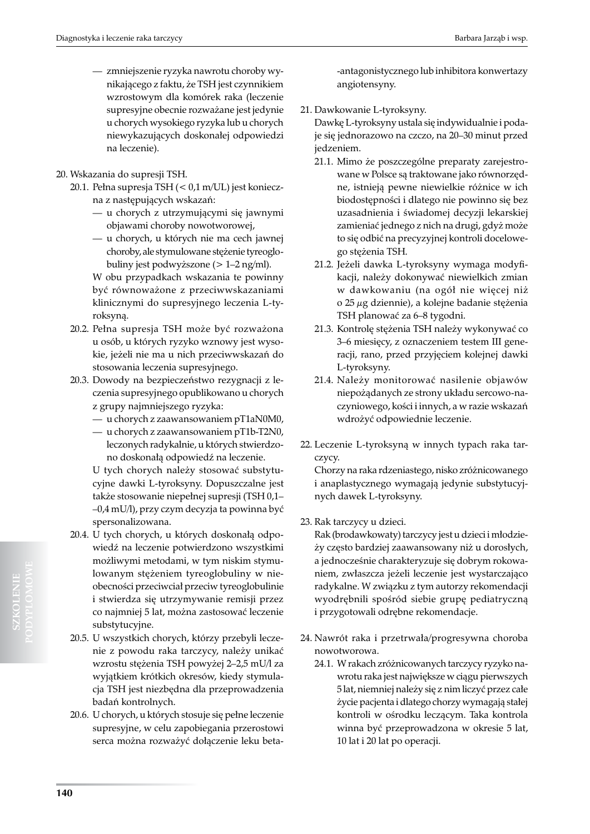- zmniejszenie ryzyka nawrotu choroby wynikającego z faktu, że TSH jest czynnikiem wzrostowym dla komórek raka (leczenie supresyjne obecnie rozważane jest jedynie u chorych wysokiego ryzyka lub u chorych niewykazujących doskonałej odpowiedzi na leczenie).
- 20. Wskazania do supresji TSH.
	- 20.1. Pełna supresja TSH (< 0,1 m/UL) jest konieczna z następujących wskazań:
		- u chorych z utrzymującymi się jawnymi objawami choroby nowotworowej,
		- u chorych, u których nie ma cech jawnej choroby, ale stymulowane stężenie tyreoglobuliny jest podwyższone (> 1–2 ng/ml).

W obu przypadkach wskazania te powinny być równoważone z przeciwwskazaniami klinicznymi do supresyjnego leczenia L-tyroksyną.

- 20.2. Pełna supresja TSH może być rozważona u osób, u których ryzyko wznowy jest wysokie, jeżeli nie ma u nich przeciwwskazań do stosowania leczenia supresyjnego.
- 20.3. Dowody na bezpieczeństwo rezygnacji z leczenia supresyjnego opublikowano u chorych z grupy najmniejszego ryzyka:
	- u chorych z zaawansowaniem pT1aN0M0,
	- u chorych z zaawansowaniem pT1b-T2N0, leczonych radykalnie, u których stwierdzono doskonałą odpowiedź na leczenie.

U tych chorych należy stosować substytucyjne dawki L-tyroksyny. Dopuszczalne jest także stosowanie niepełnej supresji (TSH 0,1– –0,4 mU/l), przy czym decyzja ta powinna być spersonalizowana.

- 20.4. U tych chorych, u których doskonałą odpowiedź na leczenie potwierdzono wszystkimi możliwymi metodami, w tym niskim stymulowanym stężeniem tyreoglobuliny w nieobecności przeciwciał przeciw tyreoglobulinie i stwierdza się utrzymywanie remisji przez co najmniej 5 lat, można zastosować leczenie substytucyjne.
- 20.5. U wszystkich chorych, którzy przebyli leczenie z powodu raka tarczycy, należy unikać wzrostu stężenia TSH powyżej 2–2,5 mU/l za wyjątkiem krótkich okresów, kiedy stymulacja TSH jest niezbędna dla przeprowadzenia badań kontrolnych.
- 20.6. U chorych, u których stosuje się pełne leczenie supresyjne, w celu zapobiegania przerostowi serca można rozważyć dołączenie leku beta-

-antagonistycznego lub inhibitora konwertazy angiotensyny.

21. Dawkowanie L-tyroksyny.

Dawkę L-tyroksyny ustala się indywidualnie i podaje się jednorazowo na czczo, na 20–30 minut przed jedzeniem.

- 21.1. Mimo że poszczególne preparaty zarejestrowane w Polsce są traktowane jako równorzędne, istnieją pewne niewielkie różnice w ich biodostępności i dlatego nie powinno się bez uzasadnienia i świadomej decyzji lekarskiej zamieniać jednego z nich na drugi, gdyż może to się odbić na precyzyjnej kontroli docelowego stężenia TSH.
- 21.2. Jeżeli dawka L-tyroksyny wymaga modyfikacji, należy dokonywać niewielkich zmian w dawkowaniu (na ogół nie więcej niż o 25 µg dziennie), a kolejne badanie stężenia TSH planować za 6–8 tygodni.
- 21.3. Kontrolę stężenia TSH należy wykonywać co 3–6 miesięcy, z oznaczeniem testem III generacji, rano, przed przyjęciem kolejnej dawki L-tyroksyny.
- 21.4. Należy monitorować nasilenie objawów niepożądanych ze strony układu sercowo-naczyniowego, kości i innych, a w razie wskazań wdrożyć odpowiednie leczenie.
- 22. Leczenie L-tyroksyną w innych typach raka tarczycy.

Chorzy na raka rdzeniastego, nisko zróżnicowanego i anaplastycznego wymagają jedynie substytucyjnych dawek L-tyroksyny.

23. Rak tarczycy u dzieci.

Rak (brodawkowaty) tarczycy jest u dzieci i młodzieży często bardziej zaawansowany niż u dorosłych, a jednocześnie charakteryzuje się dobrym rokowaniem, zwłaszcza jeżeli leczenie jest wystarczająco radykalne. W związku z tym autorzy rekomendacji wyodrębnili spośród siebie grupę pediatryczną i przygotowali odrębne rekomendacje.

- 24. Nawrót raka i przetrwała/progresywna choroba nowotworowa.
	- 24.1. W rakach zróżnicowanych tarczycy ryzyko nawrotu raka jest największe w ciągu pierwszych 5 lat, niemniej należy się z nim liczyć przez całe życie pacjenta i dlatego chorzy wymagają stałej kontroli w ośrodku leczącym. Taka kontrola winna być przeprowadzona w okresie 5 lat, 10 lat i 20 lat po operacji.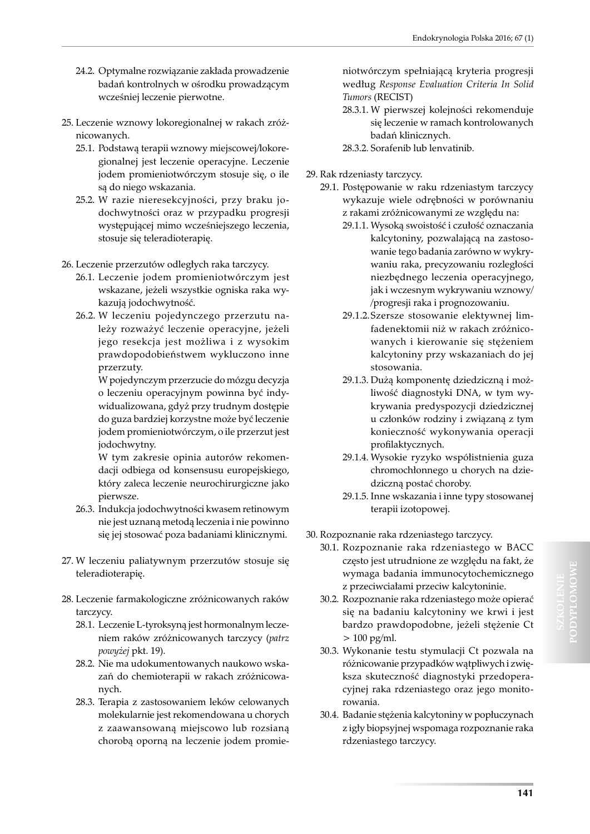- 24.2. Optymalne rozwiązanie zakłada prowadzenie badań kontrolnych w ośrodku prowadzącym wcześniej leczenie pierwotne.
- 25. Leczenie wznowy lokoregionalnej w rakach zróżnicowanych.
	- 25.1. Podstawą terapii wznowy miejscowej/lokoregionalnej jest leczenie operacyjne. Leczenie jodem promieniotwórczym stosuje się, o ile są do niego wskazania.
	- 25.2. W razie nieresekcyjności, przy braku jodochwytności oraz w przypadku progresji występującej mimo wcześniejszego leczenia, stosuje się teleradioterapię.

26. Leczenie przerzutów odległych raka tarczycy.

- 26.1. Leczenie jodem promieniotwórczym jest wskazane, jeżeli wszystkie ogniska raka wykazują jodochwytność.
- 26.2. W leczeniu pojedynczego przerzutu należy rozważyć leczenie operacyjne, jeżeli jego resekcja jest możliwa i z wysokim prawdopodobieństwem wykluczono inne przerzuty.

W pojedynczym przerzucie do mózgu decyzja o leczeniu operacyjnym powinna być indywidualizowana, gdyż przy trudnym dostępie do guza bardziej korzystne może być leczenie jodem promieniotwórczym, o ile przerzut jest jodochwytny.

W tym zakresie opinia autorów rekomendacji odbiega od konsensusu europejskiego, który zaleca leczenie neurochirurgiczne jako pierwsze.

- 26.3. Indukcja jodochwytności kwasem retinowym nie jest uznaną metodą leczenia i nie powinno się jej stosować poza badaniami klinicznymi.
- 27. W leczeniu paliatywnym przerzutów stosuje się teleradioterapię.
- 28. Leczenie farmakologiczne zróżnicowanych raków tarczycy.
	- 28.1. Leczenie L-tyroksyną jest hormonalnym leczeniem raków zróżnicowanych tarczycy (*patrz powyżej* pkt. 19).
	- 28.2. Nie ma udokumentowanych naukowo wskazań do chemioterapii w rakach zróżnicowanych.
	- 28.3. Terapia z zastosowaniem leków celowanych molekularnie jest rekomendowana u chorych z zaawansowaną miejscowo lub rozsianą chorobą oporną na leczenie jodem promie-

niotwórczym spełniającą kryteria progresji według *Response Evaluation Criteria In Solid Tumors* (RECIST)

28.3.1. W pierwszej kolejności rekomenduje się leczenie w ramach kontrolowanych badań klinicznych.

28.3.2. Sorafenib lub lenvatinib.

29. Rak rdzeniasty tarczycy.

- 29.1. Postępowanie w raku rdzeniastym tarczycy wykazuje wiele odrębności w porównaniu z rakami zróżnicowanymi ze względu na:
	- 29.1.1. Wysoką swoistość i czułość oznaczania kalcytoniny, pozwalającą na zastosowanie tego badania zarówno w wykrywaniu raka, precyzowaniu rozległości niezbędnego leczenia operacyjnego, jak i wczesnym wykrywaniu wznowy/ /progresji raka i prognozowaniu.
	- 29.1.2.Szersze stosowanie elektywnej limfadenektomii niż w rakach zróżnicowanych i kierowanie się stężeniem kalcytoniny przy wskazaniach do jej stosowania.
	- 29.1.3. Dużą komponentę dziedziczną i możliwość diagnostyki DNA, w tym wykrywania predyspozycji dziedzicznej u członków rodziny i związaną z tym konieczność wykonywania operacji profilaktycznych.
	- 29.1.4. Wysokie ryzyko współistnienia guza chromochłonnego u chorych na dziedziczną postać choroby.
	- 29.1.5. Inne wskazania i inne typy stosowanej terapii izotopowej.
- 30. Rozpoznanie raka rdzeniastego tarczycy.
	- 30.1. Rozpoznanie raka rdzeniastego w BACC często jest utrudnione ze względu na fakt, że wymaga badania immunocytochemicznego z przeciwciałami przeciw kalcytoninie.
	- 30.2. Rozpoznanie raka rdzeniastego może opierać się na badaniu kalcytoniny we krwi i jest bardzo prawdopodobne, jeżeli stężenie Ct  $> 100$  pg/ml.
	- 30.3. Wykonanie testu stymulacji Ct pozwala na różnicowanie przypadków wątpliwych i zwiększa skuteczność diagnostyki przedoperacyjnej raka rdzeniastego oraz jego monitorowania.
	- 30.4. Badanie stężenia kalcytoniny w popłuczynach z igły biopsyjnej wspomaga rozpoznanie raka rdzeniastego tarczycy.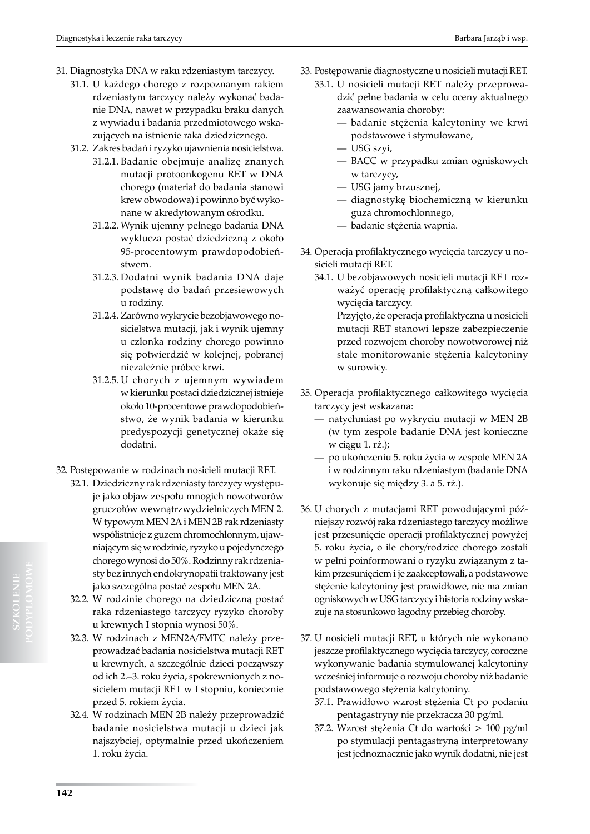- 31. Diagnostyka DNA w raku rdzeniastym tarczycy.
	- 31.1. U każdego chorego z rozpoznanym rakiem rdzeniastym tarczycy należy wykonać badanie DNA, nawet w przypadku braku danych z wywiadu i badania przedmiotowego wskazujących na istnienie raka dziedzicznego.
	- 31.2. Zakres badań i ryzyko ujawnienia nosicielstwa.
		- 31.2.1. Badanie obejmuje analizę znanych mutacji protoonkogenu RET w DNA chorego (materiał do badania stanowi krew obwodowa) i powinno być wykonane w akredytowanym ośrodku.
		- 31.2.2. Wynik ujemny pełnego badania DNA wyklucza postać dziedziczną z około 95-procentowym prawdopodobieństwem.
		- 31.2.3. Dodatni wynik badania DNA daje podstawę do badań przesiewowych u rodziny.
		- 31.2.4. Zarówno wykrycie bezobjawowego nosicielstwa mutacji, jak i wynik ujemny u członka rodziny chorego powinno się potwierdzić w kolejnej, pobranej niezależnie próbce krwi.
		- 31.2.5. U chorych z ujemnym wywiadem w kierunku postaci dziedzicznej istnieje około 10-procentowe prawdopodobieństwo, że wynik badania w kierunku predyspozycji genetycznej okaże się dodatni.
- 32. Postępowanie w rodzinach nosicieli mutacji RET.
	- 32.1. Dziedziczny rak rdzeniasty tarczycy występuje jako objaw zespołu mnogich nowotworów gruczołów wewnątrzwydzielniczych MEN 2. W typowym MEN 2A i MEN 2B rak rdzeniasty współistnieje z guzem chromochłonnym, ujawniającym się w rodzinie, ryzyko u pojedynczego chorego wynosi do 50%. Rodzinny rak rdzeniasty bez innych endokrynopatii traktowany jest jako szczególna postać zespołu MEN 2A.
	- 32.2. W rodzinie chorego na dziedziczną postać raka rdzeniastego tarczycy ryzyko choroby u krewnych I stopnia wynosi 50%.
	- 32.3. W rodzinach z MEN2A/FMTC należy przeprowadzać badania nosicielstwa mutacji RET u krewnych, a szczególnie dzieci począwszy od ich 2.–3. roku życia, spokrewnionych z nosicielem mutacji RET w I stopniu, koniecznie przed 5. rokiem życia.
	- 32.4. W rodzinach MEN 2B należy przeprowadzić badanie nosicielstwa mutacji u dzieci jak najszybciej, optymalnie przed ukończeniem 1. roku życia.
- 33. Postępowanie diagnostyczne u nosicieli mutacji RET.
	- 33.1. U nosicieli mutacji RET należy przeprowadzić pełne badania w celu oceny aktualnego zaawansowania choroby:
		- badanie stężenia kalcytoniny we krwi podstawowe i stymulowane,
		- USG szyi,
		- BACC w przypadku zmian ogniskowych w tarczycy,
		- USG jamy brzusznej,
		- diagnostykę biochemiczną w kierunku guza chromochłonnego,
		- badanie stężenia wapnia.
- 34. Operacja profilaktycznego wycięcia tarczycy u nosicieli mutacji RET.
	- 34.1. U bezobjawowych nosicieli mutacji RET rozważyć operację profilaktyczną całkowitego wycięcia tarczycy. Przyjęto, że operacja profilaktyczna u nosicieli mutacji RET stanowi lepsze zabezpieczenie przed rozwojem choroby nowotworowej niż stałe monitorowanie stężenia kalcytoniny w surowicy.
- 35. Operacja profilaktycznego całkowitego wycięcia tarczycy jest wskazana:
	- natychmiast po wykryciu mutacji w MEN 2B (w tym zespole badanie DNA jest konieczne w ciągu 1. rż.);
	- po ukończeniu 5. roku życia w zespole MEN 2A i w rodzinnym raku rdzeniastym (badanie DNA wykonuje się między 3. a 5. rż.).
- 36. U chorych z mutacjami RET powodującymi późniejszy rozwój raka rdzeniastego tarczycy możliwe jest przesunięcie operacji profilaktycznej powyżej 5. roku życia, o ile chory/rodzice chorego zostali w pełni poinformowani o ryzyku związanym z takim przesunięciem i je zaakceptowali, a podstawowe stężenie kalcytoniny jest prawidłowe, nie ma zmian ogniskowych w USG tarczycy i historia rodziny wskazuje na stosunkowo łagodny przebieg choroby.
- 37. U nosicieli mutacji RET, u których nie wykonano jeszcze profilaktycznego wycięcia tarczycy, coroczne wykonywanie badania stymulowanej kalcytoniny wcześniej informuje o rozwoju choroby niż badanie podstawowego stężenia kalcytoniny.
	- 37.1. Prawidłowo wzrost stężenia Ct po podaniu pentagastryny nie przekracza 30 pg/ml.
	- 37.2. Wzrost stężenia Ct do wartości > 100 pg/ml po stymulacji pentagastryną interpretowany jest jednoznacznie jako wynik dodatni, nie jest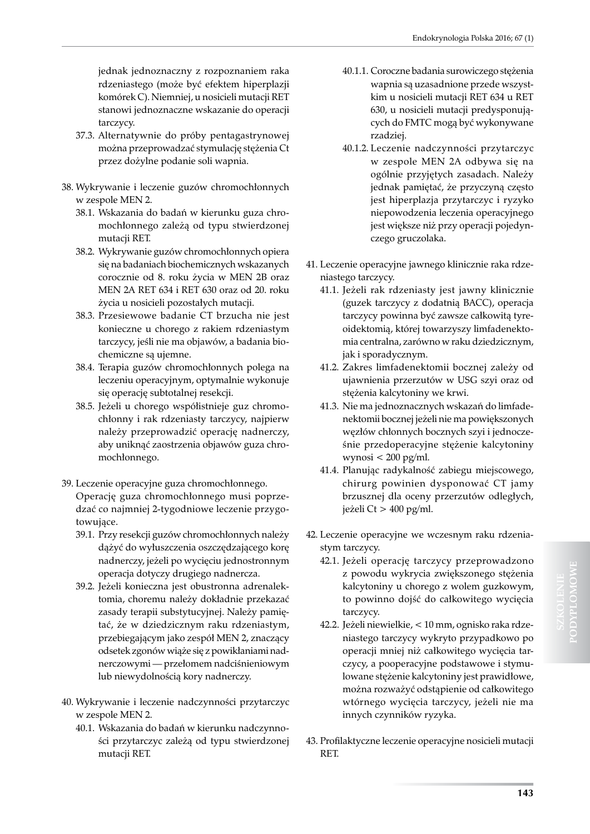jednak jednoznaczny z rozpoznaniem raka rdzeniastego (może być efektem hiperplazji komórek C). Niemniej, u nosicieli mutacji RET stanowi jednoznaczne wskazanie do operacji tarczycy.

- 37.3. Alternatywnie do próby pentagastrynowej można przeprowadzać stymulację stężenia Ct przez dożylne podanie soli wapnia.
- 38. Wykrywanie i leczenie guzów chromochłonnych w zespole MEN 2.
	- 38.1. Wskazania do badań w kierunku guza chromochłonnego zależą od typu stwierdzonej mutacji RET.
	- 38.2. Wykrywanie guzów chromochłonnych opiera się na badaniach biochemicznych wskazanych corocznie od 8. roku życia w MEN 2B oraz MEN 2A RET 634 i RET 630 oraz od 20. roku życia u nosicieli pozostałych mutacji.
	- 38.3. Przesiewowe badanie CT brzucha nie jest konieczne u chorego z rakiem rdzeniastym tarczycy, jeśli nie ma objawów, a badania biochemiczne są ujemne.
	- 38.4. Terapia guzów chromochłonnych polega na leczeniu operacyjnym, optymalnie wykonuje się operację subtotalnej resekcji.
	- 38.5. Jeżeli u chorego współistnieje guz chromochłonny i rak rdzeniasty tarczycy, najpierw należy przeprowadzić operację nadnerczy, aby uniknąć zaostrzenia objawów guza chromochłonnego.
- 39. Leczenie operacyjne guza chromochłonnego.

Operację guza chromochłonnego musi poprzedzać co najmniej 2-tygodniowe leczenie przygotowujące.

- 39.1. Przy resekcji guzów chromochłonnych należy dążyć do wyłuszczenia oszczędzającego korę nadnerczy, jeżeli po wycięciu jednostronnym operacja dotyczy drugiego nadnercza.
- 39.2. Jeżeli konieczna jest obustronna adrenalektomia, choremu należy dokładnie przekazać zasady terapii substytucyjnej. Należy pamiętać, że w dziedzicznym raku rdzeniastym, przebiegającym jako zespół MEN 2, znaczący odsetek zgonów wiąże się z powikłaniami nadnerczowymi — przełomem nadciśnieniowym lub niewydolnością kory nadnerczy.
- 40. Wykrywanie i leczenie nadczynności przytarczyc w zespole MEN 2.
	- 40.1. Wskazania do badań w kierunku nadczynności przytarczyc zależą od typu stwierdzonej mutacji RET.
- 40.1.1. Coroczne badania surowiczego stężenia wapnia są uzasadnione przede wszystkim u nosicieli mutacji RET 634 u RET 630, u nosicieli mutacji predysponujących do FMTC mogą być wykonywane rzadziej.
- 40.1.2. Leczenie nadczynności przytarczyc w zespole MEN 2A odbywa się na ogólnie przyjętych zasadach. Należy jednak pamiętać, że przyczyną często jest hiperplazja przytarczyc i ryzyko niepowodzenia leczenia operacyjnego jest większe niż przy operacji pojedynczego gruczolaka.
- 41. Leczenie operacyjne jawnego klinicznie raka rdzeniastego tarczycy.
	- 41.1. Jeżeli rak rdzeniasty jest jawny klinicznie (guzek tarczycy z dodatnią BACC), operacja tarczycy powinna być zawsze całkowitą tyreoidektomią, której towarzyszy limfadenektomia centralna, zarówno w raku dziedzicznym, jak i sporadycznym.
	- 41.2. Zakres limfadenektomii bocznej zależy od ujawnienia przerzutów w USG szyi oraz od stężenia kalcytoniny we krwi.
	- 41.3. Nie ma jednoznacznych wskazań do limfadenektomii bocznej jeżeli nie ma powiększonych węzłów chłonnych bocznych szyi i jednocześnie przedoperacyjne stężenie kalcytoniny wynosi < 200 pg/ml.
	- 41.4. Planując radykalność zabiegu miejscowego, chirurg powinien dysponować CT jamy brzusznej dla oceny przerzutów odległych, jeżeli Ct > 400 pg/ml.
- 42. Leczenie operacyjne we wczesnym raku rdzeniastym tarczycy.
	- 42.1. Jeżeli operację tarczycy przeprowadzono z powodu wykrycia zwiększonego stężenia kalcytoniny u chorego z wolem guzkowym, to powinno dojść do całkowitego wycięcia tarczycy.
	- 42.2. Jeżeli niewielkie, < 10 mm, ognisko raka rdzeniastego tarczycy wykryto przypadkowo po operacji mniej niż całkowitego wycięcia tarczycy, a pooperacyjne podstawowe i stymulowane stężenie kalcytoniny jest prawidłowe, można rozważyć odstąpienie od całkowitego wtórnego wycięcia tarczycy, jeżeli nie ma innych czynników ryzyka.
- 43. Profilaktyczne leczenie operacyjne nosicieli mutacji RET.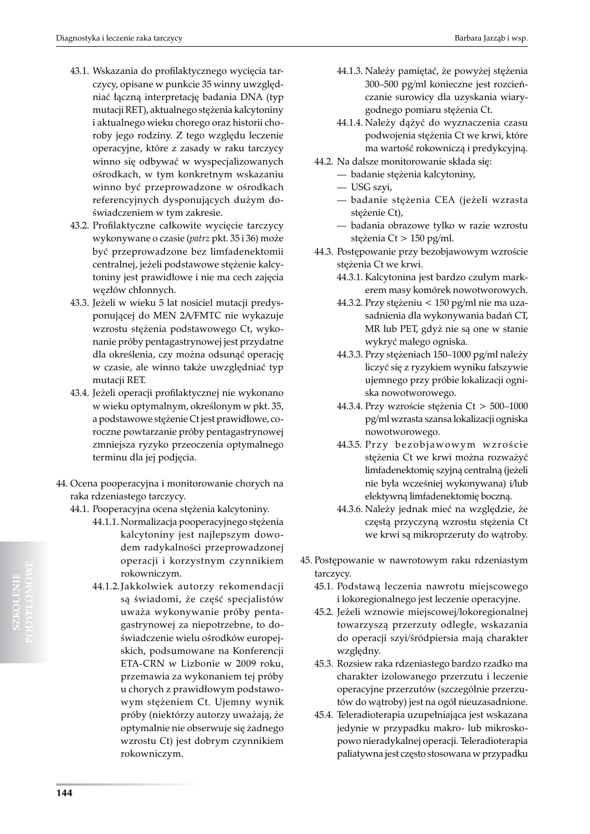- 43.1. Wskazania do profilaktycznego wycięcia tarczycy, opisane w punkcie 35 winny uwzględniać łączną interpretację badania DNA (typ mutacji RET), aktualnego stężenia kalcytoniny i aktualnego wieku chorego oraz historii choroby jego rodziny. Z tego względu leczenie operacyjne, które z zasady w raku tarczycy winno się odbywać w wyspecjalizowanych ośrodkach, w tym konkretnym wskazaniu winno być przeprowadzone w ośrodkach referencyjnych dysponujących dużym doświadczeniem w tym zakresie.
- 43.2. Profilaktyczne całkowite wycięcie tarczycy wykonywane o czasie (*patrz* pkt. 35 i 36) może być przeprowadzone bez limfadenektomii centralnej, jeżeli podstawowe stężenie kalcytoniny jest prawidłowe i nie ma cech zajęcia węzłów chłonnych.
- 43.3. Jeżeli w wieku 5 lat nosiciel mutacji predysponującej do MEN 2A/FMTC nie wykazuje wzrostu stężenia podstawowego Ct, wykonanie próby pentagastrynowej jest przydatne dla określenia, czy można odsunąć operację w czasie, ale winno także uwzględniać typ mutacji RET.
- 43.4. Jeżeli operacji profilaktycznej nie wykonano w wieku optymalnym, określonym w pkt. 35, a podstawowe stężenie Ct jest prawidłowe, coroczne powtarzanie próby pentagastrynowej zmniejsza ryzyko przeoczenia optymalnego terminu dla jej podjęcia.
- 44. Ocena pooperacyjna i monitorowanie chorych na raka rdzeniastego tarczycy.
	- 44.1. Pooperacyjna ocena stężenia kalcytoniny.
		- 44.1.1. Normalizacja pooperacyjnego stężenia kalcytoniny jest najlepszym dowodem radykalności przeprowadzonej operacji i korzystnym czynnikiem rokowniczym.
		- 44.1.2.Jakkolwiek autorzy rekomendacji są świadomi, że część specjalistów uważa wykonywanie próby pentagastrynowej za niepotrzebne, to doświadczenie wielu ośrodków europejskich, podsumowane na Konferencji ETA-CRN w Lizbonie w 2009 roku, przemawia za wykonaniem tej próby u chorych z prawidłowym podstawowym stężeniem Ct. Ujemny wynik próby (niektórzy autorzy uważają, że optymalnie nie obserwuje się żadnego wzrostu Ct) jest dobrym czynnikiem rokowniczym.
- 44.1.3. Należy pamiętać, że powyżej stężenia 300–500 pg/ml konieczne jest rozcieńczanie surowicy dla uzyskania wiarygodnego pomiaru stężenia Ct.
- 44.1.4. Należy dążyć do wyznaczenia czasu podwojenia stężenia Ct we krwi, które ma wartość rokowniczą i predykcyjną.
- 44.2. Na dalsze monitorowanie składa się:
	- badanie stężenia kalcytoniny,
	- USG szyi,
	- badanie stężenia CEA (jeżeli wzrasta stężenie Ct),
	- badania obrazowe tylko w razie wzrostu stężenia Ct > 150 pg/ml.
- 44.3. Postępowanie przy bezobjawowym wzroście stężenia Ct we krwi.
	- 44.3.1. Kalcytonina jest bardzo czułym markerem masy komórek nowotworowych.
	- 44.3.2. Przy stężeniu < 150 pg/ml nie ma uzasadnienia dla wykonywania badań CT, MR lub PET, gdyż nie są one w stanie wykryć małego ogniska.
	- 44.3.3. Przy stężeniach 150–1000 pg/ml należy liczyć się z ryzykiem wyniku fałszywie ujemnego przy próbie lokalizacji ogniska nowotworowego.
	- 44.3.4. Przy wzroście stężenia Ct > 500–1000 pg/ml wzrasta szansa lokalizacji ogniska nowotworowego.
	- 44.3.5. Przy bezobjawowym wzroście stężenia Ct we krwi można rozważyć limfadenektomię szyjną centralną (jeżeli nie była wcześniej wykonywana) i/lub elektywną limfadenektomię boczną.
	- 44.3.6. Należy jednak mieć na względzie, że częstą przyczyną wzrostu stężenia Ct we krwi są mikroprzeruty do wątroby.
- 45. Postępowanie w nawrotowym raku rdzeniastym tarczycy.
	- 45.1. Podstawą leczenia nawrotu miejscowego i lokoregionalnego jest leczenie operacyjne.
	- 45.2. Jeżeli wznowie miejscowej/lokoregionalnej towarzyszą przerzuty odległe, wskazania do operacji szyi/śródpiersia mają charakter względny.
	- 45.3. Rozsiew raka rdzeniastego bardzo rzadko ma charakter izolowanego przerzutu i leczenie operacyjne przerzutów (szczególnie przerzutów do wątroby) jest na ogół nieuzasadnione.
	- 45.4. Teleradioterapia uzupełniająca jest wskazana jedynie w przypadku makro- lub mikroskopowo nieradykalnej operacji. Teleradioterapia paliatywna jest często stosowana w przypadku